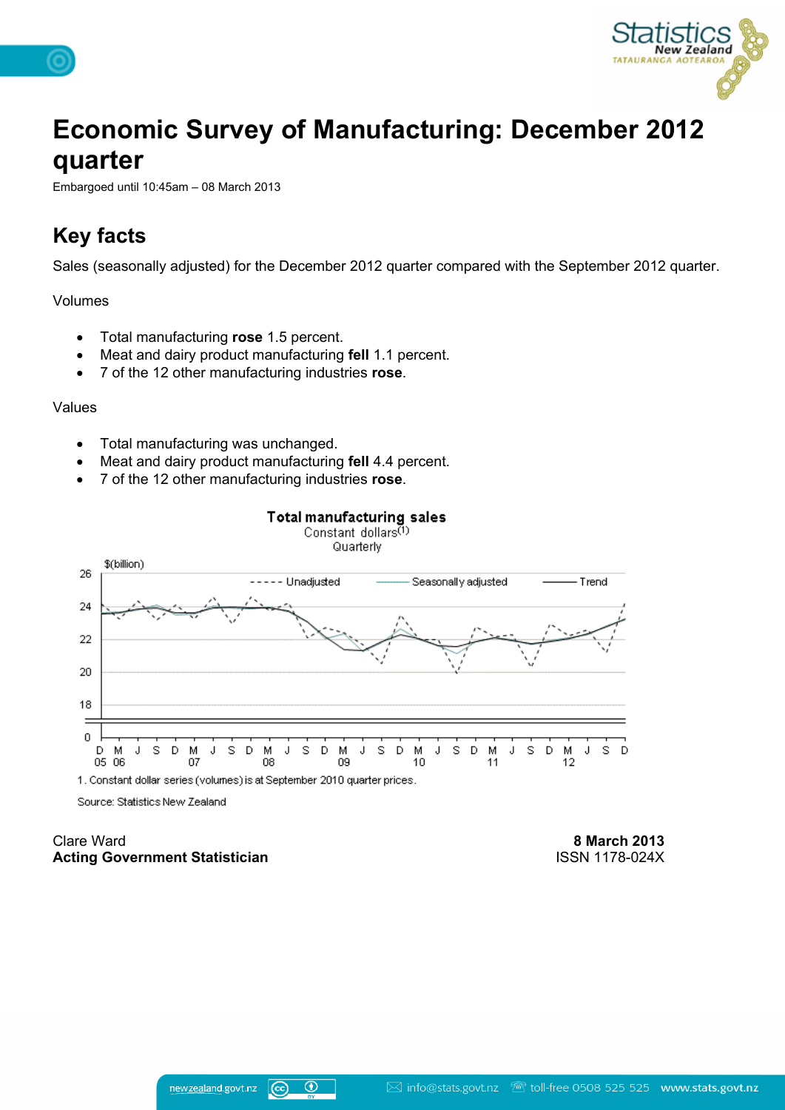

# **Economic Survey of Manufacturing: December 2012 quarter**

Embargoed until 10:45am – 08 March 2013

# **Key facts**

Sales (seasonally adjusted) for the December 2012 quarter compared with the September 2012 quarter.

Volumes

- Total manufacturing **rose** 1.5 percent.
- Meat and dairy product manufacturing **fell** 1.1 percent.
- 7 of the 12 other manufacturing industries **rose**.

#### Values

- Total manufacturing was unchanged.
- Meat and dairy product manufacturing **fell** 4.4 percent.
- 7 of the 12 other manufacturing industries **rose**.



1. Constant dollar series (volumes) is at September 2010 quarter prices.

Source: Statistics New Zealand

Clare Ward **Acting Government Statistician**

**8 March 2013** ISSN 1178-024X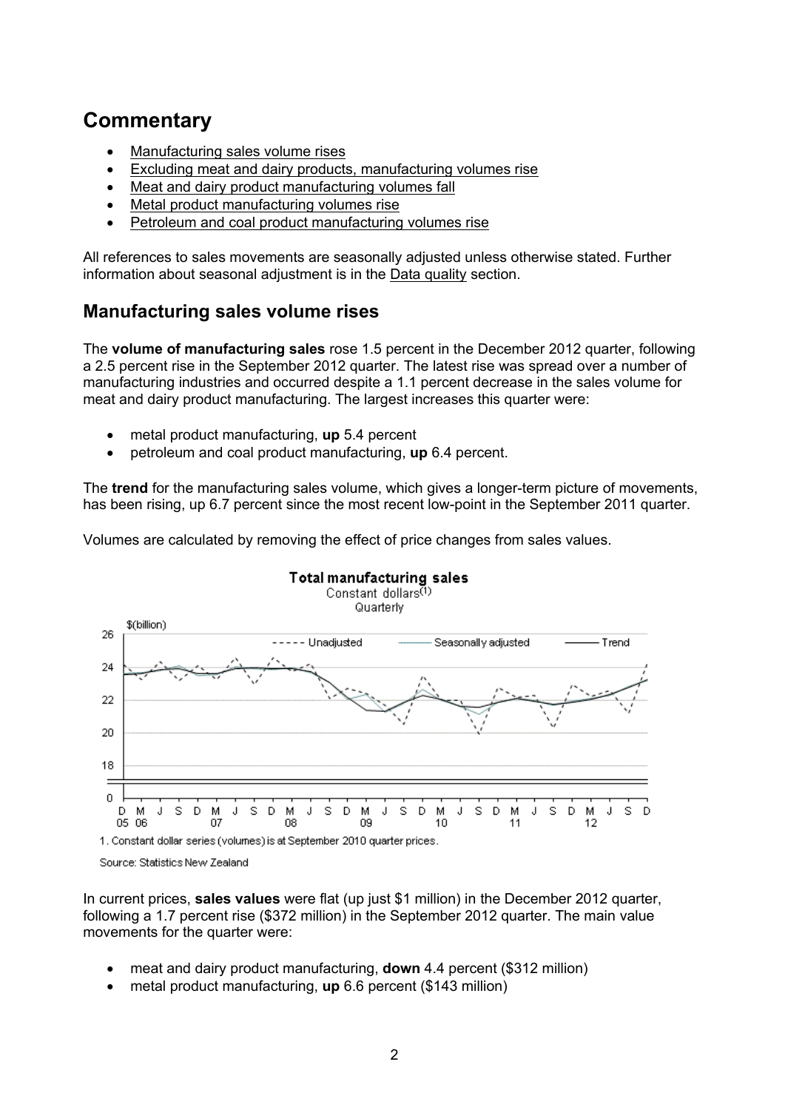# **Commentary**

- [Manufacturing](#page-1-0) [sales](#page-1-0) [volume](#page-1-0) [rises](#page-1-0)
- [Excluding](#page-4-0) [meat](#page-4-0) [and](#page-4-0) [dairy](#page-4-0) [products,](#page-4-0) [manufacturing](#page-4-0) [volumes](#page-4-0) [rise](#page-4-0)
- [Meat](#page-5-0) [and](#page-5-0) [dairy](#page-5-0) [product](#page-5-0) [manufacturing](#page-5-0) [volumes](#page-5-0) [fall](#page-5-0)
- [Metal](#page-6-0) [product](#page-6-0) [manufacturing](#page-6-0) [volumes](#page-6-0) [rise](#page-6-0)
- [Petroleum](#page-6-1) [and](#page-6-1) [coal](#page-6-1) [product](#page-6-1) [manufacturing](#page-6-1) [volumes](#page-6-1) [rise](#page-6-1)

All references to sales movements are seasonally adjusted unless otherwise stated. Further information about seasonal adjustment is in the [Data](http://www.stats.govt.nz/browse_for_stats/industry_sectors/manufacturing_and_production/EconomicSurveyofManufacturing_HOTPDec12qtr/Data%20Quality.aspx) [quality](http://www.stats.govt.nz/browse_for_stats/industry_sectors/manufacturing_and_production/EconomicSurveyofManufacturing_HOTPDec12qtr/Data%20Quality.aspx) section.

# <span id="page-1-0"></span>**Manufacturing sales volume rises**

The **volume of manufacturing sales** rose 1.5 percent in the December 2012 quarter, following a 2.5 percent rise in the September 2012 quarter. The latest rise was spread over a number of manufacturing industries and occurred despite a 1.1 percent decrease in the sales volume for meat and dairy product manufacturing. The largest increases this quarter were:

- metal product manufacturing, **up** 5.4 percent
- petroleum and coal product manufacturing, **up** 6.4 percent.

The **trend** for the manufacturing sales volume, which gives a longer-term picture of movements, has been rising, up 6.7 percent since the most recent low-point in the September 2011 quarter.





Source: Statistics New Zealand

In current prices, **sales values** were flat (up just \$1 million) in the December 2012 quarter, following a 1.7 percent rise (\$372 million) in the September 2012 quarter. The main value movements for the quarter were:

- meat and dairy product manufacturing, **down** 4.4 percent (\$312 million)
- metal product manufacturing, **up** 6.6 percent (\$143 million)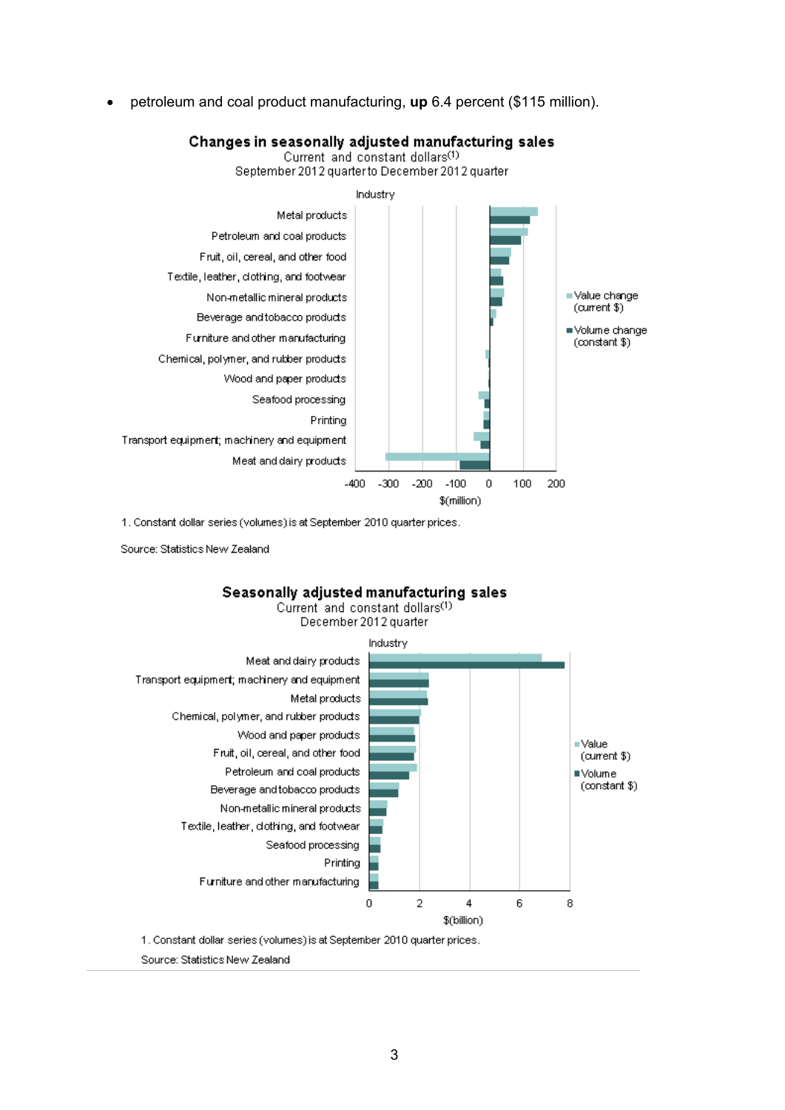petroleum and coal product manufacturing, **up** 6.4 percent (\$115 million).

### Changes in seasonally adjusted manufacturing sales

Current and constant dollars<sup>(1)</sup>



1. Constant dollar series (volumes) is at September 2010 quarter prices.

Source: Statistics New Zealand



Current and constant dollars<sup>(1)</sup> December 2012 quarter



1. Constant dollar series (volumes) is at September 2010 quarter prices.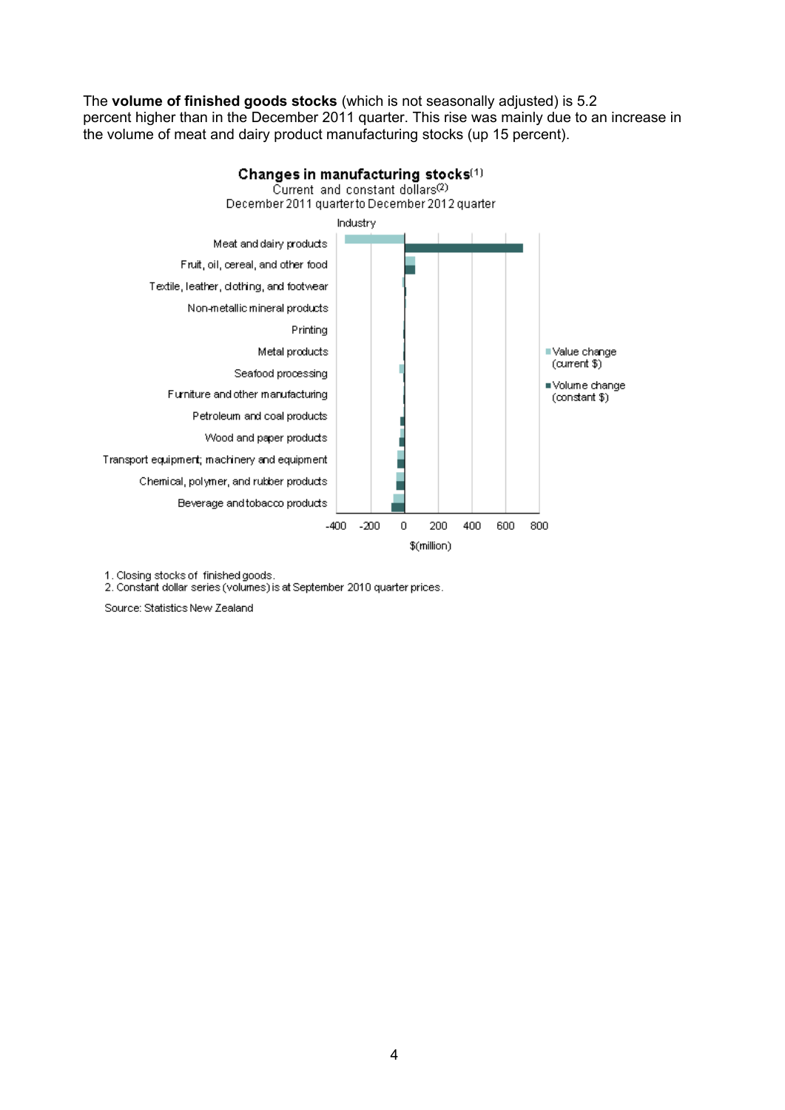The **volume of finished goods stocks** (which is not seasonally adjusted) is 5.2 percent higher than in the December 2011 quarter. This rise was mainly due to an increase in the volume of meat and dairy product manufacturing stocks (up 15 percent).



1. Closing stocks of finished goods.

2. Constant dollar series (volumes) is at September 2010 quarter prices.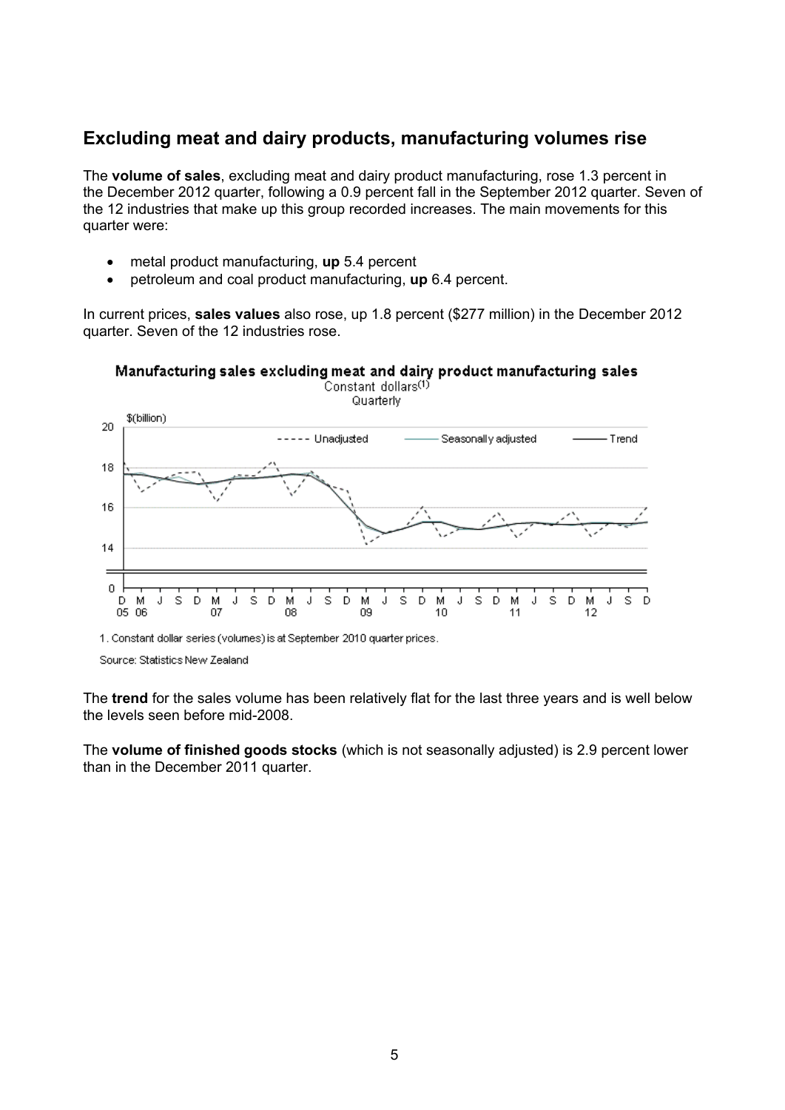# <span id="page-4-0"></span>**Excluding meat and dairy products, manufacturing volumes rise**

The **volume of sales**, excluding meat and dairy product manufacturing, rose 1.3 percent in the December 2012 quarter, following a 0.9 percent fall in the September 2012 quarter. Seven of the 12 industries that make up this group recorded increases. The main movements for this quarter were:

- metal product manufacturing, **up** 5.4 percent
- petroleum and coal product manufacturing, **up** 6.4 percent.

In current prices, **sales values** also rose, up 1.8 percent (\$277 million) in the December 2012 quarter. Seven of the 12 industries rose.



\$(billion)  $20$ -- Unadjusted Seasonally adjusted - Trend 18 16  $14$  $\overline{0}$ D D D - M J -S м -S Ð м -S D м s D м s D м s D м s. J J J J 05 06 08 09 07 10

Quarterly

1. Constant dollar series (volumes) is at September 2010 quarter prices.

Source: Statistics New Zealand

The **trend** for the sales volume has been relatively flat for the last three years and is well below the levels seen before mid-2008.

The **volume of finished goods stocks** (which is not seasonally adjusted) is 2.9 percent lower than in the December 2011 quarter.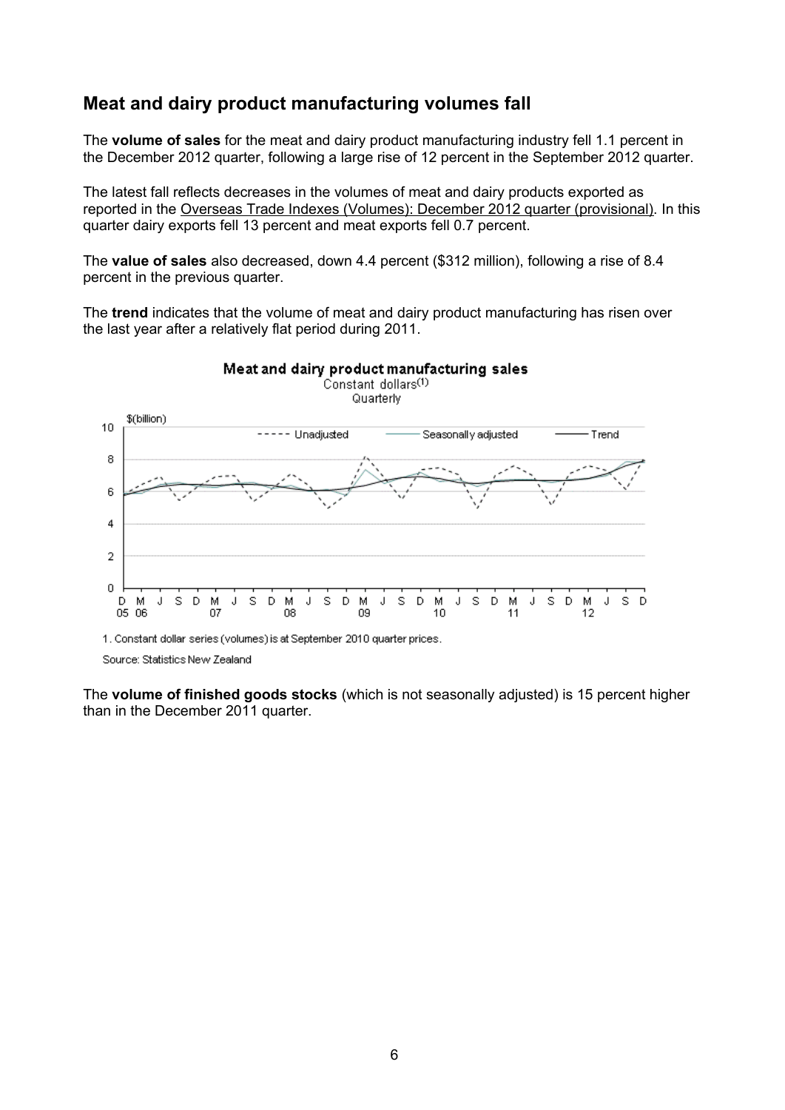## <span id="page-5-0"></span>**Meat and dairy product manufacturing volumes fall**

The **volume of sales** for the meat and dairy product manufacturing industry fell 1.1 percent in the December 2012 quarter, following a large rise of 12 percent in the September 2012 quarter.

The latest fall reflects decreases in the volumes of meat and dairy products exported as reported in the [Overseas](http://statisticsprod.stats.govt.nz/browse_for_stats/industry_sectors/imports_and_exports/OverseasTradeIndexesVolumes_HOTPDec12qtr.aspx) [Trade](http://statisticsprod.stats.govt.nz/browse_for_stats/industry_sectors/imports_and_exports/OverseasTradeIndexesVolumes_HOTPDec12qtr.aspx) [Indexes](http://statisticsprod.stats.govt.nz/browse_for_stats/industry_sectors/imports_and_exports/OverseasTradeIndexesVolumes_HOTPDec12qtr.aspx) [\(Volumes\):](http://statisticsprod.stats.govt.nz/browse_for_stats/industry_sectors/imports_and_exports/OverseasTradeIndexesVolumes_HOTPDec12qtr.aspx) [December](http://statisticsprod.stats.govt.nz/browse_for_stats/industry_sectors/imports_and_exports/OverseasTradeIndexesVolumes_HOTPDec12qtr.aspx) [2012](http://statisticsprod.stats.govt.nz/browse_for_stats/industry_sectors/imports_and_exports/OverseasTradeIndexesVolumes_HOTPDec12qtr.aspx) [quarter](http://statisticsprod.stats.govt.nz/browse_for_stats/industry_sectors/imports_and_exports/OverseasTradeIndexesVolumes_HOTPDec12qtr.aspx) [\(provisional\).](http://statisticsprod.stats.govt.nz/browse_for_stats/industry_sectors/imports_and_exports/OverseasTradeIndexesVolumes_HOTPDec12qtr.aspx) In this quarter dairy exports fell 13 percent and meat exports fell 0.7 percent.

The **value of sales** also decreased, down 4.4 percent (\$312 million), following a rise of 8.4 percent in the previous quarter.

The **trend** indicates that the volume of meat and dairy product manufacturing has risen over the last year after a relatively flat period during 2011.



Source: Statistics New Zealand

The **volume of finished goods stocks** (which is not seasonally adjusted) is 15 percent higher than in the December 2011 quarter.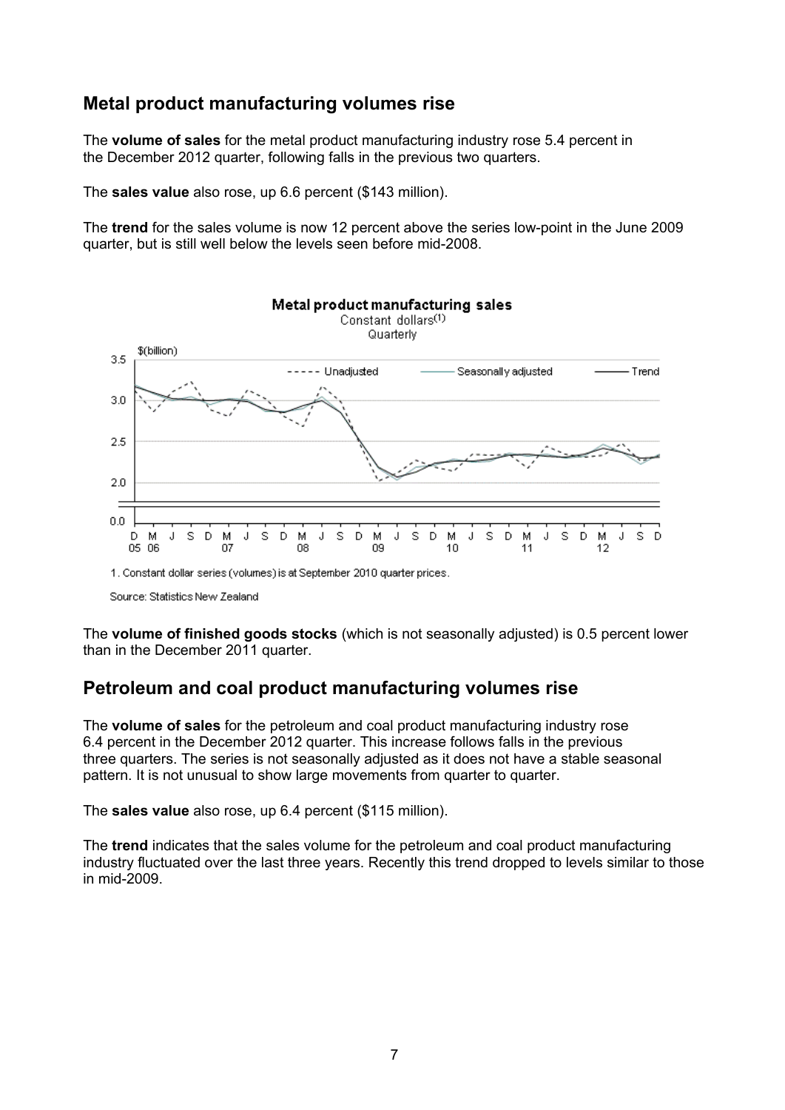## <span id="page-6-0"></span>**Metal product manufacturing volumes rise**

The **volume of sales** for the metal product manufacturing industry rose 5.4 percent in the December 2012 quarter, following falls in the previous two quarters.

The **sales value** also rose, up 6.6 percent (\$143 million).

The **trend** for the sales volume is now 12 percent above the series low-point in the June 2009 quarter, but is still well below the levels seen before mid-2008.



Source: Statistics New Zealand

The **volume of finished goods stocks** (which is not seasonally adjusted) is 0.5 percent lower than in the December 2011 quarter.

## <span id="page-6-1"></span>**Petroleum and coal product manufacturing volumes rise**

The **volume of sales** for the petroleum and coal product manufacturing industry rose 6.4 percent in the December 2012 quarter. This increase follows falls in the previous three quarters. The series is not seasonally adjusted as it does not have a stable seasonal pattern. It is not unusual to show large movements from quarter to quarter.

The **sales value** also rose, up 6.4 percent (\$115 million).

The **trend** indicates that the sales volume for the petroleum and coal product manufacturing industry fluctuated over the last three years. Recently this trend dropped to levels similar to those in mid-2009.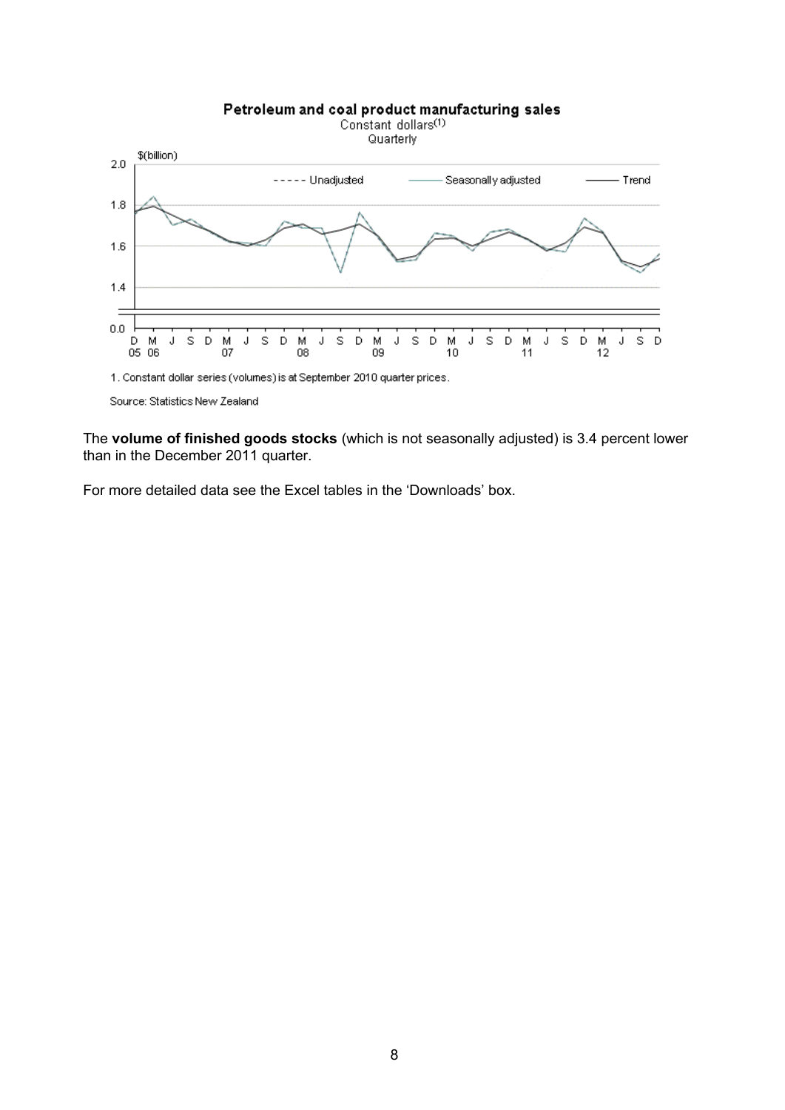

The **volume of finished goods stocks** (which is not seasonally adjusted) is 3.4 percent lower than in the December 2011 quarter.

For more detailed data see the Excel tables in the 'Downloads' box.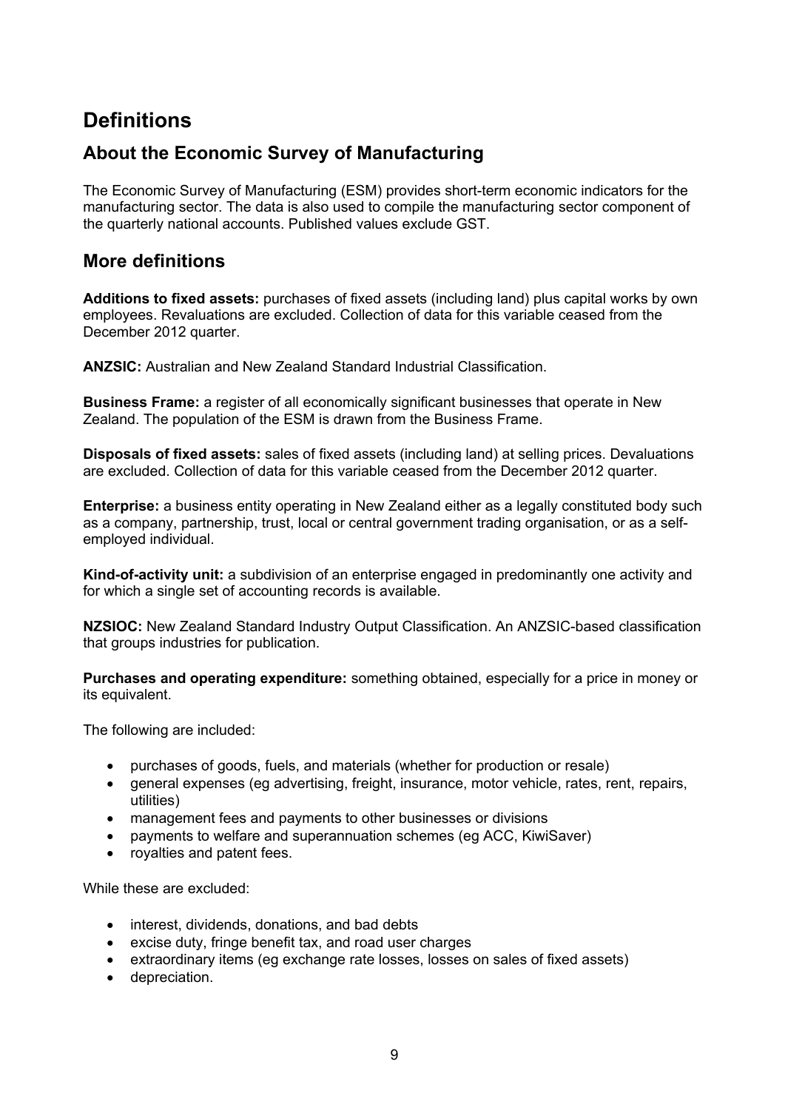# **Definitions**

# **About the Economic Survey of Manufacturing**

The Economic Survey of Manufacturing (ESM) provides short-term economic indicators for the manufacturing sector. The data is also used to compile the manufacturing sector component of the quarterly national accounts. Published values exclude GST.

## **More definitions**

**Additions to fixed assets:** purchases of fixed assets (including land) plus capital works by own employees. Revaluations are excluded. Collection of data for this variable ceased from the December 2012 quarter.

**ANZSIC:** Australian and New Zealand Standard Industrial Classification.

**Business Frame:** a register of all economically significant businesses that operate in New Zealand. The population of the ESM is drawn from the Business Frame.

**Disposals of fixed assets:** sales of fixed assets (including land) at selling prices. Devaluations are excluded. Collection of data for this variable ceased from the December 2012 quarter.

**Enterprise:** a business entity operating in New Zealand either as a legally constituted body such as a company, partnership, trust, local or central government trading organisation, or as a selfemployed individual.

**Kind-of-activity unit:** a subdivision of an enterprise engaged in predominantly one activity and for which a single set of accounting records is available.

**NZSIOC:** New Zealand Standard Industry Output Classification. An ANZSIC-based classification that groups industries for publication.

**Purchases and operating expenditure:** something obtained, especially for a price in money or its equivalent.

The following are included:

- purchases of goods, fuels, and materials (whether for production or resale)
- general expenses (eg advertising, freight, insurance, motor vehicle, rates, rent, repairs, utilities)
- management fees and payments to other businesses or divisions
- payments to welfare and superannuation schemes (eg ACC, KiwiSaver)
- royalties and patent fees.

While these are excluded:

- interest, dividends, donations, and bad debts
- excise duty, fringe benefit tax, and road user charges
- extraordinary items (eg exchange rate losses, losses on sales of fixed assets)
- depreciation.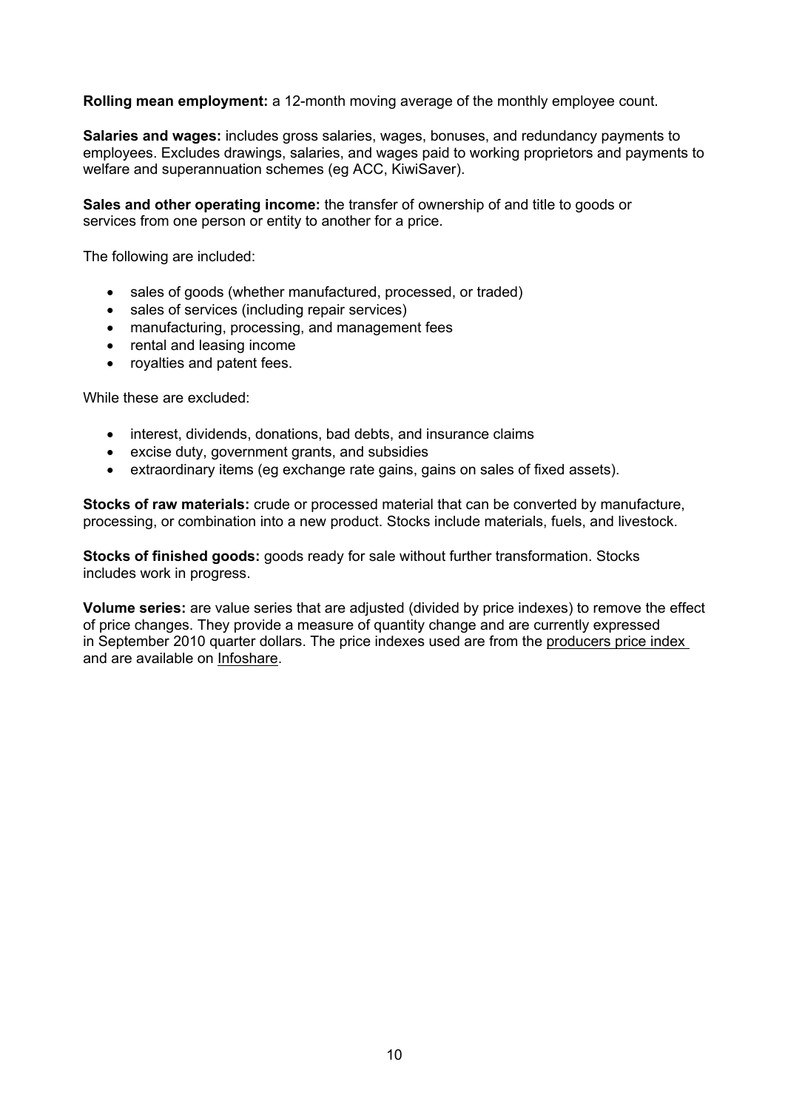**Rolling mean employment:** a 12-month moving average of the monthly employee count.

**Salaries and wages:** includes gross salaries, wages, bonuses, and redundancy payments to employees. Excludes drawings, salaries, and wages paid to working proprietors and payments to welfare and superannuation schemes (eg ACC, KiwiSaver).

**Sales and other operating income:** the transfer of ownership of and title to goods or services from one person or entity to another for a price.

The following are included:

- sales of goods (whether manufactured, processed, or traded)
- sales of services (including repair services)
- manufacturing, processing, and management fees
- rental and leasing income
- royalties and patent fees.

While these are excluded:

- interest, dividends, donations, bad debts, and insurance claims
- excise duty, government grants, and subsidies
- extraordinary items (eg exchange rate gains, gains on sales of fixed assets).

**Stocks of raw materials:** crude or processed material that can be converted by manufacture, processing, or combination into a new product. Stocks include materials, fuels, and livestock.

**Stocks of finished goods:** goods ready for sale without further transformation. Stocks includes work in progress.

**Volume series:** are value series that are adjusted (divided by price indexes) to remove the effect of price changes. They provide a measure of quantity change and are currently expressed in September 2010 quarter dollars. The price indexes used are from the [producers](http://www.stats.govt.nz/browse_for_stats/economic_indicators/prices_indexes/producers-price-index-info-releases.aspx) [price](http://www.stats.govt.nz/browse_for_stats/economic_indicators/prices_indexes/producers-price-index-info-releases.aspx) [index](http://www.stats.govt.nz/browse_for_stats/economic_indicators/prices_indexes/producers-price-index-info-releases.aspx) and are available on [Infoshare.](http://www.stats.govt.nz/infoshare/)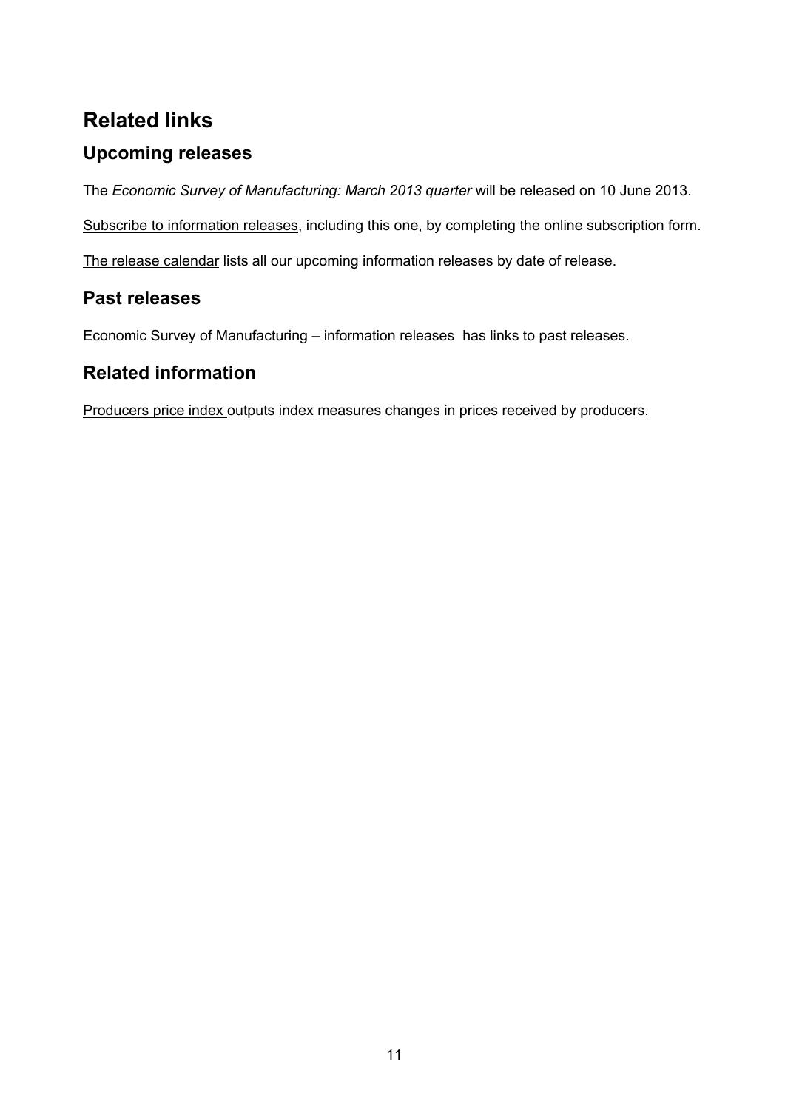# **Related links**

# **Upcoming releases**

The *Economic Survey of Manufacturing: March 2013 quarter* will be released on 10 June 2013.

[Subscribe](http://www.stats.govt.nz/tools_and_services/services/releases-subscription.aspx) [to](http://www.stats.govt.nz/tools_and_services/services/releases-subscription.aspx) [information](http://www.stats.govt.nz/tools_and_services/services/releases-subscription.aspx) [releases](http://www.stats.govt.nz/tools_and_services/services/releases-subscription.aspx), including this one, by completing the online subscription form.

[The](http://www.stats.govt.nz/about_us/news_and_events/release-calendar.aspx) [release](http://www.stats.govt.nz/about_us/news_and_events/release-calendar.aspx) [calendar](http://www.stats.govt.nz/about_us/news_and_events/release-calendar.aspx) lists all our upcoming information releases by date of release.

# **Past releases**

[Economic](http://www.stats.govt.nz/browse_for_stats/industry_sectors/manufacturing_and_production/economic-survey-of-manufacturing-info-releases.aspx) [Survey](http://www.stats.govt.nz/browse_for_stats/industry_sectors/manufacturing_and_production/economic-survey-of-manufacturing-info-releases.aspx) [of](http://www.stats.govt.nz/browse_for_stats/industry_sectors/manufacturing_and_production/economic-survey-of-manufacturing-info-releases.aspx) [Manufacturing](http://www.stats.govt.nz/browse_for_stats/industry_sectors/manufacturing_and_production/economic-survey-of-manufacturing-info-releases.aspx) [–](http://www.stats.govt.nz/browse_for_stats/industry_sectors/manufacturing_and_production/economic-survey-of-manufacturing-info-releases.aspx) [information](http://www.stats.govt.nz/browse_for_stats/industry_sectors/manufacturing_and_production/economic-survey-of-manufacturing-info-releases.aspx) [releases](http://www.stats.govt.nz/browse_for_stats/industry_sectors/manufacturing_and_production/economic-survey-of-manufacturing-info-releases.aspx) has links to past releases.

# **Related information**

[Producers](http://www.stats.govt.nz/browse_for_stats/economic_indicators/prices_indexes/producers-price-index-info-releases.aspx) [price](http://www.stats.govt.nz/browse_for_stats/economic_indicators/prices_indexes/producers-price-index-info-releases.aspx) [index](http://www.stats.govt.nz/browse_for_stats/economic_indicators/prices_indexes/producers-price-index-info-releases.aspx) outputs index measures changes in prices received by producers.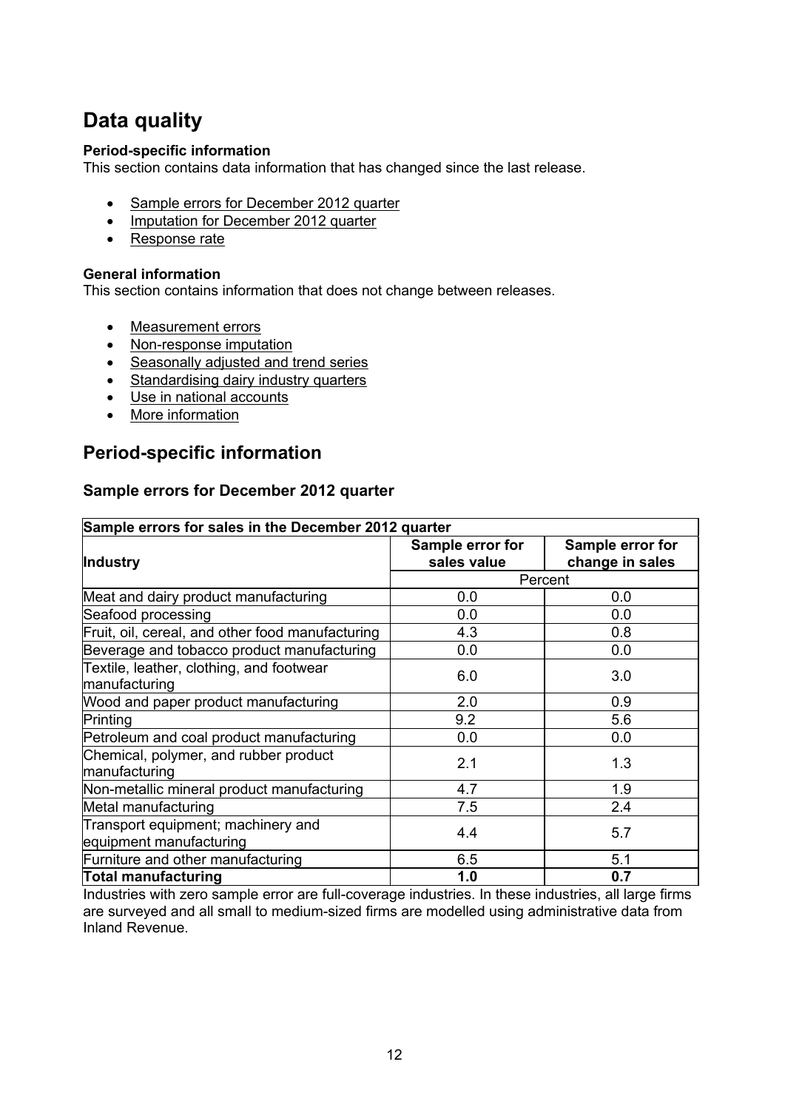# **Data quality**

#### **Period-specific information**

This section contains data information that has changed since the last release.

- Sample errors for December 2012 quarter
- [Imputation](#page-12-0) [for](#page-12-0) [December](#page-12-0) [2012](#page-12-0) [quarter](#page-12-0)
- [Response](#page-12-1) [rate](#page-12-1)

#### **General information**

This section contains information that does not change between releases.

- [Measurement](#page-12-2) [errors](#page-12-2)
- [Non-response](#page-13-0) [imputation](#page-13-0)
- [Seasonally](#page-13-1) [adjusted](#page-13-1) [and](#page-13-1) [trend](#page-13-1) [series](#page-13-1)
- [Standardising](#page-14-0) [dairy](#page-14-0) [industry](#page-14-0) [quarters](#page-14-0)
- [Use](#page-14-1) [in](#page-14-1) [national](#page-14-1) [accounts](#page-14-1)
- [More](#page-15-0) [information](#page-15-0)

## **Period-specific information**

#### **Sample errors for December 2012 quarter**

| Sample errors for sales in the December 2012 quarter          |                                 |                                     |  |  |  |  |  |  |  |
|---------------------------------------------------------------|---------------------------------|-------------------------------------|--|--|--|--|--|--|--|
| Industry                                                      | Sample error for<br>sales value | Sample error for<br>change in sales |  |  |  |  |  |  |  |
|                                                               |                                 | Percent                             |  |  |  |  |  |  |  |
| Meat and dairy product manufacturing                          | 0.0                             | 0.0                                 |  |  |  |  |  |  |  |
| Seafood processing                                            | 0.0                             | 0.0                                 |  |  |  |  |  |  |  |
| Fruit, oil, cereal, and other food manufacturing              | 4.3                             | 0.8                                 |  |  |  |  |  |  |  |
| Beverage and tobacco product manufacturing                    | 0.0                             | 0.0                                 |  |  |  |  |  |  |  |
| Textile, leather, clothing, and footwear<br>manufacturing     | 6.0                             | 3.0                                 |  |  |  |  |  |  |  |
| Wood and paper product manufacturing                          | 2.0                             | 0.9                                 |  |  |  |  |  |  |  |
| Printing                                                      | 9.2                             | 5.6                                 |  |  |  |  |  |  |  |
| Petroleum and coal product manufacturing                      | 0.0                             | 0.0                                 |  |  |  |  |  |  |  |
| Chemical, polymer, and rubber product<br>manufacturing        | 2.1                             | 1.3                                 |  |  |  |  |  |  |  |
| Non-metallic mineral product manufacturing                    | 4.7                             | 1.9                                 |  |  |  |  |  |  |  |
| Metal manufacturing                                           | 7.5                             | 2.4                                 |  |  |  |  |  |  |  |
| Transport equipment; machinery and<br>equipment manufacturing | 4.4                             | 5.7                                 |  |  |  |  |  |  |  |
| Furniture and other manufacturing                             | 6.5                             | 5.1                                 |  |  |  |  |  |  |  |
| <b>Total manufacturing</b>                                    | 1.0                             | 0.7                                 |  |  |  |  |  |  |  |

Industries with zero sample error are full-coverage industries. In these industries, all large firms are surveyed and all small to medium-sized firms are modelled using administrative data from Inland Revenue.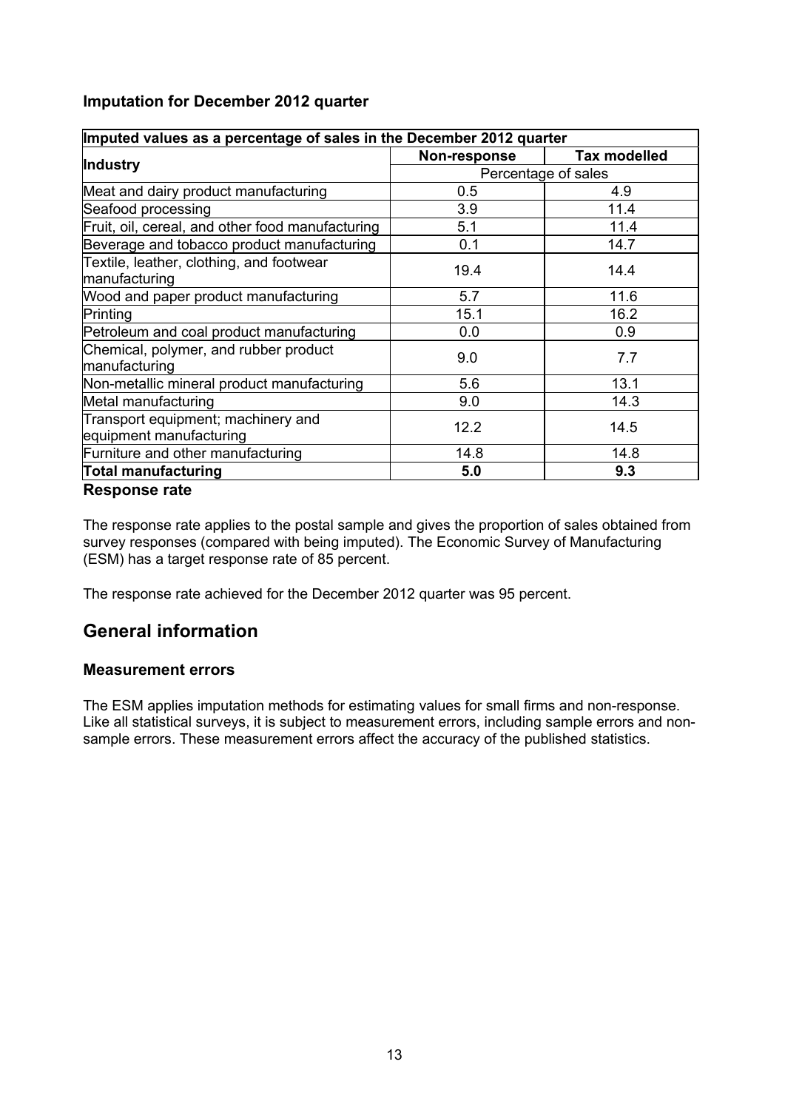## <span id="page-12-0"></span>**Imputation for December 2012 quarter**

| Imputed values as a percentage of sales in the December 2012 quarter |                     |                     |  |  |  |
|----------------------------------------------------------------------|---------------------|---------------------|--|--|--|
|                                                                      | Non-response        | <b>Tax modelled</b> |  |  |  |
| Industry                                                             | Percentage of sales |                     |  |  |  |
| Meat and dairy product manufacturing                                 | 0.5                 | 4.9                 |  |  |  |
| Seafood processing                                                   | 3.9                 | 11.4                |  |  |  |
| Fruit, oil, cereal, and other food manufacturing                     | 5.1                 | 11.4                |  |  |  |
| Beverage and tobacco product manufacturing                           | 0.1                 | 14.7                |  |  |  |
| Textile, leather, clothing, and footwear                             | 19.4                | 14.4                |  |  |  |
| manufacturing                                                        |                     |                     |  |  |  |
| Wood and paper product manufacturing                                 | 5.7                 | 11.6                |  |  |  |
| Printing                                                             | 15.1                | 16.2                |  |  |  |
| Petroleum and coal product manufacturing                             | 0.0                 | 0.9                 |  |  |  |
| Chemical, polymer, and rubber product                                | 9.0                 | 7.7                 |  |  |  |
| manufacturing                                                        |                     |                     |  |  |  |
| Non-metallic mineral product manufacturing                           | 5.6                 | 13.1                |  |  |  |
| Metal manufacturing                                                  | 9.0                 | 14.3                |  |  |  |
| Transport equipment; machinery and                                   | 12.2                | 14.5                |  |  |  |
| equipment manufacturing                                              |                     |                     |  |  |  |
| Furniture and other manufacturing                                    | 14.8                | 14.8                |  |  |  |
| Total manufacturing                                                  | 5.0                 | 9.3                 |  |  |  |
| Response rate                                                        |                     |                     |  |  |  |

<span id="page-12-1"></span>The response rate applies to the postal sample and gives the proportion of sales obtained from survey responses (compared with being imputed). The Economic Survey of Manufacturing (ESM) has a target response rate of 85 percent.

The response rate achieved for the December 2012 quarter was 95 percent.

# **General information**

### <span id="page-12-2"></span>**Measurement errors**

The ESM applies imputation methods for estimating values for small firms and non-response. Like all statistical surveys, it is subject to measurement errors, including sample errors and nonsample errors. These measurement errors affect the accuracy of the published statistics.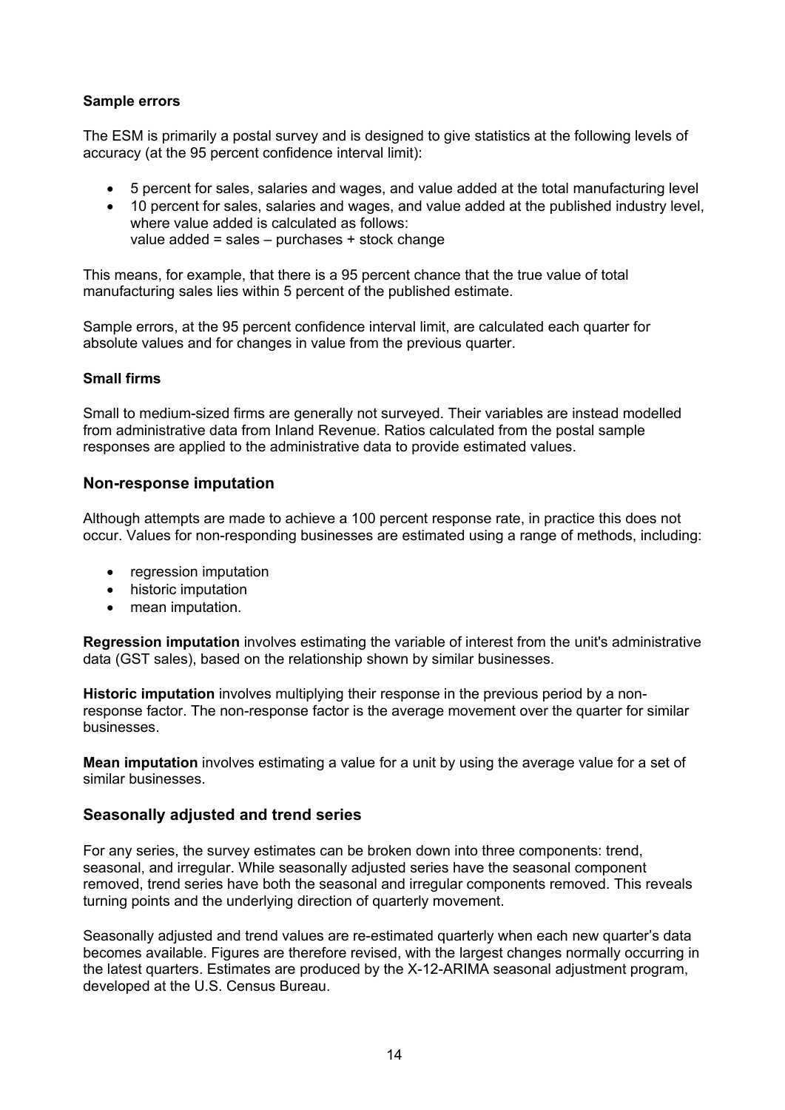#### **Sample errors**

The ESM is primarily a postal survey and is designed to give statistics at the following levels of accuracy (at the 95 percent confidence interval limit):

- 5 percent for sales, salaries and wages, and value added at the total manufacturing level
- 10 percent for sales, salaries and wages, and value added at the published industry level, where value added is calculated as follows: value added = sales – purchases + stock change

This means, for example, that there is a 95 percent chance that the true value of total manufacturing sales lies within 5 percent of the published estimate.

Sample errors, at the 95 percent confidence interval limit, are calculated each quarter for absolute values and for changes in value from the previous quarter.

#### **Small firms**

Small to medium-sized firms are generally not surveyed. Their variables are instead modelled from administrative data from Inland Revenue. Ratios calculated from the postal sample responses are applied to the administrative data to provide estimated values.

### <span id="page-13-0"></span>**Non-response imputation**

Although attempts are made to achieve a 100 percent response rate, in practice this does not occur. Values for non-responding businesses are estimated using a range of methods, including:

- regression imputation
- historic imputation
- mean imputation.

**Regression imputation** involves estimating the variable of interest from the unit's administrative data (GST sales), based on the relationship shown by similar businesses.

**Historic imputation** involves multiplying their response in the previous period by a nonresponse factor. The non-response factor is the average movement over the quarter for similar businesses.

**Mean imputation** involves estimating a value for a unit by using the average value for a set of similar businesses.

### <span id="page-13-1"></span>**Seasonally adjusted and trend series**

For any series, the survey estimates can be broken down into three components: trend, seasonal, and irregular. While seasonally adjusted series have the seasonal component removed, trend series have both the seasonal and irregular components removed. This reveals turning points and the underlying direction of quarterly movement.

Seasonally adjusted and trend values are re-estimated quarterly when each new quarter's data becomes available. Figures are therefore revised, with the largest changes normally occurring in the latest quarters. Estimates are produced by the X-12-ARIMA seasonal adjustment program, developed at the U.S. Census Bureau.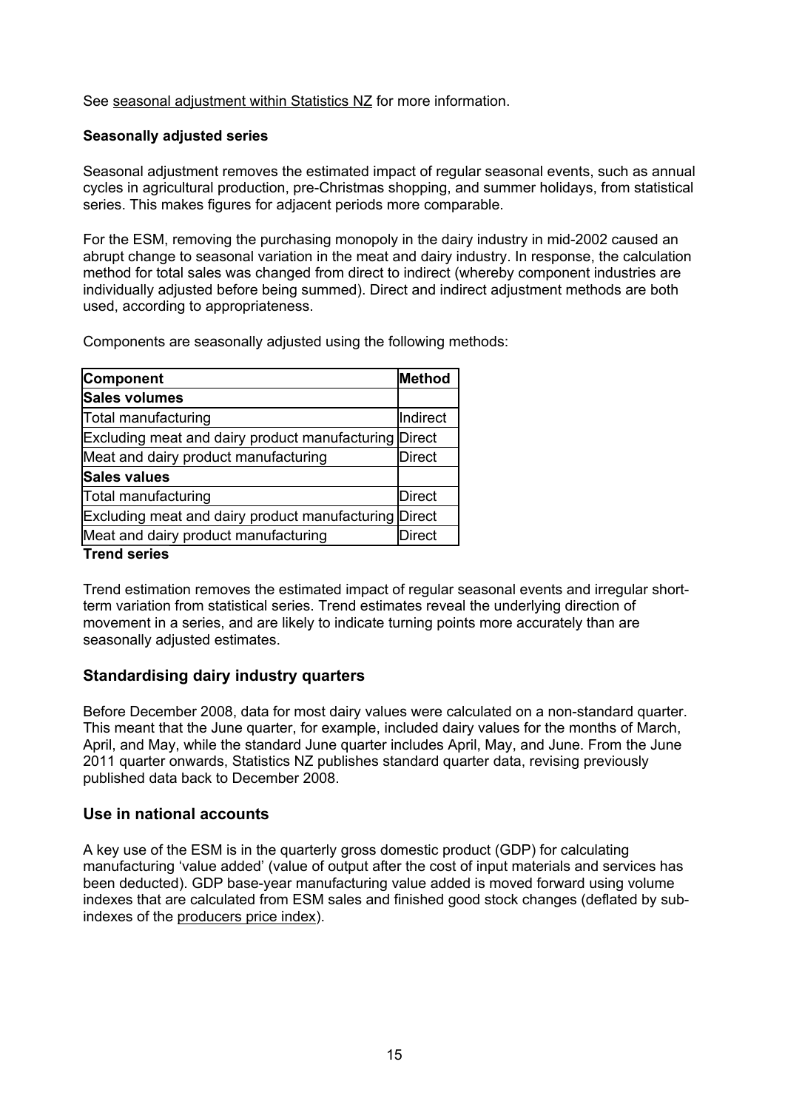See [seasonal](http://www.stats.govt.nz/reports/articles/seasonal-adjustment-within-statistics-new-zealand.aspx) [adjustment](http://www.stats.govt.nz/reports/articles/seasonal-adjustment-within-statistics-new-zealand.aspx) [within](http://www.stats.govt.nz/reports/articles/seasonal-adjustment-within-statistics-new-zealand.aspx) [Statistics](http://www.stats.govt.nz/reports/articles/seasonal-adjustment-within-statistics-new-zealand.aspx) [NZ](http://www.stats.govt.nz/reports/articles/seasonal-adjustment-within-statistics-new-zealand.aspx) for more information.

#### **Seasonally adjusted series**

Seasonal adjustment removes the estimated impact of regular seasonal events, such as annual cycles in agricultural production, pre-Christmas shopping, and summer holidays, from statistical series. This makes figures for adjacent periods more comparable.

For the ESM, removing the purchasing monopoly in the dairy industry in mid-2002 caused an abrupt change to seasonal variation in the meat and dairy industry. In response, the calculation method for total sales was changed from direct to indirect (whereby component industries are individually adjusted before being summed). Direct and indirect adjustment methods are both used, according to appropriateness.

Components are seasonally adjusted using the following methods:

| Component                                             | Method        |
|-------------------------------------------------------|---------------|
| Sales volumes                                         |               |
| Total manufacturing                                   | Indirect      |
| Excluding meat and dairy product manufacturing Direct |               |
| Meat and dairy product manufacturing                  | Direct        |
| <b>Sales values</b>                                   |               |
| Total manufacturing                                   | Direct        |
| Excluding meat and dairy product manufacturing Direct |               |
| Meat and dairy product manufacturing                  | <b>Direct</b> |

#### **Trend series**

Trend estimation removes the estimated impact of regular seasonal events and irregular shortterm variation from statistical series. Trend estimates reveal the underlying direction of movement in a series, and are likely to indicate turning points more accurately than are seasonally adjusted estimates.

### <span id="page-14-0"></span>**Standardising dairy industry quarters**

Before December 2008, data for most dairy values were calculated on a non-standard quarter. This meant that the June quarter, for example, included dairy values for the months of March, April, and May, while the standard June quarter includes April, May, and June. From the June 2011 quarter onwards, Statistics NZ publishes standard quarter data, revising previously published data back to December 2008.

#### <span id="page-14-1"></span>**Use in national accounts**

A key use of the ESM is in the quarterly gross domestic product (GDP) for calculating manufacturing 'value added' (value of output after the cost of input materials and services has been deducted). GDP base-year manufacturing value added is moved forward using volume indexes that are calculated from ESM sales and finished good stock changes (deflated by subindexes of the [producers](http://www.stats.govt.nz/methods_and_services/information-releases/producers-price-index.aspx) [price](http://www.stats.govt.nz/methods_and_services/information-releases/producers-price-index.aspx) [index\)](http://www.stats.govt.nz/methods_and_services/information-releases/producers-price-index.aspx).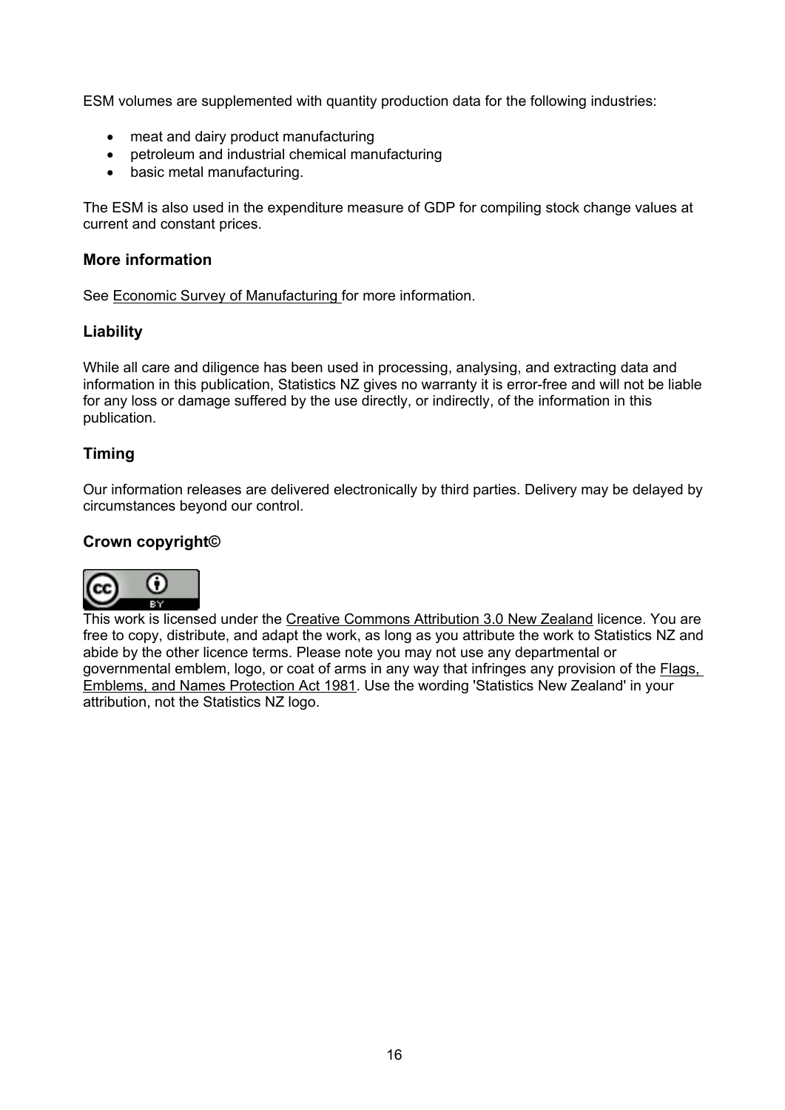ESM volumes are supplemented with quantity production data for the following industries:

- meat and dairy product manufacturing
- petroleum and industrial chemical manufacturing
- basic metal manufacturing.

The ESM is also used in the expenditure measure of GDP for compiling stock change values at current and constant prices.

### <span id="page-15-0"></span>**More information**

See [Economic](http://www.stats.govt.nz/browse_for_stats/industry_sectors/manufacturing_and_production/economic-survey-of-manufacturing-info-releases.aspx) [Survey](http://www.stats.govt.nz/browse_for_stats/industry_sectors/manufacturing_and_production/economic-survey-of-manufacturing-info-releases.aspx) [of](http://www.stats.govt.nz/browse_for_stats/industry_sectors/manufacturing_and_production/economic-survey-of-manufacturing-info-releases.aspx) [Manufacturing](http://www.stats.govt.nz/browse_for_stats/industry_sectors/manufacturing_and_production/economic-survey-of-manufacturing-info-releases.aspx) for more information.

### **Liability**

While all care and diligence has been used in processing, analysing, and extracting data and information in this publication, Statistics NZ gives no warranty it is error-free and will not be liable for any loss or damage suffered by the use directly, or indirectly, of the information in this publication.

## **Timing**

Our information releases are delivered electronically by third parties. Delivery may be delayed by circumstances beyond our control.

### **Crown copyright©**



This work is licensed under the [Creative](http://creativecommons.org/licenses/by/3.0/nz/deed.en) [Commons](http://creativecommons.org/licenses/by/3.0/nz/deed.en) [Attribution](http://creativecommons.org/licenses/by/3.0/nz/deed.en) [3.0](http://creativecommons.org/licenses/by/3.0/nz/deed.en) [New](http://creativecommons.org/licenses/by/3.0/nz/deed.en) [Zealand](http://creativecommons.org/licenses/by/3.0/nz/deed.en) licence. You are free to copy, distribute, and adapt the work, as long as you attribute the work to Statistics NZ and abide by the other licence terms. Please note you may not use any departmental or governmental emblem, logo, or coat of arms in any way that infringes any provision of the [Flags,](http://www.legislation.govt.nz/act/public/1981/0047/latest/DLM51358.html) [Emblems,](http://www.legislation.govt.nz/act/public/1981/0047/latest/DLM51358.html) [and](http://www.legislation.govt.nz/act/public/1981/0047/latest/DLM51358.html) [Names](http://www.legislation.govt.nz/act/public/1981/0047/latest/DLM51358.html) [Protection](http://www.legislation.govt.nz/act/public/1981/0047/latest/DLM51358.html) [Act](http://www.legislation.govt.nz/act/public/1981/0047/latest/DLM51358.html) [1981](http://www.legislation.govt.nz/act/public/1981/0047/latest/DLM51358.html). Use the wording 'Statistics New Zealand' in your attribution, not the Statistics NZ logo.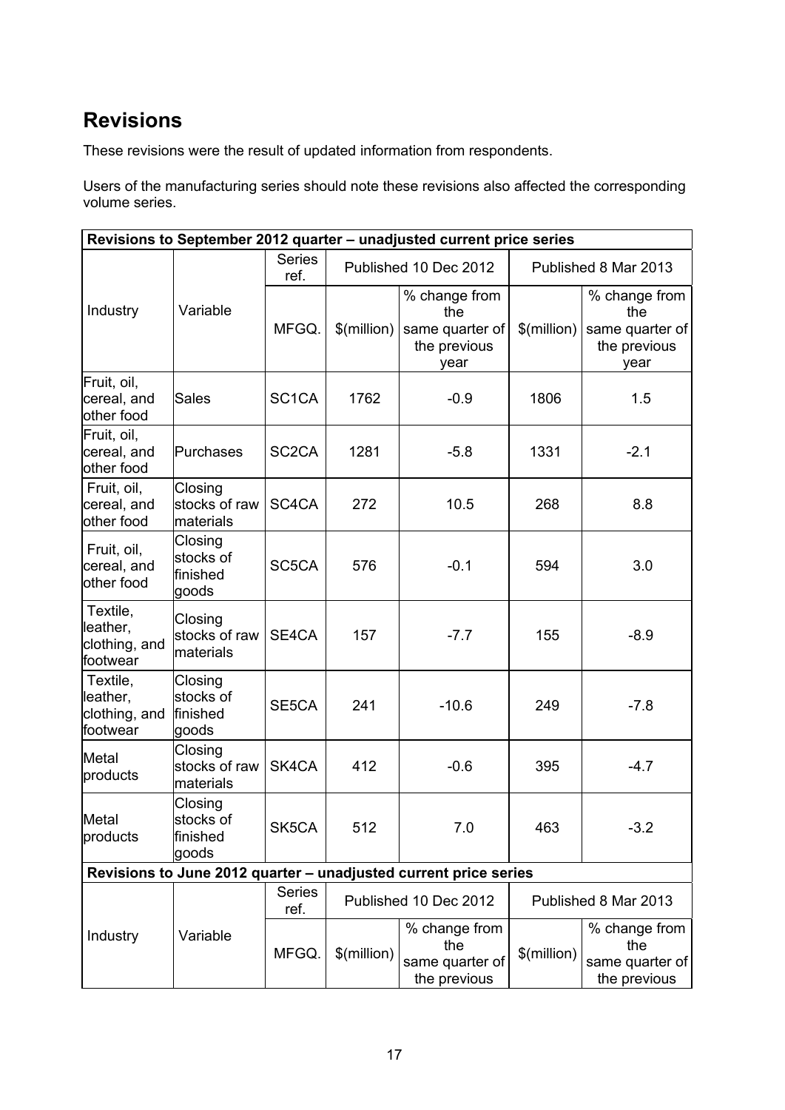# **Revisions**

These revisions were the result of updated information from respondents.

Users of the manufacturing series should note these revisions also affected the corresponding volume series.

|                                                   |                                            |                       |               | Revisions to September 2012 quarter - unadjusted current price series |                      |                                                                 |  |  |
|---------------------------------------------------|--------------------------------------------|-----------------------|---------------|-----------------------------------------------------------------------|----------------------|-----------------------------------------------------------------|--|--|
|                                                   |                                            | <b>Series</b><br>ref. |               | Published 10 Dec 2012                                                 | Published 8 Mar 2013 |                                                                 |  |  |
| Industry                                          | Variable                                   | MFGQ.                 | $$$ (million) | % change from<br>the<br>same quarter of<br>the previous<br>year       | \$(million)          | % change from<br>the<br>same quarter of<br>the previous<br>year |  |  |
| Fruit, oil,<br>cereal, and<br>other food          | Sales                                      | SC <sub>1</sub> CA    | 1762          | $-0.9$                                                                | 1806                 | 1.5                                                             |  |  |
| Fruit, oil,<br>cereal, and<br>other food          | Purchases                                  | SC <sub>2</sub> CA    | 1281          | $-5.8$                                                                | 1331                 | $-2.1$                                                          |  |  |
| Fruit, oil,<br>cereal, and<br>other food          | Closing<br>stocks of raw<br>materials      | SC4CA                 | 272           | 10.5                                                                  | 268                  | 8.8                                                             |  |  |
| Fruit, oil,<br>cereal, and<br>other food          | Closing<br>stocks of<br>lfinished<br>goods | SC5CA                 | 576           | $-0.1$                                                                | 594                  | 3.0                                                             |  |  |
| Textile,<br>leather,<br>clothing, and<br>footwear | Closing<br>stocks of raw<br>materials      | SE4CA                 | 157           | $-7.7$                                                                | 155                  | $-8.9$                                                          |  |  |
| Textile,<br>leather,<br>clothing, and<br>footwear | Closing<br>stocks of<br>finished<br>goods  | SE5CA                 | 241           | $-10.6$                                                               | 249                  | $-7.8$                                                          |  |  |
| Metal<br>products                                 | Closing<br>stocks of raw<br>materials      | SK4CA                 | 412           | $-0.6$                                                                | 395                  | $-4.7$                                                          |  |  |
| Metal<br>products                                 | Closing<br>stocks of<br>finished<br> goods | SK5CA                 | 512           | 7.0                                                                   | 463                  | $-3.2$                                                          |  |  |
|                                                   |                                            |                       |               | Revisions to June 2012 quarter - unadjusted current price series      |                      |                                                                 |  |  |
|                                                   |                                            | <b>Series</b><br>ref. |               | Published 10 Dec 2012                                                 |                      | Published 8 Mar 2013                                            |  |  |
| Industry                                          | Variable                                   | MFGQ.                 | \$(million)   | % change from<br>the<br>same quarter of<br>the previous               | \$(million)          | % change from<br>the<br>same quarter of<br>the previous         |  |  |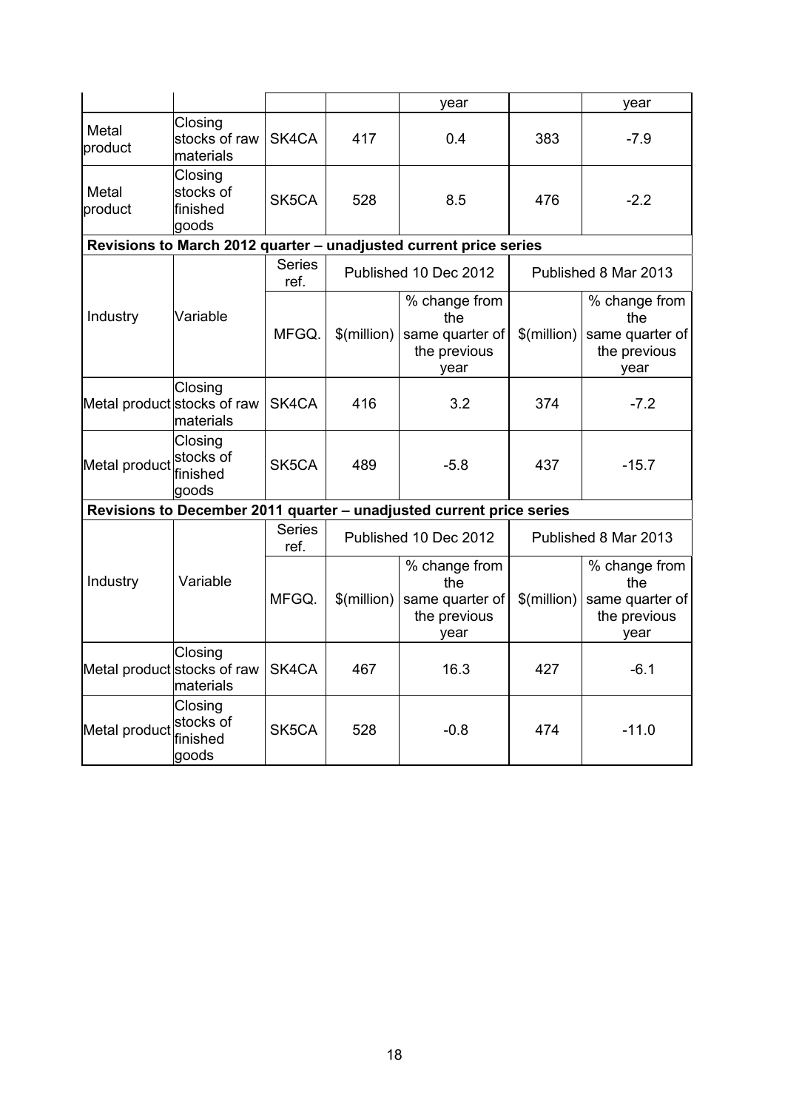|                             |                                            |                       |               | year                                                                 |               | year                                                            |
|-----------------------------|--------------------------------------------|-----------------------|---------------|----------------------------------------------------------------------|---------------|-----------------------------------------------------------------|
| Metal<br>product            | Closing<br>stocks of raw<br>materials      | SK4CA                 | 417           | 0.4                                                                  | 383           | $-7.9$                                                          |
| Metal<br>product            | Closing<br>stocks of<br>finished<br>lgoods | SK5CA                 | 528           | 8.5                                                                  | 476           | $-2.2$                                                          |
|                             |                                            |                       |               | Revisions to March 2012 quarter - unadjusted current price series    |               |                                                                 |
|                             |                                            | <b>Series</b><br>ref. |               | Published 10 Dec 2012                                                |               | Published 8 Mar 2013                                            |
| Industry                    | Variable                                   | MFGQ.                 | $$$ (million) | % change from<br>the<br>same quarter of<br>the previous<br>year      | $$$ (million) | % change from<br>the<br>same quarter of<br>the previous<br>year |
| Metal product stocks of raw | Closing<br>materials                       | SK4CA                 | 416           | 3.2                                                                  | 374           | $-7.2$                                                          |
| Metal product               | Closing<br>stocks of<br>lfinished<br>goods | SK5CA                 | 489           | $-5.8$                                                               | 437           | $-15.7$                                                         |
|                             |                                            |                       |               | Revisions to December 2011 quarter - unadjusted current price series |               |                                                                 |
|                             |                                            | <b>Series</b><br>ref. |               | Published 10 Dec 2012                                                |               | Published 8 Mar 2013                                            |
| Industry                    | Variable                                   | MFGQ.                 | $$$ (million) | % change from<br>the<br>same quarter of<br>the previous<br>year      | \$(million)   | % change from<br>the<br>same quarter of<br>the previous<br>year |
| Metal product stocks of raw | Closing<br>materials                       | SK4CA                 | 467           | 16.3                                                                 | 427           | $-6.1$                                                          |
| Metal product               | Closing<br>stocks of<br>finished<br>goods  | SK5CA                 | 528           | $-0.8$                                                               | 474           | $-11.0$                                                         |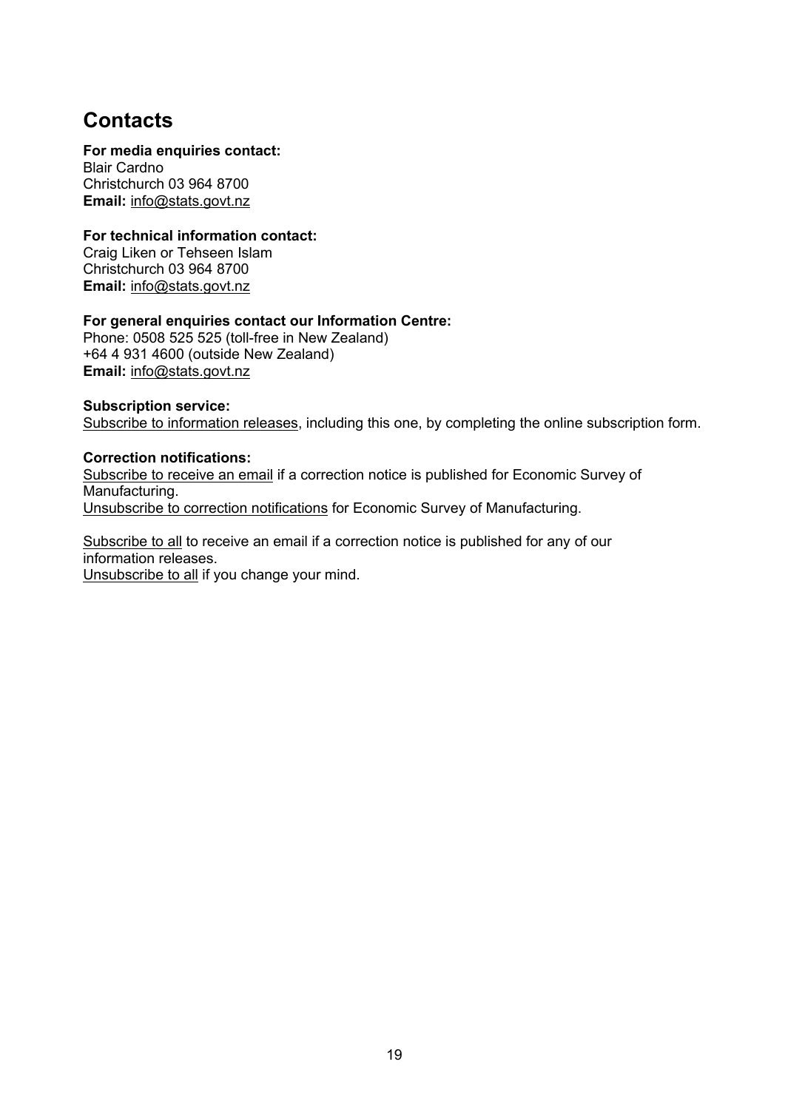# **Contacts**

#### **For media enquiries contact:**

Blair Cardno Christchurch 03 964 8700 **Email:** [info@stats.govt.nz](mailto:info@stats.govt.nz)

#### **For technical information contact:**

Craig Liken or Tehseen Islam Christchurch 03 964 8700 **Email:** [info@stats.govt.nz](mailto:info@stats.govt.nz)

#### **For general enquiries contact our Information Centre:**

Phone: 0508 525 525 (toll-free in New Zealand) +64 4 931 4600 (outside New Zealand) **Email:** [info@stats.govt.nz](mailto:info@stats.govt.nz)

#### **Subscrip[ti](http://www.stats.govt.nz/tools_and_services/services/releases-subscription.aspx)on service:**

[Subscribe](http://www.stats.govt.nz/tools_and_services/services/releases-subscription.aspx) [to](http://www.stats.govt.nz/tools_and_services/services/releases-subscription.aspx) [information](http://www.stats.govt.nz/tools_and_services/services/releases-subscription.aspx) [releases](http://www.stats.govt.nz/tools_and_services/services/releases-subscription.aspx), including this one, by completing the online subscription form.

#### **Correction notifications:**

[Subscribe](mailto:subscriptions@stats.govt.nz?subject=Subscribe to correction notifications for Economic Survey of Manufacturing) [to](mailto:subscriptions@stats.govt.nz?subject=Subscribe to correction notifications for Economic Survey of Manufacturing) [receive](mailto:subscriptions@stats.govt.nz?subject=Subscribe to correction notifications for Economic Survey of Manufacturing) [an](mailto:subscriptions@stats.govt.nz?subject=Subscribe to correction notifications for Economic Survey of Manufacturing) [email](mailto:subscriptions@stats.govt.nz?subject=Subscribe to correction notifications for Economic Survey of Manufacturing) if a correction notice is published for Economic Survey of Manufacturing. [Unsubscribe](mailto:subscriptions@stats.govt.nz?subject=Unsubscribe to correction notifications for Economic Survey of Manufacturing) [to](mailto:subscriptions@stats.govt.nz?subject=Unsubscribe to correction notifications for Economic Survey of Manufacturing) [correction](mailto:subscriptions@stats.govt.nz?subject=Unsubscribe to correction notifications for Economic Survey of Manufacturing) [notifications](mailto:subscriptions@stats.govt.nz?subject=Unsubscribe to correction notifications for Economic Survey of Manufacturing) for Economic Survey of Manufacturing.

[Subscribe](mailto:subscriptions@stats.govt.nz?subject=Subscribe to correction notifications for all releases) [to](mailto:subscriptions@stats.govt.nz?subject=Subscribe to correction notifications for all releases) [all](mailto:subscriptions@stats.govt.nz?subject=Subscribe to correction notifications for all releases) to receive an email if a correction notice is published for any of our information releases. [Unsubscribe](mailto:subscriptions@stats.govt.nz?subject=Unsubscribe to correction notifications for all releases) [to](mailto:subscriptions@stats.govt.nz?subject=Unsubscribe to correction notifications for all releases) [all](mailto:subscriptions@stats.govt.nz?subject=Unsubscribe to correction notifications for all releases) if you change your mind.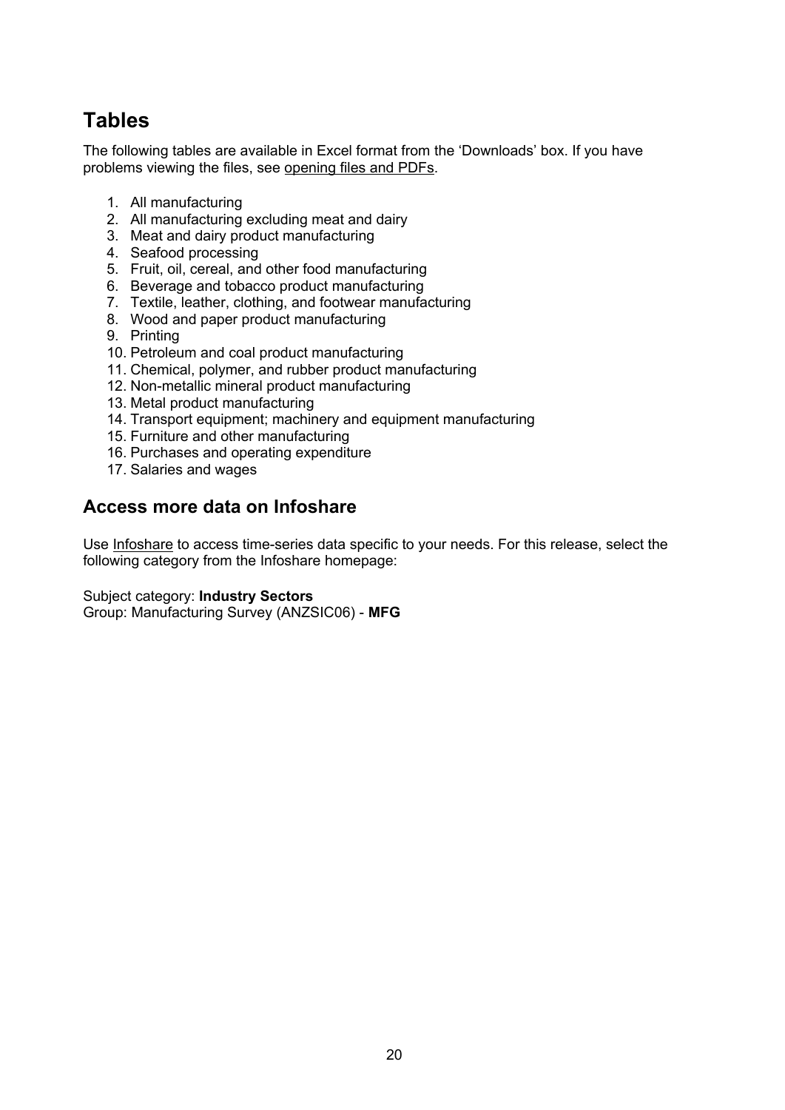The following tables are available in Excel format from the 'Downloads' box. If you have problems viewing the files, see [opening](http://www.stats.govt.nz/about_us/about-this-site/help/with-technical-issues.aspx#files) [files](http://www.stats.govt.nz/about_us/about-this-site/help/with-technical-issues.aspx#files) [and](http://www.stats.govt.nz/about_us/about-this-site/help/with-technical-issues.aspx#files) [PDFs.](http://www.stats.govt.nz/about_us/about-this-site/help/with-technical-issues.aspx#files)

- 1. All manufacturing
- 2. All manufacturing excluding meat and dairy
- 3. Meat and dairy product manufacturing
- 4. Seafood processing
- 5. Fruit, oil, cereal, and other food manufacturing
- 6. Beverage and tobacco product manufacturing
- 7. Textile, leather, clothing, and footwear manufacturing
- 8. Wood and paper product manufacturing
- 9. Printing
- 10. Petroleum and coal product manufacturing
- 11. Chemical, polymer, and rubber product manufacturing
- 12. Non-metallic mineral product manufacturing
- 13. Metal product manufacturing
- 14. Transport equipment; machinery and equipment manufacturing
- 15. Furniture and other manufacturing
- 16. Purchases and operating expenditure
- 17. Salaries and wages

## **Access more data on Infoshare**

Use [Infoshare](http://www.stats.govt.nz/infoshare/) to access time-series data specific to your needs. For this release, select the following category from the Infoshare homepage:

Subject category: **Industry Sectors**

Group: Manufacturing Survey (ANZSIC06) - **MFG**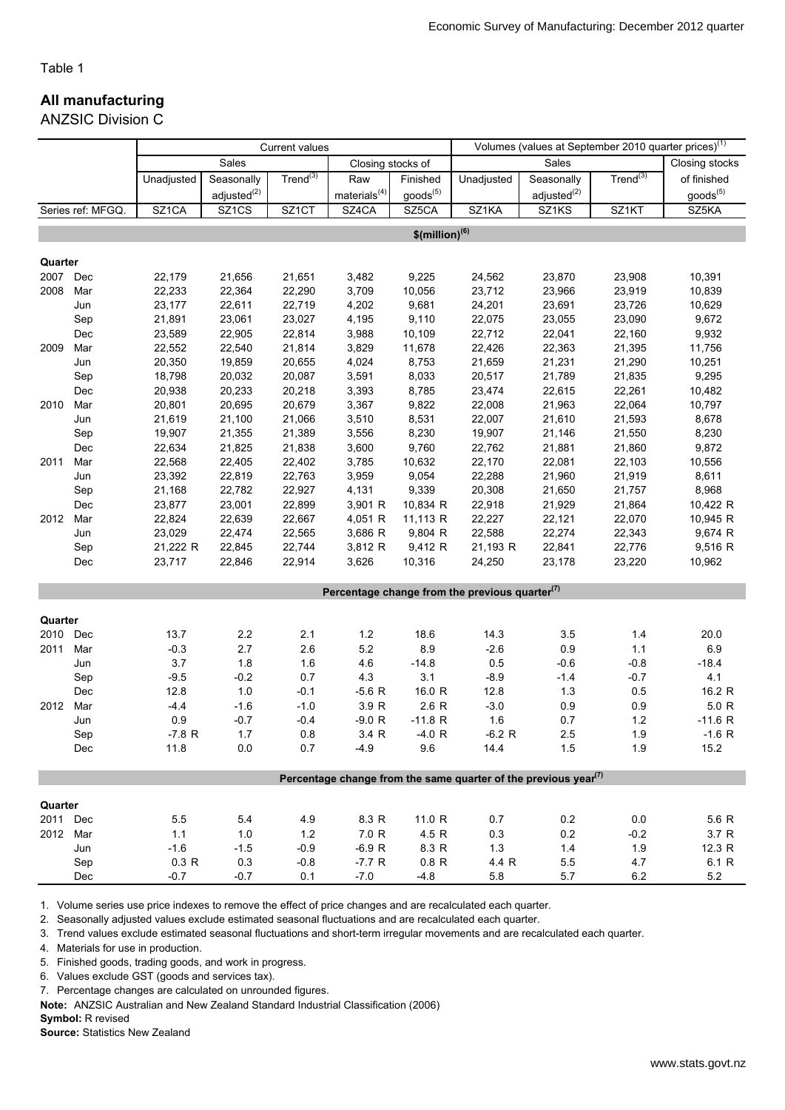#### All manufacturing

ANZSIC Division C

|          |                   | <b>Current values</b> |                         |                      |                   |                              |                                                                                          | Volumes (values at September 2010 quarter prices) <sup>(1)</sup> |               |                      |  |
|----------|-------------------|-----------------------|-------------------------|----------------------|-------------------|------------------------------|------------------------------------------------------------------------------------------|------------------------------------------------------------------|---------------|----------------------|--|
|          |                   |                       | Sales                   |                      | Closing stocks of |                              |                                                                                          | Sales                                                            |               | Closing stocks       |  |
|          |                   | Unadjusted            | Seasonally              | Trend <sup>(3)</sup> | Raw               | Finished                     | Unadjusted                                                                               | Seasonally                                                       | $Trend^{(3)}$ | of finished          |  |
|          |                   |                       | adiusted <sup>(2)</sup> |                      | materials $(4)$   | goods <sup>(5)</sup>         |                                                                                          | adjusted <sup>(2)</sup>                                          |               | goods <sup>(5)</sup> |  |
|          | Series ref: MFGQ. | SZ1CA                 | SZ1CS                   | SZ1CT                | SZ4CA             | SZ5CA                        | SZ1KA                                                                                    | SZ1KS                                                            | SZ1KT         | SZ5KA                |  |
|          |                   |                       |                         |                      |                   | $$$ (million) <sup>(6)</sup> |                                                                                          |                                                                  |               |                      |  |
|          |                   |                       |                         |                      |                   |                              |                                                                                          |                                                                  |               |                      |  |
| Quarter  |                   |                       |                         |                      |                   |                              |                                                                                          |                                                                  |               |                      |  |
| 2007     | Dec               | 22,179                | 21,656                  | 21,651               | 3,482             | 9,225                        | 24,562                                                                                   | 23,870                                                           | 23,908        | 10,391               |  |
| 2008     | Mar               | 22,233                | 22,364                  | 22,290               | 3,709             | 10,056                       | 23,712                                                                                   | 23,966                                                           | 23,919        | 10,839               |  |
|          | Jun               | 23,177                | 22,611                  | 22,719               | 4,202             | 9,681                        | 24,201                                                                                   | 23,691                                                           | 23,726        | 10,629               |  |
|          | Sep               | 21,891                | 23,061                  | 23,027               | 4,195             | 9,110                        | 22,075                                                                                   | 23,055                                                           | 23,090        | 9,672                |  |
|          | Dec               | 23,589                | 22,905                  | 22,814               | 3,988             | 10,109                       | 22,712                                                                                   | 22,041                                                           | 22,160        | 9,932                |  |
| 2009     | Mar               | 22,552                | 22,540                  | 21,814               | 3,829             | 11,678                       | 22,426                                                                                   | 22,363                                                           | 21,395        | 11,756               |  |
|          | Jun               | 20,350                | 19,859                  | 20,655               | 4,024             | 8,753                        | 21,659                                                                                   | 21,231                                                           | 21,290        | 10,251               |  |
|          | Sep               | 18,798                | 20,032                  | 20,087               | 3,591             | 8,033                        | 20,517                                                                                   | 21,789                                                           | 21,835        | 9,295                |  |
|          | Dec               | 20,938                | 20,233                  | 20,218               | 3,393             | 8,785                        | 23,474                                                                                   | 22,615                                                           | 22,261        | 10,482               |  |
| 2010     | Mar               | 20,801                | 20,695                  | 20,679               | 3,367             | 9,822                        | 22,008                                                                                   | 21,963                                                           | 22,064        | 10,797               |  |
|          | Jun               | 21,619                | 21,100                  | 21,066               | 3,510             | 8,531                        | 22,007                                                                                   | 21,610                                                           | 21,593        | 8,678                |  |
|          | Sep               | 19,907                | 21,355                  | 21,389               | 3,556             | 8,230                        | 19,907                                                                                   | 21,146                                                           | 21,550        | 8,230                |  |
|          | Dec               | 22,634                | 21,825                  | 21,838               | 3,600             | 9,760                        | 22,762                                                                                   | 21,881                                                           | 21,860        | 9,872                |  |
| 2011     | Mar               | 22,568                | 22,405                  | 22,402               | 3,785             | 10,632                       | 22,170                                                                                   | 22,081                                                           | 22,103        | 10,556               |  |
|          | Jun               | 23,392                | 22,819                  | 22,763               | 3,959             | 9,054                        | 22,288                                                                                   | 21,960                                                           | 21,919        | 8,611                |  |
|          | Sep               | 21,168                | 22,782                  | 22,927               | 4,131             | 9,339                        | 20,308                                                                                   | 21,650                                                           | 21,757        | 8,968                |  |
|          | Dec               | 23,877                | 23,001                  | 22,899               | 3,901 R           | 10,834 R                     | 22,918                                                                                   | 21,929                                                           | 21,864        | 10,422 R             |  |
| 2012     | Mar               | 22,824                | 22,639                  | 22,667               | 4,051 R           | 11,113 R                     | 22,227                                                                                   | 22,121                                                           | 22,070        | 10,945 R             |  |
|          | Jun               | 23,029                | 22,474                  | 22,565               | 3,686 R           | 9,804 R                      | 22,588                                                                                   | 22,274                                                           | 22,343        | 9,674 R              |  |
|          | Sep               | 21,222 R              | 22,845                  | 22,744               | 3,812 R           | 9,412 R                      | 21,193 R                                                                                 | 22,841                                                           | 22,776        | 9,516 R              |  |
|          | Dec               | 23,717                | 22,846                  | 22,914               | 3,626             | 10,316                       | 24,250                                                                                   | 23,178                                                           | 23,220        | 10,962               |  |
|          |                   |                       |                         |                      |                   |                              |                                                                                          |                                                                  |               |                      |  |
|          |                   |                       |                         |                      |                   |                              | Percentage change from the previous quarter $(7)$                                        |                                                                  |               |                      |  |
| Quarter  |                   |                       |                         |                      |                   |                              |                                                                                          |                                                                  |               |                      |  |
| 2010     | Dec               | 13.7                  | $2.2\,$                 | 2.1                  | 1.2               | 18.6                         | 14.3                                                                                     | 3.5                                                              | $1.4$         | 20.0                 |  |
| 2011     | Mar               | $-0.3$                | 2.7                     | 2.6                  | 5.2               | 8.9                          | $-2.6$                                                                                   | 0.9                                                              | 1.1           | 6.9                  |  |
|          | Jun               | 3.7                   | 1.8                     | 1.6                  | 4.6               | $-14.8$                      | 0.5                                                                                      | $-0.6$                                                           | $-0.8$        | $-18.4$              |  |
|          | Sep               | $-9.5$                | $-0.2$                  | 0.7                  | 4.3               | 3.1                          | $-8.9$                                                                                   | $-1.4$                                                           | $-0.7$        | 4.1                  |  |
|          | Dec               | 12.8                  | $1.0$                   | $-0.1$               | $-5.6 R$          | 16.0 R                       | 12.8                                                                                     | $1.3$                                                            | 0.5           | 16.2 R               |  |
| 2012     | Mar               | $-4.4$                | $-1.6$                  | $-1.0$               | 3.9 R             | 2.6 R                        | $-3.0$                                                                                   | 0.9                                                              | 0.9           | 5.0 R                |  |
|          | Jun               | 0.9                   | $-0.7$                  | $-0.4$               | $-9.0 R$          | $-11.8 R$                    | 1.6                                                                                      | 0.7                                                              | 1.2           | $-11.6 R$            |  |
|          | Sep               | $-7.8 R$              | $1.7$                   | 0.8                  | 3.4 R             | $-4.0 R$                     | $-6.2 R$                                                                                 | 2.5                                                              | 1.9           | $-1.6 R$             |  |
|          | Dec               | 11.8                  | 0.0                     | 0.7                  | $-4.9$            | 9.6                          | 14.4                                                                                     | 1.5                                                              | 1.9           | 15.2                 |  |
|          |                   |                       |                         |                      |                   |                              |                                                                                          |                                                                  |               |                      |  |
|          |                   |                       |                         |                      |                   |                              | Percentage change from the same quarter of the previous year <sup><math>(7)</math></sup> |                                                                  |               |                      |  |
| Quarter  |                   |                       |                         |                      |                   |                              |                                                                                          |                                                                  |               |                      |  |
|          | 2011 Dec          | 5.5                   | 5.4                     | 4.9                  | 8.3 R             | 11.0 R                       | 0.7                                                                                      | 0.2                                                              | 0.0           | 5.6 R                |  |
| 2012 Mar |                   | 1.1                   | $1.0\,$                 | 1.2                  | 7.0 R             | 4.5 R                        | 0.3                                                                                      | 0.2                                                              | $-0.2$        | 3.7 R                |  |
|          | Jun               | $-1.6$                | $-1.5$                  | $-0.9$               | $-6.9 R$          | 8.3 R                        | 1.3                                                                                      | $1.4$                                                            | 1.9           | 12.3 R               |  |
|          | Sep               | 0.3 R                 | 0.3                     | $-0.8$               | $-7.7 R$          | 0.8 R                        | 4.4 R                                                                                    | $5.5\,$                                                          | 4.7           | 6.1 R                |  |
|          | Dec               | $-0.7$                | $-0.7$                  | 0.1                  | $-7.0$            | $-4.8$                       | 5.8                                                                                      | 5.7                                                              | 6.2           | 5.2                  |  |

1. Volume series use price indexes to remove the effect of price changes and are recalculated each quarter.

2. Seasonally adjusted values exclude estimated seasonal fluctuations and are recalculated each quarter.

3. Trend values exclude estimated seasonal fluctuations and short-term irregular movements and are recalculated each quarter.

4. Materials for use in production.

5. Finished goods, trading goods, and work in progress.

6. Values exclude GST (goods and services tax).

7. Percentage changes are calculated on unrounded figures.

Note: ANZSIC Australian and New Zealand Standard Industrial Classification (2006)

Symbol: R revised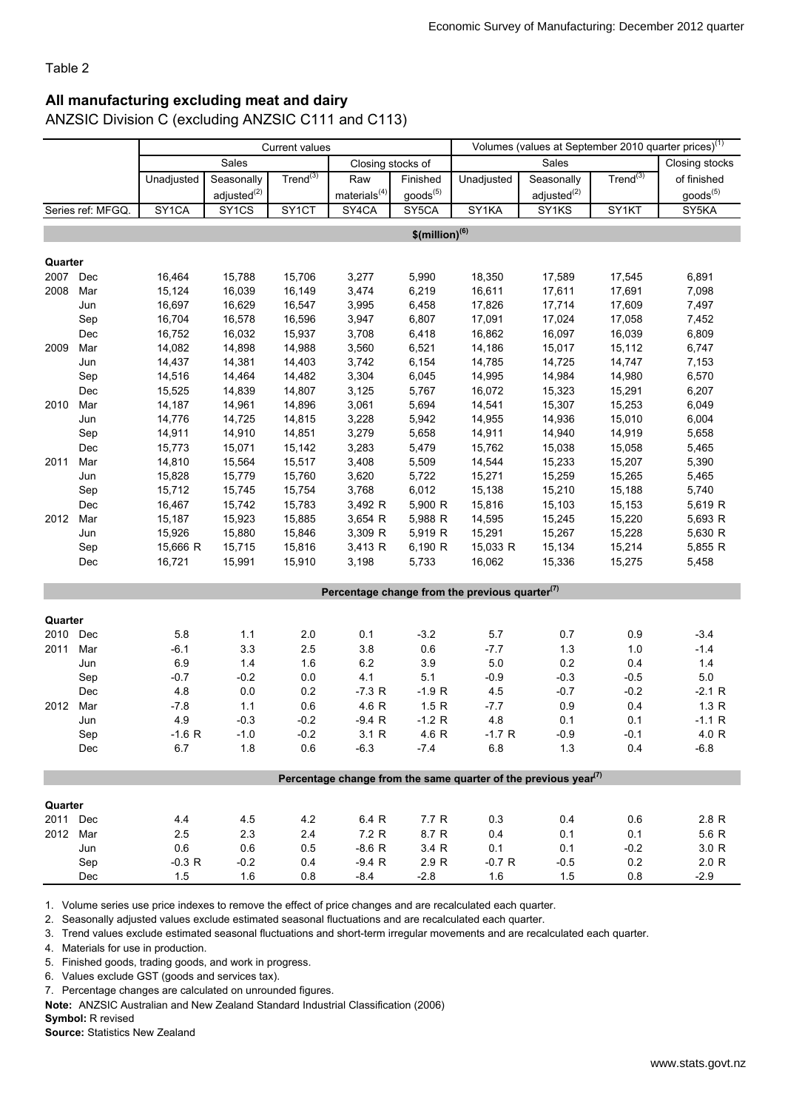### All manufacturing excluding meat and dairy

ANZSIC Division C (excluding ANZSIC C111 and C113)

|          |                   | <b>Current values</b> |                         |                    |                   |                              |                                                                                          | Volumes (values at September 2010 quarter prices) <sup>(1)</sup> |                |                      |
|----------|-------------------|-----------------------|-------------------------|--------------------|-------------------|------------------------------|------------------------------------------------------------------------------------------|------------------------------------------------------------------|----------------|----------------------|
|          |                   |                       | Sales                   |                    | Closing stocks of |                              |                                                                                          | Sales                                                            |                | Closing stocks       |
|          |                   | Unadjusted            | Seasonally              | $Trend^{(3)}$      | Raw               | Finished                     | Unadjusted                                                                               | Seasonally                                                       | Trend $^{(3)}$ | of finished          |
|          |                   |                       | adjusted <sup>(2)</sup> |                    | materials $(4)$   | goods <sup>(5)</sup>         |                                                                                          | adjusted $(2)$                                                   |                | goods <sup>(5)</sup> |
|          | Series ref: MFGQ. | SY <sub>1</sub> CA    | SY <sub>1</sub> CS      | SY <sub>1</sub> CT | SY4CA             | SY <sub>5</sub> CA           | SY1KA                                                                                    | SY1KS                                                            | SY1KT          | SY5KA                |
|          |                   |                       |                         |                    |                   | $$$ (million) <sup>(6)</sup> |                                                                                          |                                                                  |                |                      |
|          |                   |                       |                         |                    |                   |                              |                                                                                          |                                                                  |                |                      |
| Quarter  |                   |                       |                         |                    |                   |                              |                                                                                          |                                                                  |                |                      |
| 2007 Dec |                   | 16,464                | 15,788                  | 15,706             | 3,277             | 5,990                        | 18,350                                                                                   | 17,589                                                           | 17,545         | 6,891                |
| 2008     | Mar               | 15,124                | 16,039                  | 16,149             | 3,474             | 6,219                        | 16,611                                                                                   | 17,611                                                           | 17,691         | 7,098                |
|          | Jun               | 16,697                | 16,629                  | 16,547             | 3,995             | 6,458                        | 17,826                                                                                   | 17,714                                                           | 17,609         | 7,497                |
|          | Sep               | 16,704                | 16,578                  | 16,596             | 3,947             | 6,807                        | 17,091                                                                                   | 17,024                                                           | 17,058         | 7,452                |
|          | Dec               | 16,752                | 16,032                  | 15,937             | 3,708             | 6,418                        | 16,862                                                                                   | 16,097                                                           | 16,039         | 6,809                |
| 2009     | Mar               | 14,082                | 14,898                  | 14,988             | 3,560             | 6,521                        | 14,186                                                                                   | 15,017                                                           | 15,112         | 6,747                |
|          | Jun               | 14,437                | 14,381                  | 14,403             | 3,742             | 6,154                        | 14,785                                                                                   | 14,725                                                           | 14,747         | 7,153                |
|          | Sep               | 14,516                | 14,464                  | 14,482             | 3,304             | 6,045                        | 14,995                                                                                   | 14,984                                                           | 14,980         | 6,570                |
|          | Dec               | 15,525                | 14,839                  | 14,807             | 3,125             | 5,767                        | 16,072                                                                                   | 15,323                                                           | 15,291         | 6,207                |
| 2010     | Mar               | 14,187                | 14,961                  | 14,896             | 3,061             | 5,694                        | 14,541                                                                                   | 15,307                                                           | 15,253         | 6,049                |
|          | Jun               | 14,776                | 14,725                  | 14,815             | 3,228             | 5,942                        | 14,955                                                                                   | 14,936                                                           | 15,010         | 6,004                |
|          | Sep               | 14,911                | 14,910                  | 14,851             | 3,279             | 5,658                        | 14,911                                                                                   | 14,940                                                           | 14,919         | 5,658                |
|          | Dec               | 15,773                | 15,071                  | 15,142             | 3,283             | 5,479                        | 15,762                                                                                   | 15,038                                                           | 15,058         | 5,465                |
| 2011     | Mar               | 14,810                | 15,564                  | 15,517             | 3,408             | 5,509                        | 14,544                                                                                   | 15,233                                                           | 15,207         | 5,390                |
|          | Jun               | 15,828                | 15,779                  | 15,760             | 3,620             | 5,722                        | 15,271                                                                                   | 15,259                                                           | 15,265         | 5,465                |
|          | Sep               | 15,712                | 15,745                  | 15,754             | 3,768             | 6,012                        | 15,138                                                                                   | 15,210                                                           | 15,188         | 5,740                |
|          | Dec               | 16,467                | 15,742                  | 15,783             | 3,492 R           | 5,900 R                      | 15,816                                                                                   | 15,103                                                           | 15,153         | 5,619 R              |
| 2012     | Mar               | 15,187                | 15,923                  | 15,885             | 3,654 R           | 5,988 R                      | 14,595                                                                                   | 15,245                                                           | 15,220         | 5,693 R              |
|          | Jun               | 15,926                | 15,880                  | 15,846             | 3,309 R           | 5,919 R                      | 15,291                                                                                   | 15,267                                                           | 15,228         | 5,630 R              |
|          | Sep               | 15,666 R              | 15,715                  | 15,816             | 3,413 R           | 6,190 R                      | 15,033 R                                                                                 | 15,134                                                           | 15,214         | 5,855 R              |
|          | Dec               | 16,721                | 15,991                  | 15,910             | 3,198             | 5,733                        | 16,062                                                                                   | 15,336                                                           | 15,275         | 5,458                |
|          |                   |                       |                         |                    |                   |                              | Percentage change from the previous quarter <sup>(7)</sup>                               |                                                                  |                |                      |
|          |                   |                       |                         |                    |                   |                              |                                                                                          |                                                                  |                |                      |
| Quarter  |                   |                       |                         |                    |                   |                              |                                                                                          |                                                                  |                |                      |
| 2010     | Dec               | 5.8                   | 1.1                     | 2.0                | 0.1               | $-3.2$                       | 5.7                                                                                      | 0.7                                                              | 0.9            | $-3.4$               |
| 2011     | Mar               | $-6.1$                | 3.3                     | 2.5                | 3.8               | 0.6                          | $-7.7$                                                                                   | 1.3                                                              | 1.0            | $-1.4$               |
|          | Jun               | 6.9                   | $1.4$                   | 1.6                | $6.2\,$           | 3.9                          | 5.0                                                                                      | 0.2                                                              | 0.4            | 1.4                  |
|          | Sep               | $-0.7$                | $-0.2$                  | 0.0                | 4.1               | 5.1                          | $-0.9$                                                                                   | $-0.3$                                                           | $-0.5$         | 5.0                  |
|          | Dec               | 4.8                   | 0.0                     | 0.2                | $-7.3 R$          | $-1.9 R$                     | 4.5                                                                                      | $-0.7$                                                           | $-0.2$         | $-2.1 R$             |
| 2012     | Mar               | $-7.8$                | 1.1                     | 0.6                | 4.6 R             | 1.5R                         | $-7.7$                                                                                   | 0.9                                                              | 0.4            | 1.3 R                |
|          | Jun               | 4.9                   | $-0.3$                  | $-0.2$             | $-9.4 R$          | $-1.2 R$                     | 4.8                                                                                      | 0.1                                                              | 0.1            | $-1.1 R$             |
|          | Sep               | $-1.6 R$              | $-1.0$                  | $-0.2$             | 3.1 R             | 4.6 R                        | $-1.7 R$                                                                                 | $-0.9$                                                           | $-0.1$         | 4.0 R                |
|          | Dec               | 6.7                   | 1.8                     | 0.6                | $-6.3$            | $-7.4$                       | $6.8\,$                                                                                  | 1.3                                                              | 0.4            | $-6.8$               |
|          |                   |                       |                         |                    |                   |                              | Percentage change from the same quarter of the previous year <sup><math>(7)</math></sup> |                                                                  |                |                      |
|          |                   |                       |                         |                    |                   |                              |                                                                                          |                                                                  |                |                      |
| Quarter  |                   |                       |                         |                    |                   |                              |                                                                                          |                                                                  |                |                      |
| 2011 Dec |                   | 4.4                   | 4.5                     | 4.2                | 6.4 R             | 7.7 R                        | 0.3                                                                                      | 0.4                                                              | 0.6            | 2.8 R                |
| 2012 Mar |                   | 2.5                   | 2.3                     | 2.4                | 7.2 R             | 8.7 R                        | 0.4                                                                                      | 0.1                                                              | 0.1            | 5.6 R                |
|          | Jun               | 0.6                   | 0.6                     | 0.5                | $-8.6 R$          | 3.4 R                        | 0.1                                                                                      | 0.1                                                              | $-0.2$         | 3.0 R                |
|          | Sep               | $-0.3 R$              | $-0.2$                  | 0.4                | $-9.4 R$          | 2.9 R                        | $-0.7 R$                                                                                 | $-0.5$                                                           | 0.2            | 2.0 R                |
|          | Dec               | 1.5                   | 1.6                     | 0.8                | $-8.4$            | $-2.8$                       | 1.6                                                                                      | 1.5                                                              | 0.8            | $-2.9$               |

1. Volume series use price indexes to remove the effect of price changes and are recalculated each quarter.

2. Seasonally adjusted values exclude estimated seasonal fluctuations and are recalculated each quarter.

3. Trend values exclude estimated seasonal fluctuations and short-term irregular movements and are recalculated each quarter.

4. Materials for use in production.

5. Finished goods, trading goods, and work in progress.

6. Values exclude GST (goods and services tax).

7. Percentage changes are calculated on unrounded figures.

Note: ANZSIC Australian and New Zealand Standard Industrial Classification (2006)

Symbol: R revised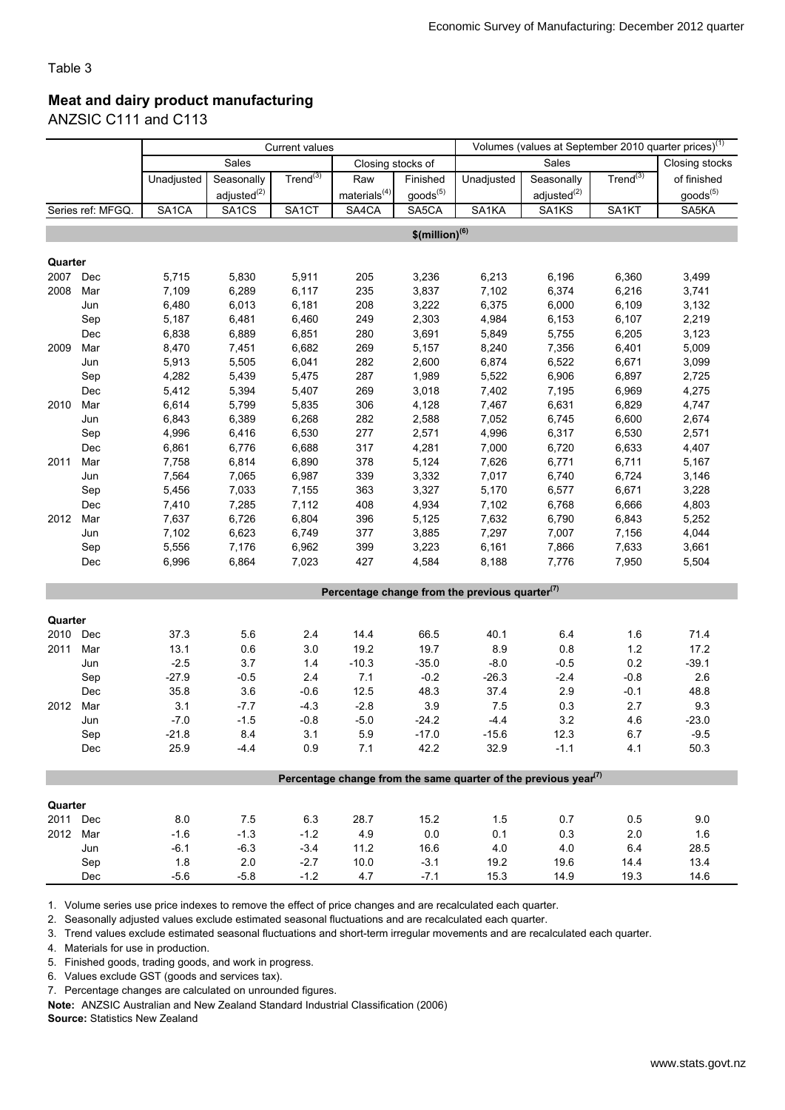### Meat and dairy product manufacturing

ANZSIC C111 and C113

|          |                   | Volumes (values at September 2010 quarter prices) <sup>(1)</sup><br><b>Current values</b> |                         |                    |                    |                              |                                                                                          |                         |                      |                      |
|----------|-------------------|-------------------------------------------------------------------------------------------|-------------------------|--------------------|--------------------|------------------------------|------------------------------------------------------------------------------------------|-------------------------|----------------------|----------------------|
|          |                   |                                                                                           | Sales                   |                    | Closing stocks of  |                              |                                                                                          | Sales                   |                      | Closing stocks       |
|          |                   | Unadjusted                                                                                | Seasonally              | $Trend^{(3)}$      | Raw                | Finished                     | Unadjusted                                                                               | Seasonally              | Trend <sup>(3)</sup> | of finished          |
|          |                   |                                                                                           | adiusted <sup>(2)</sup> |                    | materials $^{(4)}$ | $goods^{(5)}$                |                                                                                          | adjusted <sup>(2)</sup> |                      | goods <sup>(5)</sup> |
|          | Series ref: MFGQ. | SA <sub>1</sub> CA                                                                        | SA <sub>1</sub> CS      | SA <sub>1</sub> CT | SA4CA              | SA5CA                        | SA1KA                                                                                    | SA1KS                   | SA1KT                | SA5KA                |
|          |                   |                                                                                           |                         |                    |                    | $$$ (million) <sup>(6)</sup> |                                                                                          |                         |                      |                      |
|          |                   |                                                                                           |                         |                    |                    |                              |                                                                                          |                         |                      |                      |
| Quarter  |                   |                                                                                           |                         |                    |                    |                              |                                                                                          |                         |                      |                      |
| 2007 Dec |                   | 5,715                                                                                     | 5,830                   | 5,911              | 205                | 3,236                        | 6,213                                                                                    | 6,196                   | 6,360                | 3,499                |
| 2008     | Mar               | 7,109                                                                                     | 6,289                   | 6,117              | 235                | 3,837                        | 7,102                                                                                    | 6,374                   | 6,216                | 3,741                |
|          | Jun               | 6,480                                                                                     | 6,013                   | 6,181              | 208                | 3,222                        | 6,375                                                                                    | 6,000                   | 6,109                | 3,132                |
|          | Sep               | 5,187                                                                                     | 6,481                   | 6,460              | 249                | 2,303                        | 4,984                                                                                    | 6,153                   | 6,107                | 2,219                |
|          | Dec               | 6,838                                                                                     | 6,889                   | 6,851              | 280                | 3,691                        | 5,849                                                                                    | 5,755                   | 6,205                | 3,123                |
| 2009     | Mar               | 8,470                                                                                     | 7,451                   | 6,682              | 269                | 5,157                        | 8,240                                                                                    | 7,356                   | 6,401                | 5,009                |
|          | Jun               | 5,913                                                                                     | 5,505                   | 6,041              | 282                | 2,600                        | 6,874                                                                                    | 6,522                   | 6,671                | 3,099                |
|          | Sep               | 4,282                                                                                     | 5,439                   | 5,475              | 287                | 1,989                        | 5,522                                                                                    | 6,906                   | 6,897                | 2,725                |
|          | Dec               | 5,412                                                                                     | 5,394                   | 5,407              | 269                | 3,018                        | 7,402                                                                                    | 7,195                   | 6,969                | 4,275                |
| 2010     | Mar               | 6,614                                                                                     | 5,799                   | 5,835              | 306                | 4,128                        | 7,467                                                                                    | 6,631                   | 6,829                | 4,747                |
|          | Jun               | 6,843                                                                                     | 6,389                   | 6,268              | 282                | 2,588                        | 7,052                                                                                    | 6,745                   | 6,600                | 2,674                |
|          | Sep               | 4,996                                                                                     | 6,416                   | 6,530              | 277                | 2,571                        | 4,996                                                                                    | 6,317                   | 6,530                | 2,571                |
|          | Dec               | 6,861                                                                                     | 6,776                   | 6,688              | 317                | 4,281                        | 7,000                                                                                    | 6,720                   | 6,633                | 4,407                |
| 2011     | Mar               | 7,758                                                                                     | 6,814                   | 6,890              | 378                | 5,124                        | 7,626                                                                                    | 6,771                   | 6,711                | 5,167                |
|          | Jun               | 7,564                                                                                     | 7,065                   | 6,987              | 339                | 3,332                        | 7,017                                                                                    | 6,740                   | 6,724                | 3,146                |
|          | Sep               | 5,456                                                                                     | 7,033                   | 7,155              | 363                | 3,327                        | 5,170                                                                                    | 6,577                   | 6,671                | 3,228                |
|          | Dec               | 7,410                                                                                     | 7,285                   | 7,112              | 408                | 4,934                        | 7,102                                                                                    | 6,768                   | 6,666                | 4,803                |
| 2012     | Mar               | 7,637                                                                                     | 6,726                   | 6,804              | 396                | 5,125                        | 7,632                                                                                    | 6,790                   | 6,843                | 5,252                |
|          | Jun               | 7,102                                                                                     | 6,623                   | 6,749              | 377                | 3,885                        | 7,297                                                                                    | 7,007                   | 7,156                | 4,044                |
|          | Sep               | 5,556                                                                                     | 7,176                   | 6,962              | 399                | 3,223                        | 6,161                                                                                    | 7,866                   | 7,633                | 3,661                |
|          | Dec               | 6,996                                                                                     | 6,864                   | 7,023              | 427                | 4,584                        | 8,188                                                                                    | 7,776                   | 7,950                | 5,504                |
|          |                   |                                                                                           |                         |                    |                    |                              |                                                                                          |                         |                      |                      |
|          |                   |                                                                                           |                         |                    |                    |                              | Percentage change from the previous quarter $(7)$                                        |                         |                      |                      |
| Quarter  |                   |                                                                                           |                         |                    |                    |                              |                                                                                          |                         |                      |                      |
| 2010 Dec |                   | 37.3                                                                                      | 5.6                     | 2.4                | 14.4               | 66.5                         | 40.1                                                                                     | $6.4\,$                 | 1.6                  | 71.4                 |
| 2011     | Mar               | 13.1                                                                                      | 0.6                     | 3.0                | 19.2               | 19.7                         | 8.9                                                                                      | $0.8\,$                 | $1.2$                | 17.2                 |
|          | Jun               | $-2.5$                                                                                    | 3.7                     | 1.4                | $-10.3$            | $-35.0$                      | $-8.0$                                                                                   | $-0.5$                  | 0.2                  | $-39.1$              |
|          | Sep               | $-27.9$                                                                                   | $-0.5$                  | 2.4                | 7.1                | $-0.2$                       | $-26.3$                                                                                  | $-2.4$                  | $-0.8$               | 2.6                  |
|          | Dec               | 35.8                                                                                      | 3.6                     | $-0.6$             | 12.5               | 48.3                         | 37.4                                                                                     | 2.9                     | $-0.1$               | 48.8                 |
| 2012     | Mar               | 3.1                                                                                       | $-7.7$                  | $-4.3$             | $-2.8$             | $3.9\,$                      | 7.5                                                                                      | 0.3                     | 2.7                  | 9.3                  |
|          | Jun               | $-7.0$                                                                                    | $-1.5$                  | $-0.8$             | $-5.0$             | $-24.2$                      | $-4.4$                                                                                   | 3.2                     | 4.6                  | $-23.0$              |
|          | Sep               | $-21.8$                                                                                   | 8.4                     | 3.1                | 5.9                | $-17.0$                      | $-15.6$                                                                                  | 12.3                    | 6.7                  | $-9.5$               |
|          | Dec               | 25.9                                                                                      | $-4.4$                  | 0.9                | 7.1                | 42.2                         | 32.9                                                                                     | $-1.1$                  | 4.1                  | 50.3                 |
|          |                   |                                                                                           |                         |                    |                    |                              |                                                                                          |                         |                      |                      |
|          |                   |                                                                                           |                         |                    |                    |                              | Percentage change from the same quarter of the previous year <sup><math>(7)</math></sup> |                         |                      |                      |
| Quarter  |                   |                                                                                           |                         |                    |                    |                              |                                                                                          |                         |                      |                      |
| 2011 Dec |                   | 8.0                                                                                       | 7.5                     | 6.3                | 28.7               | 15.2                         | 1.5                                                                                      | 0.7                     | 0.5                  | 9.0                  |
| 2012 Mar |                   | $-1.6$                                                                                    | $-1.3$                  | $-1.2$             | 4.9                | $0.0\,$                      | 0.1                                                                                      | 0.3                     | 2.0                  | 1.6                  |
|          | Jun               | $-6.1$                                                                                    | $-6.3$                  | $-3.4$             | 11.2               | 16.6                         | $4.0$                                                                                    | 4.0                     | 6.4                  | 28.5                 |
|          | Sep               | 1.8                                                                                       | 2.0                     | $-2.7$             | 10.0               | $-3.1$                       | 19.2                                                                                     | 19.6                    | 14.4                 | 13.4                 |
|          | Dec               | $-5.6$                                                                                    | $-5.8$                  | $-1.2$             | 4.7                | $-7.1$                       | 15.3                                                                                     | 14.9                    | 19.3                 | 14.6                 |
|          |                   |                                                                                           |                         |                    |                    |                              |                                                                                          |                         |                      |                      |

1. Volume series use price indexes to remove the effect of price changes and are recalculated each quarter.

2. Seasonally adjusted values exclude estimated seasonal fluctuations and are recalculated each quarter.

3. Trend values exclude estimated seasonal fluctuations and short-term irregular movements and are recalculated each quarter.

4. Materials for use in production.

5. Finished goods, trading goods, and work in progress.

6. Values exclude GST (goods and services tax).

7. Percentage changes are calculated on unrounded figures.

Note: ANZSIC Australian and New Zealand Standard Industrial Classification (2006)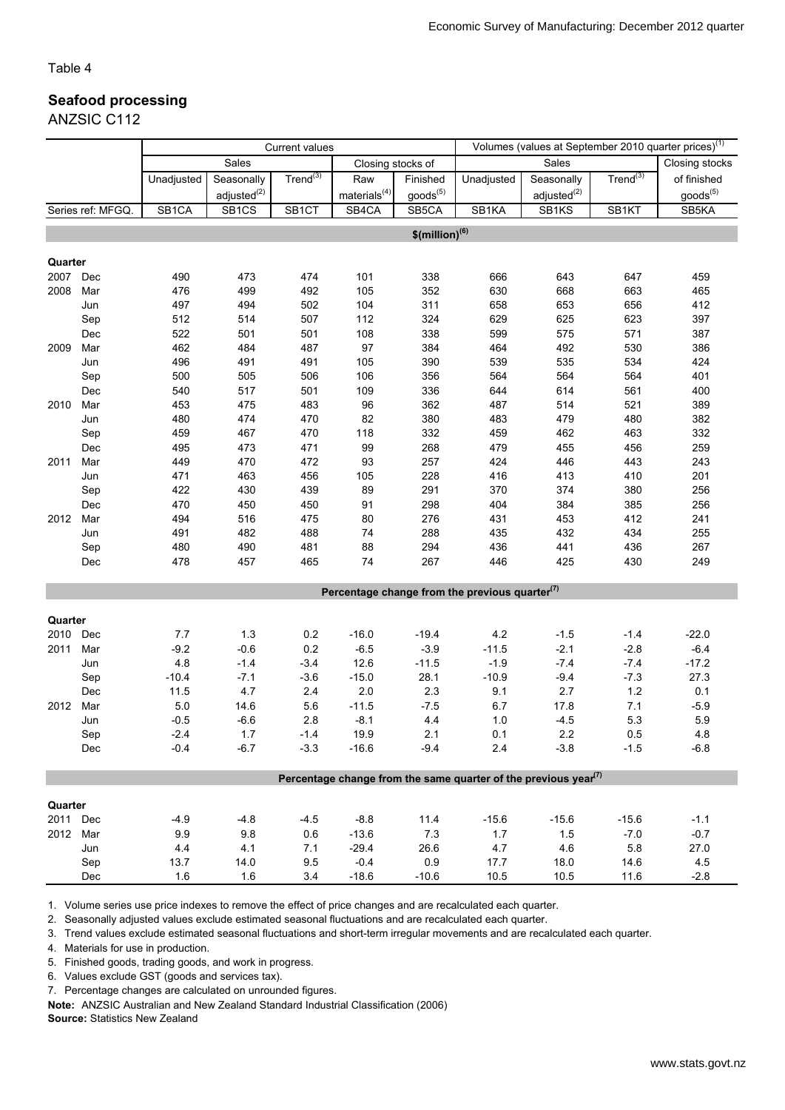### Seafood processing

ANZSIC C112

|          |                   | <b>Current values</b> |                         |                      |                    | Volumes (values at September 2010 quarter prices) <sup>(1)</sup> |                                                                                          |                         |               |                |
|----------|-------------------|-----------------------|-------------------------|----------------------|--------------------|------------------------------------------------------------------|------------------------------------------------------------------------------------------|-------------------------|---------------|----------------|
|          |                   |                       | Sales                   |                      | Closing stocks of  |                                                                  |                                                                                          | Sales                   |               | Closing stocks |
|          |                   | Unadjusted            | Seasonally              | Trend <sup>(3)</sup> | Raw                | Finished                                                         | Unadjusted                                                                               | Seasonally              | $Trend^{(3)}$ | of finished    |
|          |                   |                       | adjusted <sup>(2)</sup> |                      | materials $^{(4)}$ | $goods^{(5)}$                                                    |                                                                                          | adjusted <sup>(2)</sup> |               | $goods^{(5)}$  |
|          | Series ref: MFGQ. | SB1CA                 | SB <sub>1CS</sub>       | SB <sub>1</sub> CT   | SB4CA              | SB5CA                                                            | SB1KA                                                                                    | SB1KS                   | SB1KT         | SB5KA          |
|          |                   |                       |                         |                      |                    |                                                                  |                                                                                          |                         |               |                |
|          |                   |                       |                         |                      |                    | $$$ (million) <sup>(6)</sup>                                     |                                                                                          |                         |               |                |
| Quarter  |                   |                       |                         |                      |                    |                                                                  |                                                                                          |                         |               |                |
| 2007     | Dec               | 490                   | 473                     | 474                  | 101                | 338                                                              | 666                                                                                      | 643                     | 647           | 459            |
| 2008     | Mar               | 476                   | 499                     | 492                  | 105                | 352                                                              | 630                                                                                      | 668                     | 663           | 465            |
|          | Jun               | 497                   | 494                     | 502                  | 104                | 311                                                              | 658                                                                                      | 653                     | 656           | 412            |
|          | Sep               | 512                   | 514                     | 507                  | 112                | 324                                                              | 629                                                                                      | 625                     | 623           | 397            |
|          | Dec               | 522                   | 501                     | 501                  | 108                | 338                                                              | 599                                                                                      | 575                     | 571           | 387            |
| 2009     | Mar               | 462                   | 484                     | 487                  | 97                 | 384                                                              | 464                                                                                      | 492                     | 530           | 386            |
|          | Jun               | 496                   | 491                     | 491                  | 105                | 390                                                              | 539                                                                                      | 535                     | 534           | 424            |
|          | Sep               | 500                   | 505                     | 506                  | 106                | 356                                                              | 564                                                                                      | 564                     | 564           | 401            |
|          | Dec               | 540                   | 517                     | 501                  | 109                | 336                                                              | 644                                                                                      | 614                     | 561           | 400            |
| 2010     | Mar               | 453                   | 475                     | 483                  | 96                 | 362                                                              | 487                                                                                      | 514                     | 521           | 389            |
|          | Jun               | 480                   | 474                     | 470                  | 82                 | 380                                                              | 483                                                                                      | 479                     | 480           | 382            |
|          | Sep               | 459                   | 467                     | 470                  | 118                | 332                                                              | 459                                                                                      | 462                     | 463           | 332            |
|          | Dec               | 495                   | 473                     | 471                  | 99                 | 268                                                              | 479                                                                                      | 455                     | 456           | 259            |
| 2011     | Mar               | 449                   | 470                     | 472                  | 93                 | 257                                                              | 424                                                                                      | 446                     | 443           | 243            |
|          | Jun               | 471                   | 463                     | 456                  | 105                | 228                                                              | 416                                                                                      | 413                     | 410           | 201            |
|          | Sep               | 422                   | 430                     | 439                  | 89                 | 291                                                              | 370                                                                                      | 374                     | 380           | 256            |
|          | Dec               | 470                   | 450                     | 450                  | 91                 | 298                                                              | 404                                                                                      | 384                     | 385           | 256            |
| 2012     | Mar               | 494                   | 516                     | 475                  | 80                 | 276                                                              | 431                                                                                      | 453                     | 412           | 241            |
|          | Jun               | 491                   | 482                     | 488                  | 74                 | 288                                                              | 435                                                                                      | 432                     | 434           | 255            |
|          | Sep               | 480                   | 490                     | 481                  | 88                 | 294                                                              | 436                                                                                      | 441                     | 436           | 267            |
|          | Dec               | 478                   | 457                     | 465                  | 74                 | 267                                                              | 446                                                                                      | 425                     | 430           | 249            |
|          |                   |                       |                         |                      |                    |                                                                  |                                                                                          |                         |               |                |
|          |                   |                       |                         |                      |                    |                                                                  | Percentage change from the previous quarter $(7)$                                        |                         |               |                |
|          |                   |                       |                         |                      |                    |                                                                  |                                                                                          |                         |               |                |
| Quarter  |                   |                       |                         |                      |                    |                                                                  |                                                                                          |                         |               |                |
| 2010 Dec |                   | 7.7                   | 1.3                     | 0.2                  | $-16.0$            | $-19.4$                                                          | 4.2                                                                                      | $-1.5$                  | $-1.4$        | $-22.0$        |
| 2011     | Mar               | $-9.2$                | $-0.6$                  | 0.2                  | $-6.5$             | $-3.9$                                                           | $-11.5$                                                                                  | $-2.1$                  | $-2.8$        | $-6.4$         |
|          | Jun               | 4.8                   | $-1.4$                  | $-3.4$               | 12.6               | $-11.5$                                                          | $-1.9$                                                                                   | $-7.4$                  | $-7.4$        | $-17.2$        |
|          | Sep               | $-10.4$               | $-7.1$                  | $-3.6$               | $-15.0$            | 28.1                                                             | $-10.9$                                                                                  | $-9.4$                  | $-7.3$        | 27.3           |
|          | Dec               | 11.5                  | 4.7                     | 2.4                  | $2.0\,$            | 2.3                                                              | 9.1                                                                                      | 2.7                     | 1.2           | 0.1            |
| 2012     | Mar               | 5.0                   | 14.6                    | 5.6                  | $-11.5$            | $-7.5$                                                           | 6.7                                                                                      | 17.8                    | 7.1           | $-5.9$         |
|          | Jun               | $-0.5$                | $-6.6$                  | 2.8                  | $-8.1$             | 4.4                                                              | 1.0                                                                                      | $-4.5$                  | 5.3           | 5.9            |
|          | Sep<br>Dec        | $-2.4$<br>$-0.4$      | $1.7\,$<br>$-6.7$       | $-1.4$<br>$-3.3$     | 19.9<br>$-16.6$    | 2.1<br>$-9.4$                                                    | 0.1<br>2.4                                                                               | 2.2<br>$-3.8$           | 0.5<br>$-1.5$ | 4.8<br>$-6.8$  |
|          |                   |                       |                         |                      |                    |                                                                  |                                                                                          |                         |               |                |
|          |                   |                       |                         |                      |                    |                                                                  | Percentage change from the same quarter of the previous year <sup><math>(7)</math></sup> |                         |               |                |
|          |                   |                       |                         |                      |                    |                                                                  |                                                                                          |                         |               |                |
| Quarter  |                   |                       |                         |                      |                    |                                                                  |                                                                                          |                         |               |                |
| 2011 Dec |                   | $-4.9$                | $-4.8$                  | $-4.5$               | $-8.8$             | 11.4                                                             | $-15.6$                                                                                  | $-15.6$                 | $-15.6$       | $-1.1$         |
| 2012 Mar |                   | 9.9                   | 9.8                     | 0.6                  | $-13.6$            | 7.3                                                              | 1.7                                                                                      | 1.5                     | $-7.0$        | $-0.7$         |
|          | Jun               | 4.4                   | 4.1                     | 7.1                  | $-29.4$            | 26.6                                                             | 4.7                                                                                      | 4.6                     | 5.8           | 27.0           |
|          | Sep               | 13.7                  | 14.0                    | 9.5                  | $-0.4$             | 0.9                                                              | 17.7                                                                                     | 18.0                    | 14.6          | 4.5            |
|          | Dec               | 1.6                   | 1.6                     | 3.4                  | $-18.6$            | $-10.6$                                                          | 10.5                                                                                     | 10.5                    | 11.6          | $-2.8$         |

1. Volume series use price indexes to remove the effect of price changes and are recalculated each quarter.

2. Seasonally adjusted values exclude estimated seasonal fluctuations and are recalculated each quarter.

3. Trend values exclude estimated seasonal fluctuations and short-term irregular movements and are recalculated each quarter.

4. Materials for use in production.

5. Finished goods, trading goods, and work in progress.

6. Values exclude GST (goods and services tax).

7. Percentage changes are calculated on unrounded figures.

Note: ANZSIC Australian and New Zealand Standard Industrial Classification (2006)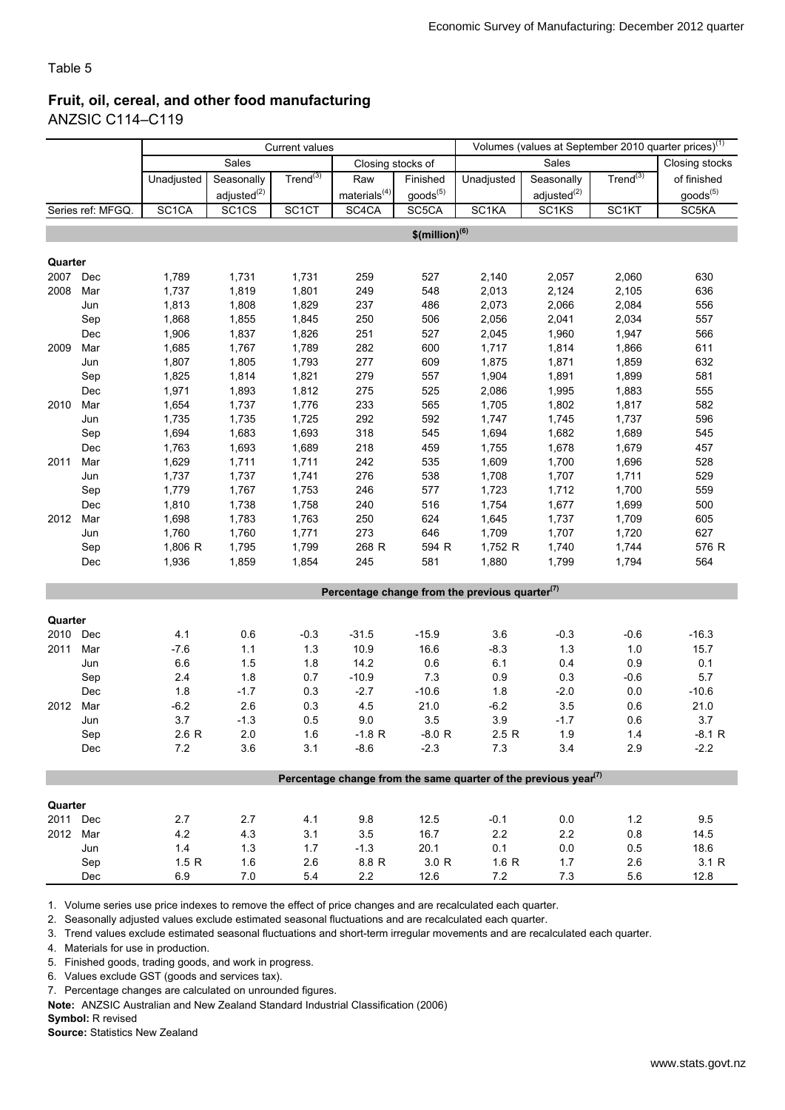### Fruit, oil, cereal, and other food manufacturing ANZSIC C114–C119

|          |                  | <b>Current values</b> |                         |                    |                    |                              |                                                                                          |                         |               | Volumes (values at September 2010 quarter prices) <sup>(1)</sup> |
|----------|------------------|-----------------------|-------------------------|--------------------|--------------------|------------------------------|------------------------------------------------------------------------------------------|-------------------------|---------------|------------------------------------------------------------------|
|          |                  |                       | Sales                   |                    | Closing stocks of  |                              |                                                                                          | <b>Sales</b>            |               | Closing stocks                                                   |
|          |                  | Unadjusted            | Seasonally              | Trend $^{(3)}$     | Raw                | Finished                     | Unadjusted                                                                               | Seasonally              | $Trend^{(3)}$ | of finished                                                      |
|          |                  |                       | adjusted <sup>(2)</sup> |                    | materials $^{(4)}$ | goods <sup>(5)</sup>         |                                                                                          | adjusted <sup>(2)</sup> |               | goods <sup>(5)</sup>                                             |
|          | Series ref: MFGQ | SC <sub>1</sub> CA    | SC <sub>1</sub> CS      | SC <sub>1</sub> CT | SC4CA              | SC5CA                        | SC1KA                                                                                    | SC1KS                   | SC1KT         | SC5KA                                                            |
|          |                  |                       |                         |                    |                    | $$$ (million) <sup>(6)</sup> |                                                                                          |                         |               |                                                                  |
|          |                  |                       |                         |                    |                    |                              |                                                                                          |                         |               |                                                                  |
| Quarter  |                  |                       |                         |                    |                    |                              |                                                                                          |                         |               |                                                                  |
| 2007     | Dec              | 1,789                 | 1,731                   | 1,731              | 259                | 527                          | 2,140                                                                                    | 2,057                   | 2,060         | 630                                                              |
| 2008     | Mar              | 1,737                 | 1,819                   | 1,801              | 249                | 548                          | 2,013                                                                                    | 2,124                   | 2,105         | 636                                                              |
|          | Jun              | 1,813                 | 1,808                   | 1,829              | 237                | 486                          | 2,073                                                                                    | 2,066                   | 2,084         | 556                                                              |
|          | Sep              | 1,868                 | 1,855                   | 1,845              | 250                | 506                          | 2,056                                                                                    | 2,041                   | 2,034         | 557                                                              |
|          | Dec              | 1,906                 | 1,837                   | 1,826              | 251                | 527                          | 2,045                                                                                    | 1,960                   | 1,947         | 566                                                              |
| 2009     | Mar              | 1,685                 | 1,767                   | 1,789              | 282                | 600                          | 1,717                                                                                    | 1,814                   | 1,866         | 611                                                              |
|          | Jun              | 1,807                 | 1,805                   | 1,793              | 277                | 609                          | 1,875                                                                                    | 1,871                   | 1,859         | 632                                                              |
|          | Sep              | 1,825                 | 1,814                   | 1,821              | 279                | 557                          | 1,904                                                                                    | 1,891                   | 1,899         | 581                                                              |
|          | Dec              | 1,971                 | 1,893                   | 1,812              | 275                | 525                          | 2,086                                                                                    | 1,995                   | 1,883         | 555                                                              |
| 2010     | Mar              | 1,654                 | 1,737                   | 1,776              | 233                | 565                          | 1,705                                                                                    | 1,802                   | 1,817         | 582                                                              |
|          | Jun              | 1,735                 | 1,735                   | 1,725              | 292                | 592                          | 1,747                                                                                    | 1,745                   | 1,737         | 596                                                              |
|          | Sep              | 1,694                 | 1,683                   | 1,693              | 318                | 545                          | 1,694                                                                                    | 1,682                   | 1,689         | 545                                                              |
|          | Dec              | 1,763                 | 1,693                   | 1,689              | 218                | 459                          | 1,755                                                                                    | 1,678                   | 1,679         | 457                                                              |
| 2011     | Mar              | 1,629                 | 1,711                   | 1,711              | 242                | 535                          | 1,609                                                                                    | 1,700                   | 1,696         | 528                                                              |
|          | Jun              | 1,737                 | 1,737                   | 1,741              | 276                | 538                          | 1,708                                                                                    | 1,707                   | 1,711         | 529                                                              |
|          | Sep              | 1,779                 | 1,767                   | 1,753              | 246                | 577                          | 1,723                                                                                    | 1,712                   | 1,700         | 559                                                              |
|          | Dec              | 1,810                 | 1,738                   | 1,758              | 240                | 516                          | 1,754                                                                                    | 1,677                   | 1,699         | 500                                                              |
| 2012     | Mar              | 1,698                 | 1,783                   | 1,763              | 250                | 624                          | 1,645                                                                                    | 1,737                   | 1,709         | 605                                                              |
|          |                  |                       |                         |                    |                    |                              |                                                                                          |                         |               |                                                                  |
|          | Jun              | 1,760                 | 1,760                   | 1,771              | 273                | 646                          | 1,709                                                                                    | 1,707                   | 1,720         | 627                                                              |
|          | Sep              | 1,806 R               | 1,795                   | 1,799              | 268 R              | 594 R                        | 1,752 R                                                                                  | 1,740                   | 1,744         | 576 R                                                            |
|          | Dec              | 1,936                 | 1,859                   | 1,854              | 245                | 581                          | 1,880                                                                                    | 1,799                   | 1,794         | 564                                                              |
|          |                  |                       |                         |                    |                    |                              | Percentage change from the previous quarter $(7)$                                        |                         |               |                                                                  |
|          |                  |                       |                         |                    |                    |                              |                                                                                          |                         |               |                                                                  |
| Quarter  |                  |                       |                         |                    |                    |                              |                                                                                          |                         |               |                                                                  |
| 2010     | Dec              | 4.1                   | 0.6                     | $-0.3$             | $-31.5$            | $-15.9$                      | 3.6                                                                                      | $-0.3$                  | $-0.6$        | $-16.3$                                                          |
| 2011     | Mar              | $-7.6$                | 1.1                     | 1.3                | 10.9               | 16.6                         | $-8.3$                                                                                   | 1.3                     | 1.0           | 15.7                                                             |
|          | Jun              | 6.6                   | 1.5                     | 1.8                | 14.2               | 0.6                          | 6.1                                                                                      | 0.4                     | 0.9           | 0.1                                                              |
|          | Sep              | 2.4                   | 1.8                     | 0.7                | $-10.9$            | 7.3                          | 0.9                                                                                      | 0.3                     | $-0.6$        | 5.7                                                              |
|          | Dec              | 1.8                   | $-1.7$                  | 0.3                | $-2.7$             | $-10.6$                      | 1.8                                                                                      | $-2.0$                  | 0.0           | $-10.6$                                                          |
| 2012     | Mar              | $-6.2$                | 2.6                     | 0.3                | 4.5                | 21.0                         | $-6.2$                                                                                   | 3.5                     | 0.6           | 21.0                                                             |
|          | Jun              | 3.7                   | $-1.3$                  | 0.5                | 9.0                | 3.5                          | 3.9                                                                                      | $-1.7$                  | 0.6           | 3.7                                                              |
|          | Sep              | 2.6 R                 | $2.0\,$                 | 1.6                | $-1.8 R$           | $-8.0 R$                     | 2.5R                                                                                     | 1.9                     | $1.4$         | $-8.1 R$                                                         |
|          | Dec              | 7.2                   | 3.6                     | 3.1                | $-8.6$             | $-2.3$                       | 7.3                                                                                      | 3.4                     | 2.9           | $-2.2$                                                           |
|          |                  |                       |                         |                    |                    |                              | Percentage change from the same quarter of the previous year <sup><math>(7)</math></sup> |                         |               |                                                                  |
|          |                  |                       |                         |                    |                    |                              |                                                                                          |                         |               |                                                                  |
| Quarter  |                  |                       |                         |                    |                    |                              |                                                                                          |                         |               |                                                                  |
| 2011 Dec |                  | 2.7                   | 2.7                     | 4.1                | 9.8                | 12.5                         | $-0.1$                                                                                   | 0.0                     | 1.2           | 9.5                                                              |
| 2012 Mar |                  | 4.2                   | 4.3                     | 3.1                | 3.5                | 16.7                         | 2.2                                                                                      | 2.2                     | 0.8           | 14.5                                                             |
|          | Jun              | 1.4                   | $1.3$                   | 1.7                | $-1.3$             | 20.1                         | 0.1                                                                                      | $0.0\,$                 | 0.5           | 18.6                                                             |
|          | Sep              | 1.5 R                 | 1.6                     | 2.6                | 8.8 R              | 3.0 R                        | 1.6R                                                                                     | 1.7                     | 2.6           | 3.1 R                                                            |
|          | Dec              | 6.9                   | 7.0                     | 5.4                | $2.2\,$            | 12.6                         | $7.2\,$                                                                                  | 7.3                     | 5.6           | 12.8                                                             |

1. Volume series use price indexes to remove the effect of price changes and are recalculated each quarter.

2. Seasonally adjusted values exclude estimated seasonal fluctuations and are recalculated each quarter.

3. Trend values exclude estimated seasonal fluctuations and short-term irregular movements and are recalculated each quarter.

4. Materials for use in production.

5. Finished goods, trading goods, and work in progress.

6. Values exclude GST (goods and services tax).

7. Percentage changes are calculated on unrounded figures.

Note: ANZSIC Australian and New Zealand Standard Industrial Classification (2006)

Symbol: R revised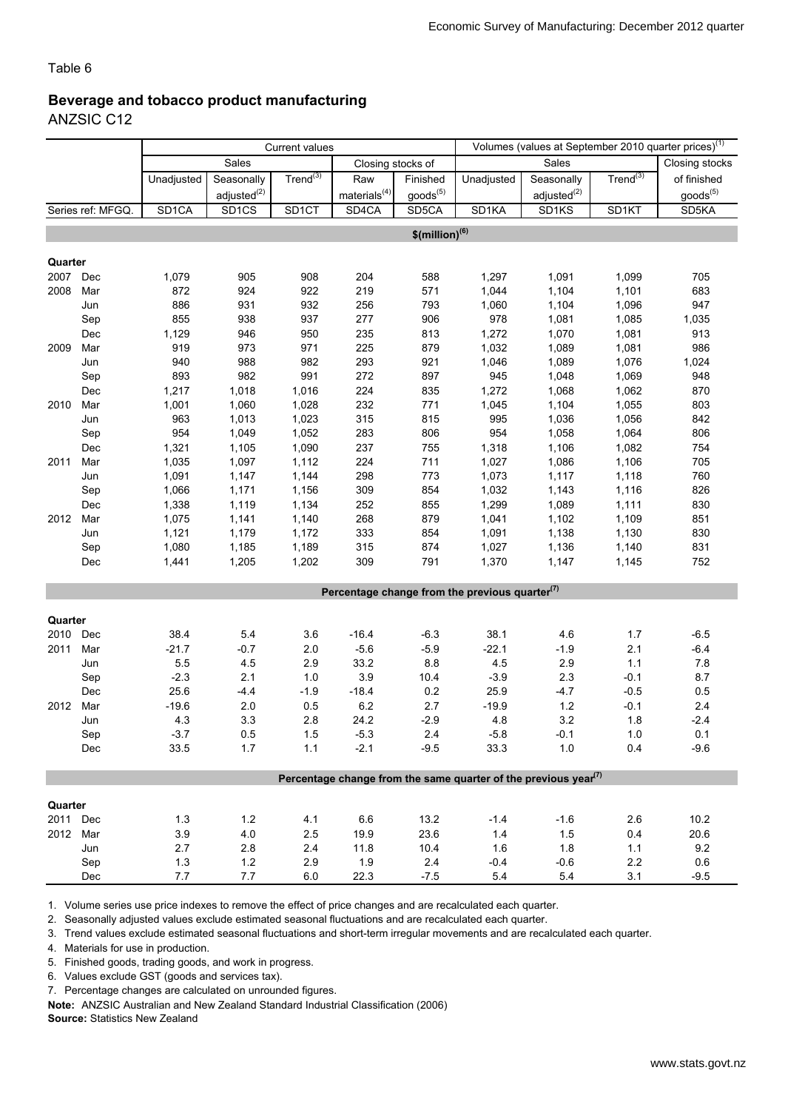#### Beverage and tobacco product manufacturing ANZSIC C12

|          |                   | <b>Current values</b> |                   |                    |                            |                      |                                                                                          |                         |                | Volumes (values at September 2010 quarter prices) <sup>(1)</sup> |  |  |
|----------|-------------------|-----------------------|-------------------|--------------------|----------------------------|----------------------|------------------------------------------------------------------------------------------|-------------------------|----------------|------------------------------------------------------------------|--|--|
|          |                   |                       | Sales             |                    | Closing stocks of          |                      |                                                                                          | <b>Sales</b>            |                | Closing stocks                                                   |  |  |
|          |                   | Unadjusted            | Seasonally        | Trend $^{(3)}$     | Raw                        | Finished             | Unadjusted                                                                               | Seasonally              | Trend $^{(3)}$ | of finished                                                      |  |  |
|          |                   |                       | adjusted $^{(2)}$ |                    | $\mathsf{materials}^{(4)}$ | goods <sup>(5)</sup> |                                                                                          | adjusted <sup>(2)</sup> |                | goods <sup>(5)</sup>                                             |  |  |
|          | Series ref: MFGQ. | SD <sub>1</sub> CA    | SD <sub>1CS</sub> | SD <sub>1</sub> CT | SD4CA                      | SD5CA                | SD <sub>1</sub> KA                                                                       | SD <sub>1</sub> KS      | SD1KT          | SD <sub>5</sub> KA                                               |  |  |
|          |                   |                       |                   |                    |                            | $$ (million)^{(6)}$  |                                                                                          |                         |                |                                                                  |  |  |
|          |                   |                       |                   |                    |                            |                      |                                                                                          |                         |                |                                                                  |  |  |
| Quarter  |                   |                       |                   |                    |                            |                      |                                                                                          |                         |                |                                                                  |  |  |
| 2007     | Dec               | 1,079                 | 905               | 908                | 204                        | 588                  | 1,297                                                                                    | 1,091                   | 1,099          | 705                                                              |  |  |
| 2008     | Mar               | 872                   | 924               | 922                | 219                        | 571                  | 1,044                                                                                    | 1,104                   | 1,101          | 683                                                              |  |  |
|          | Jun               | 886                   | 931               | 932                | 256                        | 793                  | 1,060                                                                                    | 1,104                   | 1,096          | 947                                                              |  |  |
|          | Sep               | 855                   | 938               | 937                | 277                        | 906                  | 978                                                                                      | 1,081                   | 1,085          | 1,035                                                            |  |  |
|          | Dec               | 1,129                 | 946               | 950                | 235                        | 813                  | 1,272                                                                                    | 1,070                   | 1,081          | 913                                                              |  |  |
| 2009     | Mar               | 919                   | 973               | 971                | 225                        | 879                  | 1,032                                                                                    | 1,089                   | 1,081          | 986                                                              |  |  |
|          | Jun               | 940                   | 988               | 982                | 293                        | 921                  | 1,046                                                                                    | 1,089                   | 1,076          | 1,024                                                            |  |  |
|          | Sep               | 893                   | 982               | 991                | 272                        | 897                  | 945                                                                                      | 1,048                   | 1,069          | 948                                                              |  |  |
|          | Dec               | 1,217                 | 1,018             | 1,016              | 224                        | 835                  | 1,272                                                                                    | 1,068                   | 1,062          | 870                                                              |  |  |
| 2010     | Mar               | 1,001                 | 1,060             | 1,028              | 232                        | 771                  | 1,045                                                                                    | 1,104                   | 1,055          | 803                                                              |  |  |
|          | Jun               | 963                   | 1,013             | 1,023              | 315                        | 815                  | 995                                                                                      | 1,036                   | 1,056          | 842                                                              |  |  |
|          | Sep               | 954                   | 1,049             | 1,052              | 283                        | 806                  | 954                                                                                      | 1,058                   | 1,064          | 806                                                              |  |  |
|          | Dec               | 1,321                 | 1,105             | 1,090              | 237                        | 755                  | 1,318                                                                                    | 1,106                   | 1,082          | 754                                                              |  |  |
| 2011     | Mar               | 1,035                 | 1,097             | 1,112              | 224                        | 711                  | 1,027                                                                                    | 1,086                   | 1,106          | 705                                                              |  |  |
|          | Jun               | 1,091                 | 1,147             | 1,144              | 298                        | 773                  | 1,073                                                                                    | 1,117                   | 1,118          | 760                                                              |  |  |
|          | Sep               | 1,066                 | 1,171             | 1,156              | 309                        | 854                  | 1,032                                                                                    | 1,143                   | 1,116          | 826                                                              |  |  |
|          | Dec               | 1,338                 | 1,119             | 1,134              | 252                        | 855                  | 1,299                                                                                    | 1,089                   | 1,111          | 830                                                              |  |  |
| 2012     | Mar               | 1,075                 | 1,141             | 1,140              | 268                        | 879                  | 1,041                                                                                    | 1,102                   | 1,109          | 851                                                              |  |  |
|          | Jun               | 1,121                 | 1,179             | 1,172              | 333                        | 854                  | 1,091                                                                                    | 1,138                   | 1,130          | 830                                                              |  |  |
|          | Sep               | 1,080                 | 1,185             | 1,189              | 315                        | 874                  | 1,027                                                                                    | 1,136                   | 1,140          | 831                                                              |  |  |
|          | Dec               | 1,441                 | 1,205             | 1,202              | 309                        | 791                  | 1,370                                                                                    | 1,147                   | 1,145          | 752                                                              |  |  |
|          |                   |                       |                   |                    |                            |                      |                                                                                          |                         |                |                                                                  |  |  |
|          |                   |                       |                   |                    |                            |                      | Percentage change from the previous quarter <sup>(7)</sup>                               |                         |                |                                                                  |  |  |
| Quarter  |                   |                       |                   |                    |                            |                      |                                                                                          |                         |                |                                                                  |  |  |
| 2010     | Dec               | 38.4                  | 5.4               | 3.6                | $-16.4$                    | $-6.3$               | 38.1                                                                                     | 4.6                     | 1.7            | $-6.5$                                                           |  |  |
| 2011     | Mar               | $-21.7$               | $-0.7$            | 2.0                | $-5.6$                     | $-5.9$               | $-22.1$                                                                                  | $-1.9$                  | 2.1            | $-6.4$                                                           |  |  |
|          | Jun               | 5.5                   | 4.5               | 2.9                | 33.2                       | 8.8                  | 4.5                                                                                      | 2.9                     | 1.1            | 7.8                                                              |  |  |
|          | Sep               | $-2.3$                | 2.1               | 1.0                | 3.9                        | 10.4                 | $-3.9$                                                                                   | 2.3                     | $-0.1$         | 8.7                                                              |  |  |
|          | Dec               | 25.6                  | $-4.4$            | $-1.9$             | $-18.4$                    | 0.2                  | 25.9                                                                                     | $-4.7$                  | $-0.5$         | 0.5                                                              |  |  |
| 2012     | Mar               | $-19.6$               | 2.0               | 0.5                | $6.2\,$                    | 2.7                  | $-19.9$                                                                                  | $1.2$                   | $-0.1$         | 2.4                                                              |  |  |
|          | Jun               | 4.3                   | 3.3               | 2.8                | 24.2                       | $-2.9$               | 4.8                                                                                      | 3.2                     | 1.8            | $-2.4$                                                           |  |  |
|          | Sep               | $-3.7$                | 0.5               | 1.5                | $-5.3$                     | $2.4\,$              | $-5.8$                                                                                   | $-0.1$                  | 1.0            | 0.1                                                              |  |  |
|          | Dec               | 33.5                  | $1.7$             | 1.1                | $-2.1$                     | $-9.5$               | 33.3                                                                                     | 1.0                     | 0.4            | $-9.6$                                                           |  |  |
|          |                   |                       |                   |                    |                            |                      |                                                                                          |                         |                |                                                                  |  |  |
|          |                   |                       |                   |                    |                            |                      | Percentage change from the same quarter of the previous year <sup><math>(7)</math></sup> |                         |                |                                                                  |  |  |
|          |                   |                       |                   |                    |                            |                      |                                                                                          |                         |                |                                                                  |  |  |
| Quarter  |                   |                       |                   |                    |                            |                      |                                                                                          |                         |                |                                                                  |  |  |
| 2011 Dec |                   | $1.3$                 | $1.2$             | 4.1                | 6.6                        | 13.2                 | $-1.4$                                                                                   | $-1.6$                  | 2.6            | 10.2                                                             |  |  |
| 2012 Mar |                   | 3.9                   | $4.0$             | 2.5                | 19.9                       | 23.6                 | 1.4                                                                                      | 1.5                     | 0.4            | 20.6                                                             |  |  |
|          | Jun               | 2.7                   | 2.8               | 2.4                | 11.8                       | 10.4                 | 1.6                                                                                      | 1.8                     | 1.1            | 9.2                                                              |  |  |
|          | Sep               | $1.3$                 | $1.2$             | 2.9                | 1.9                        | 2.4                  | $-0.4$                                                                                   | $-0.6$                  | 2.2            | 0.6                                                              |  |  |
|          | Dec               | 7.7                   | 7.7               | 6.0                | 22.3                       | $-7.5$               | $5.4\,$                                                                                  | 5.4                     | 3.1            | $-9.5$                                                           |  |  |

1. Volume series use price indexes to remove the effect of price changes and are recalculated each quarter.

2. Seasonally adjusted values exclude estimated seasonal fluctuations and are recalculated each quarter.

3. Trend values exclude estimated seasonal fluctuations and short-term irregular movements and are recalculated each quarter.

4. Materials for use in production.

5. Finished goods, trading goods, and work in progress.

6. Values exclude GST (goods and services tax).

7. Percentage changes are calculated on unrounded figures.

Note: ANZSIC Australian and New Zealand Standard Industrial Classification (2006)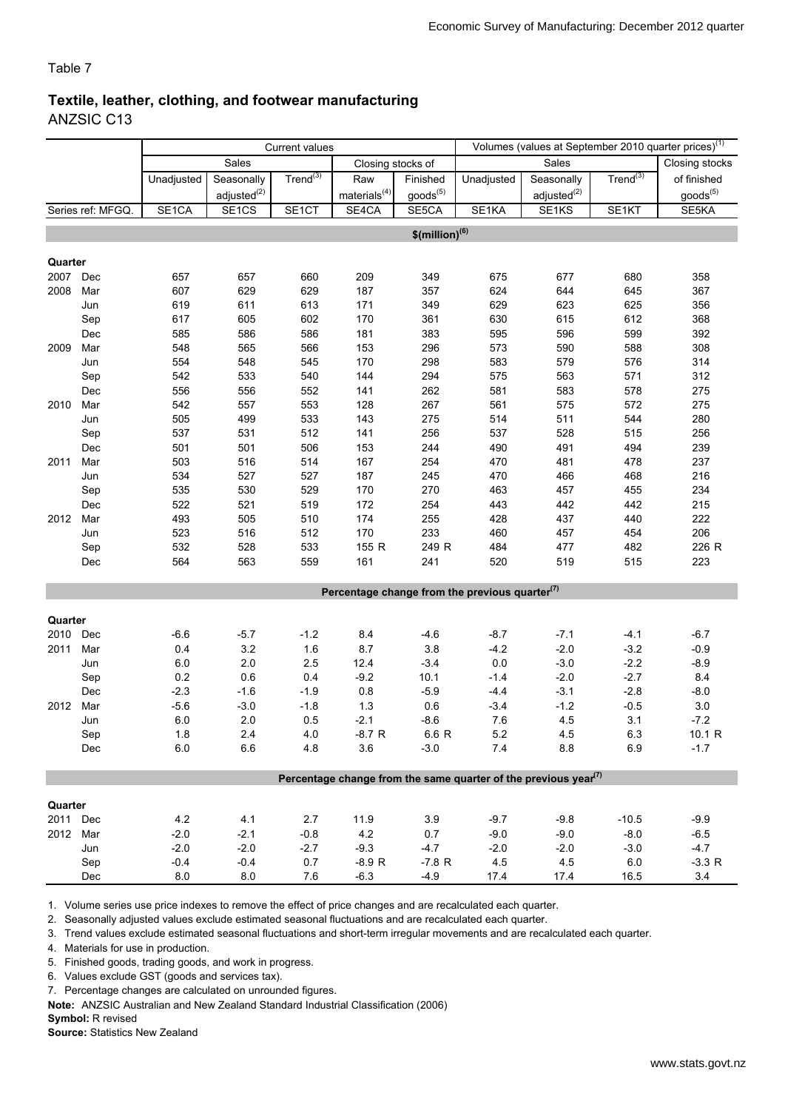#### Textile, leather, clothing, and footwear manufacturing ANZSIC C13

|          |                   | <b>Current values</b> |                    |                      |                    |                              |                                                                             | Volumes (values at September 2010 quarter prices) <sup>(1)</sup> |                      |                      |
|----------|-------------------|-----------------------|--------------------|----------------------|--------------------|------------------------------|-----------------------------------------------------------------------------|------------------------------------------------------------------|----------------------|----------------------|
|          |                   |                       | Sales              |                      | Closing stocks of  |                              |                                                                             | Sales                                                            |                      | Closing stocks       |
|          |                   | Unadjusted            | Seasonally         | Trend <sup>(3)</sup> | Raw                | Finished                     | Unadjusted                                                                  | Seasonally                                                       | Trend <sup>(3)</sup> | of finished          |
|          |                   |                       | adjusted $^{(2)}$  |                      | materials $^{(4)}$ | goods <sup>(5)</sup>         |                                                                             | adjusted <sup>(2)</sup>                                          |                      | goods <sup>(5)</sup> |
|          | Series ref: MFGQ. | SE1CA                 | SE <sub>1</sub> CS | SE1CT                | SE4CA              | SE5CA                        | SE1KA                                                                       | SE1KS                                                            | SE <sub>1</sub> KT   | SE5KA                |
|          |                   |                       |                    |                      |                    | $$$ (million) <sup>(6)</sup> |                                                                             |                                                                  |                      |                      |
|          |                   |                       |                    |                      |                    |                              |                                                                             |                                                                  |                      |                      |
| Quarter  |                   |                       |                    |                      |                    |                              |                                                                             |                                                                  |                      |                      |
| 2007     | Dec               | 657                   | 657                | 660                  | 209                | 349                          | 675                                                                         | 677                                                              | 680                  | 358                  |
| 2008     | Mar               | 607                   | 629                | 629                  | 187                | 357                          | 624                                                                         | 644                                                              | 645                  | 367                  |
|          | Jun               | 619                   | 611                | 613                  | 171                | 349                          | 629                                                                         | 623                                                              | 625                  | 356                  |
|          | Sep               | 617                   | 605                | 602                  | 170                | 361                          | 630                                                                         | 615                                                              | 612                  | 368                  |
|          | Dec               | 585                   | 586                | 586                  | 181                | 383                          | 595                                                                         | 596                                                              | 599                  | 392                  |
| 2009     | Mar               | 548                   | 565                | 566                  | 153                | 296                          | 573                                                                         | 590                                                              | 588                  | 308                  |
|          | Jun               | 554                   | 548                | 545                  | 170                | 298                          | 583                                                                         | 579                                                              | 576                  | 314                  |
|          | Sep               | 542                   | 533                | 540                  | 144                | 294                          | 575                                                                         | 563                                                              | 571                  | 312                  |
|          | Dec               | 556                   | 556                | 552                  | 141                | 262                          | 581                                                                         | 583                                                              | 578                  | 275                  |
| 2010     | Mar               | 542                   | 557                | 553                  | 128                | 267                          | 561                                                                         | 575                                                              | 572                  | 275                  |
|          | Jun               | 505                   | 499                | 533                  | 143                | 275                          | 514                                                                         | 511                                                              | 544                  | 280                  |
|          | Sep               | 537                   | 531                | 512                  | 141                | 256                          | 537                                                                         | 528                                                              | 515                  | 256                  |
|          | Dec               | 501                   | 501                | 506                  | 153                | 244                          | 490                                                                         | 491                                                              | 494                  | 239                  |
| 2011     | Mar               | 503                   | 516                | 514                  | 167                | 254                          | 470                                                                         | 481                                                              | 478                  | 237                  |
|          | Jun               | 534                   | 527                | 527                  | 187                | 245                          | 470                                                                         | 466                                                              | 468                  | 216                  |
|          | Sep               | 535                   | 530                | 529                  | 170                | 270                          | 463                                                                         | 457                                                              | 455                  | 234                  |
|          | Dec               | 522                   | 521                | 519                  | 172                | 254                          | 443                                                                         | 442                                                              | 442                  | 215                  |
| 2012     | Mar               | 493                   | 505                | 510                  | 174                | 255                          | 428                                                                         | 437                                                              | 440                  | 222                  |
|          | Jun               | 523                   | 516                | 512                  | 170                | 233                          | 460                                                                         | 457                                                              | 454                  | 206                  |
|          | Sep               | 532                   | 528                | 533                  | 155 R              | 249 R                        | 484                                                                         | 477                                                              | 482                  | 226 R                |
|          | Dec               | 564                   | 563                | 559                  | 161                | 241                          | 520                                                                         | 519                                                              | 515                  | 223                  |
|          |                   |                       |                    |                      |                    |                              |                                                                             |                                                                  |                      |                      |
|          |                   |                       |                    |                      |                    |                              | Percentage change from the previous quarter $(7)$                           |                                                                  |                      |                      |
|          |                   |                       |                    |                      |                    |                              |                                                                             |                                                                  |                      |                      |
| Quarter  |                   |                       |                    |                      |                    |                              |                                                                             |                                                                  |                      |                      |
| 2010     | Dec               | $-6.6$                | $-5.7$             | $-1.2$               | 8.4                | $-4.6$                       | $-8.7$                                                                      | $-7.1$                                                           | $-4.1$               | $-6.7$               |
| 2011     | Mar               | 0.4                   | 3.2                | 1.6                  | 8.7                | 3.8                          | $-4.2$                                                                      | $-2.0$                                                           | $-3.2$               | $-0.9$               |
|          | Jun               | 6.0                   | 2.0                | 2.5                  | 12.4               | $-3.4$                       | $0.0\,$                                                                     | $-3.0$                                                           | $-2.2$               | $-8.9$               |
|          | Sep               | 0.2                   | 0.6                | 0.4                  | $-9.2$             | 10.1                         | $-1.4$                                                                      | $-2.0$                                                           | $-2.7$               | 8.4                  |
|          | Dec               | $-2.3$                | $-1.6$             | $-1.9$               | $0.8\,$            | $-5.9$                       | $-4.4$                                                                      | $-3.1$                                                           | $-2.8$               | $-8.0$               |
| 2012     | Mar               | $-5.6$                | $-3.0$             | $-1.8$               | 1.3                | 0.6                          | $-3.4$                                                                      | $-1.2$                                                           | $-0.5$               | 3.0                  |
|          | Jun               | 6.0                   | 2.0                | 0.5                  | $-2.1$             | $-8.6$                       | 7.6                                                                         | 4.5                                                              | 3.1                  | $-7.2$               |
|          | Sep               | 1.8                   | 2.4                | 4.0                  | $-8.7 R$           | 6.6 R                        | 5.2                                                                         | 4.5                                                              | 6.3                  | 10.1 R               |
|          | Dec               | 6.0                   | 6.6                | 4.8                  | 3.6                | $-3.0$                       | 7.4                                                                         | 8.8                                                              | 6.9                  | $-1.7$               |
|          |                   |                       |                    |                      |                    |                              | Percentage change from the same quarter of the previous year <sup>(7)</sup> |                                                                  |                      |                      |
|          |                   |                       |                    |                      |                    |                              |                                                                             |                                                                  |                      |                      |
| Quarter  |                   |                       |                    |                      |                    |                              |                                                                             |                                                                  |                      |                      |
| 2011 Dec |                   | 4.2                   | 4.1                | 2.7                  | 11.9               | 3.9                          | $-9.7$                                                                      | $-9.8$                                                           | $-10.5$              | $-9.9$               |
| 2012 Mar |                   | $-2.0$                | $-2.1$             | $-0.8$               | 4.2                | 0.7                          | $-9.0$                                                                      | $-9.0$                                                           | $-8.0$               | $-6.5$               |
|          | Jun               | $-2.0$                | $-2.0$             | $-2.7$               | $-9.3$             | $-4.7$                       | $-2.0$                                                                      | $-2.0$                                                           | $-3.0$               | $-4.7$               |
|          | Sep               | $-0.4$                | $-0.4$             | 0.7                  | $-8.9 R$           | $-7.8 R$                     | 4.5                                                                         | 4.5                                                              | $6.0\,$              | $-3.3 R$             |
|          | Dec               | 8.0                   | 8.0                | 7.6                  | $-6.3$             | $-4.9$                       | 17.4                                                                        | 17.4                                                             | 16.5                 | 3.4                  |

1. Volume series use price indexes to remove the effect of price changes and are recalculated each quarter.

2. Seasonally adjusted values exclude estimated seasonal fluctuations and are recalculated each quarter.

3. Trend values exclude estimated seasonal fluctuations and short-term irregular movements and are recalculated each quarter.

4. Materials for use in production.

5. Finished goods, trading goods, and work in progress.

6. Values exclude GST (goods and services tax).

7. Percentage changes are calculated on unrounded figures.

Note: ANZSIC Australian and New Zealand Standard Industrial Classification (2006)

Symbol: R revised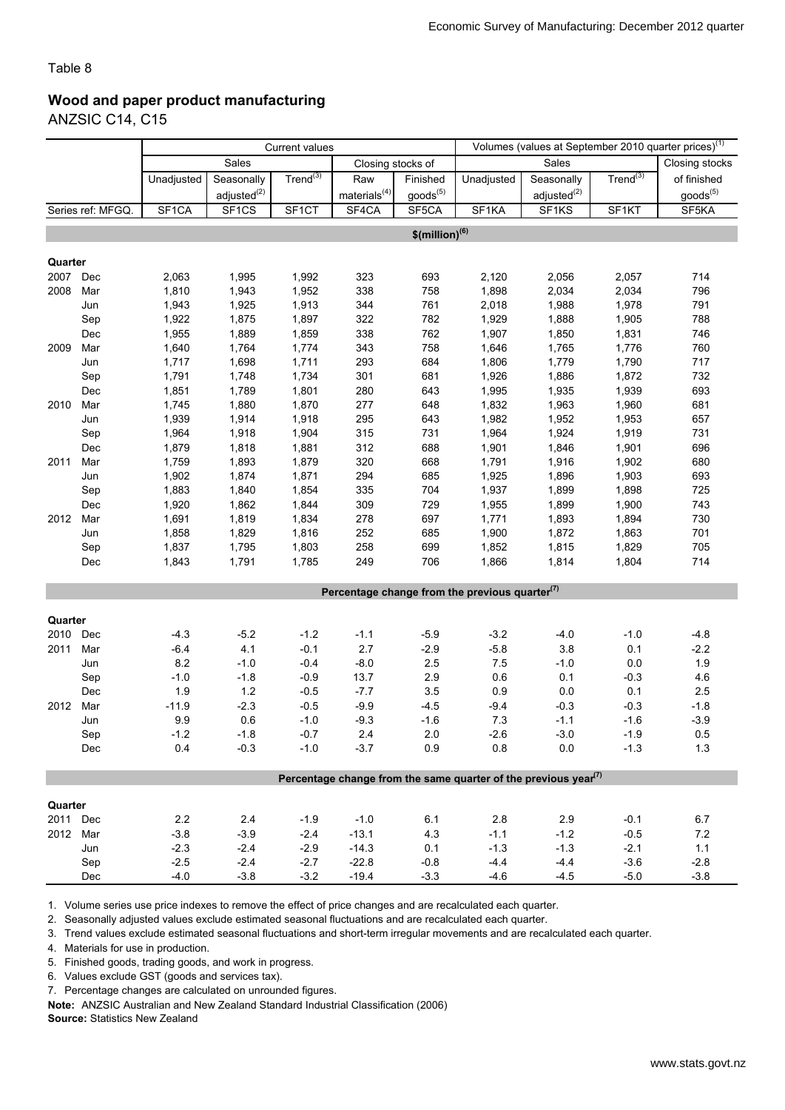## Wood and paper product manufacturing

ANZSIC C14, C15

|                 |                   | <b>Current values</b> |                         |                |                    |                              | Volumes (values at September 2010 quarter prices) <sup>(1)</sup> |                                                                                          |               |                |
|-----------------|-------------------|-----------------------|-------------------------|----------------|--------------------|------------------------------|------------------------------------------------------------------|------------------------------------------------------------------------------------------|---------------|----------------|
|                 |                   |                       | Sales                   |                | Closing stocks of  |                              |                                                                  | Sales                                                                                    |               | Closing stocks |
|                 |                   | Unadjusted            | Seasonally              | Trend $^{(3)}$ | Raw                | Finished                     | Unadjusted                                                       | Seasonally                                                                               | $Trend^{(3)}$ | of finished    |
|                 |                   |                       | adjusted <sup>(2)</sup> |                | materials $^{(4)}$ | $\text{goods}^{(5)}$         |                                                                  | adjusted <sup>(2)</sup>                                                                  |               | $goods^{(5)}$  |
|                 | Series ref: MFGQ. | SF <sub>1</sub> CA    | SF1CS                   | SF1CT          | SF4CA              | SF5CA                        | SF <sub>1</sub> KA                                               | SF1KS                                                                                    | SF1KT         | SF5KA          |
|                 |                   |                       |                         |                |                    |                              |                                                                  |                                                                                          |               |                |
|                 |                   |                       |                         |                |                    | $$$ (million) <sup>(6)</sup> |                                                                  |                                                                                          |               |                |
| Quarter         |                   |                       |                         |                |                    |                              |                                                                  |                                                                                          |               |                |
| 2007            | Dec               | 2,063                 | 1,995                   | 1,992          | 323                | 693                          | 2,120                                                            | 2,056                                                                                    | 2,057         | 714            |
| 2008            | Mar               | 1,810                 | 1,943                   | 1,952          | 338                | 758                          | 1,898                                                            | 2,034                                                                                    | 2,034         | 796            |
|                 | Jun               | 1,943                 | 1,925                   | 1,913          | 344                | 761                          | 2,018                                                            | 1,988                                                                                    | 1,978         | 791            |
|                 | Sep               | 1,922                 | 1,875                   | 1,897          | 322                | 782                          | 1,929                                                            | 1,888                                                                                    | 1,905         | 788            |
|                 | Dec               | 1,955                 | 1,889                   | 1,859          | 338                | 762                          | 1,907                                                            | 1,850                                                                                    | 1,831         | 746            |
| 2009            | Mar               | 1,640                 | 1,764                   | 1,774          | 343                | 758                          | 1,646                                                            | 1,765                                                                                    | 1,776         | 760            |
|                 | Jun               | 1,717                 | 1,698                   | 1,711          | 293                | 684                          | 1,806                                                            | 1,779                                                                                    | 1,790         | 717            |
|                 | Sep               | 1,791                 | 1,748                   | 1,734          | 301                | 681                          | 1,926                                                            | 1,886                                                                                    | 1,872         | 732            |
|                 | Dec               | 1,851                 | 1,789                   | 1,801          | 280                | 643                          | 1,995                                                            | 1,935                                                                                    | 1,939         | 693            |
| 2010            | Mar               | 1,745                 | 1,880                   | 1,870          | 277                | 648                          | 1,832                                                            | 1,963                                                                                    | 1,960         | 681            |
|                 | Jun               | 1,939                 | 1,914                   | 1,918          | 295                | 643                          | 1,982                                                            | 1,952                                                                                    | 1,953         | 657            |
|                 | Sep               | 1,964                 | 1,918                   | 1,904          | 315                | 731                          | 1,964                                                            | 1,924                                                                                    | 1,919         | 731            |
|                 | Dec               | 1,879                 | 1,818                   | 1,881          | 312                | 688                          | 1,901                                                            | 1,846                                                                                    | 1,901         | 696            |
| 2011            | Mar               | 1,759                 | 1,893                   | 1,879          | 320                | 668                          | 1,791                                                            | 1,916                                                                                    | 1,902         | 680            |
|                 | Jun               | 1,902                 | 1,874                   | 1,871          | 294                | 685                          | 1,925                                                            | 1,896                                                                                    | 1,903         | 693            |
|                 | Sep               | 1,883                 | 1,840                   | 1,854          | 335                | 704                          | 1,937                                                            | 1,899                                                                                    | 1,898         | 725            |
|                 | Dec               | 1,920                 | 1,862                   | 1,844          | 309                | 729                          | 1,955                                                            | 1,899                                                                                    | 1,900         | 743            |
| 2012            | Mar               | 1,691                 | 1,819                   | 1,834          | 278                | 697                          | 1,771                                                            | 1,893                                                                                    | 1,894         | 730            |
|                 | Jun               | 1,858                 | 1,829                   | 1,816          | 252                | 685                          | 1,900                                                            | 1,872                                                                                    | 1,863         | 701            |
|                 | Sep               | 1,837                 | 1,795                   | 1,803          | 258                | 699                          | 1,852                                                            | 1,815                                                                                    | 1,829         | 705            |
|                 | Dec               | 1,843                 | 1,791                   | 1,785          | 249                | 706                          | 1,866                                                            | 1,814                                                                                    | 1,804         | 714            |
|                 |                   |                       |                         |                |                    |                              |                                                                  |                                                                                          |               |                |
|                 |                   |                       |                         |                |                    |                              | Percentage change from the previous quarter $(7)$                |                                                                                          |               |                |
|                 |                   |                       |                         |                |                    |                              |                                                                  |                                                                                          |               |                |
| Quarter<br>2010 | Dec               | $-4.3$                | $-5.2$                  | $-1.2$         | $-1.1$             | $-5.9$                       | $-3.2$                                                           | $-4.0$                                                                                   | $-1.0$        | $-4.8$         |
| 2011            | Mar               | $-6.4$                | 4.1                     | $-0.1$         | 2.7                | $-2.9$                       | $-5.8$                                                           | 3.8                                                                                      | 0.1           | $-2.2$         |
|                 | Jun               | 8.2                   | $-1.0$                  | $-0.4$         | $-8.0$             | 2.5                          | 7.5                                                              | $-1.0$                                                                                   | 0.0           | 1.9            |
|                 | Sep               | $-1.0$                | $-1.8$                  | $-0.9$         | 13.7               | 2.9                          | 0.6                                                              | 0.1                                                                                      | $-0.3$        | 4.6            |
|                 | Dec               | 1.9                   | $1.2$                   | $-0.5$         | $-7.7$             | $3.5\,$                      | 0.9                                                              | $0.0\,$                                                                                  | 0.1           | 2.5            |
| 2012            | Mar               | $-11.9$               | $-2.3$                  | $-0.5$         | $-9.9$             | $-4.5$                       | $-9.4$                                                           | $-0.3$                                                                                   | $-0.3$        | $-1.8$         |
|                 | Jun               | 9.9                   | 0.6                     | $-1.0$         | $-9.3$             | $-1.6$                       | 7.3                                                              | $-1.1$                                                                                   | $-1.6$        | $-3.9$         |
|                 | Sep               | $-1.2$                | $-1.8$                  | $-0.7$         | 2.4                | $2.0\,$                      | $-2.6$                                                           | $-3.0$                                                                                   | $-1.9$        | 0.5            |
|                 | Dec               | 0.4                   | $-0.3$                  | $-1.0$         | $-3.7$             | 0.9                          | 0.8                                                              | 0.0                                                                                      | $-1.3$        | 1.3            |
|                 |                   |                       |                         |                |                    |                              |                                                                  |                                                                                          |               |                |
|                 |                   |                       |                         |                |                    |                              |                                                                  | Percentage change from the same quarter of the previous year <sup><math>(7)</math></sup> |               |                |
|                 |                   |                       |                         |                |                    |                              |                                                                  |                                                                                          |               |                |
| Quarter         |                   |                       |                         |                |                    |                              |                                                                  |                                                                                          |               |                |
| 2011 Dec        |                   | 2.2                   | 2.4                     | $-1.9$         | $-1.0$             | 6.1                          | 2.8                                                              | 2.9                                                                                      | $-0.1$        | 6.7            |
| 2012 Mar        |                   | $-3.8$                | $-3.9$                  | $-2.4$         | $-13.1$            | 4.3                          | $-1.1$                                                           | $-1.2$                                                                                   | $-0.5$        | $7.2\,$        |
|                 | Jun               | $-2.3$                | $-2.4$                  | $-2.9$         | $-14.3$            | 0.1                          | $-1.3$                                                           | $-1.3$                                                                                   | $-2.1$        | $1.1$          |
|                 | Sep               | $-2.5$                | $-2.4$                  | $-2.7$         | $-22.8$            | $-0.8$                       | $-4.4$                                                           | $-4.4$                                                                                   | $-3.6$        | $-2.8$         |
|                 | Dec               | $-4.0$                | $-3.8$                  | $-3.2$         | $-19.4$            | $-3.3$                       | $-4.6$                                                           | $-4.5$                                                                                   | $-5.0$        | $-3.8$         |

1. Volume series use price indexes to remove the effect of price changes and are recalculated each quarter.

2. Seasonally adjusted values exclude estimated seasonal fluctuations and are recalculated each quarter.

3. Trend values exclude estimated seasonal fluctuations and short-term irregular movements and are recalculated each quarter.

4. Materials for use in production.

5. Finished goods, trading goods, and work in progress.

6. Values exclude GST (goods and services tax).

7. Percentage changes are calculated on unrounded figures.

Note: ANZSIC Australian and New Zealand Standard Industrial Classification (2006)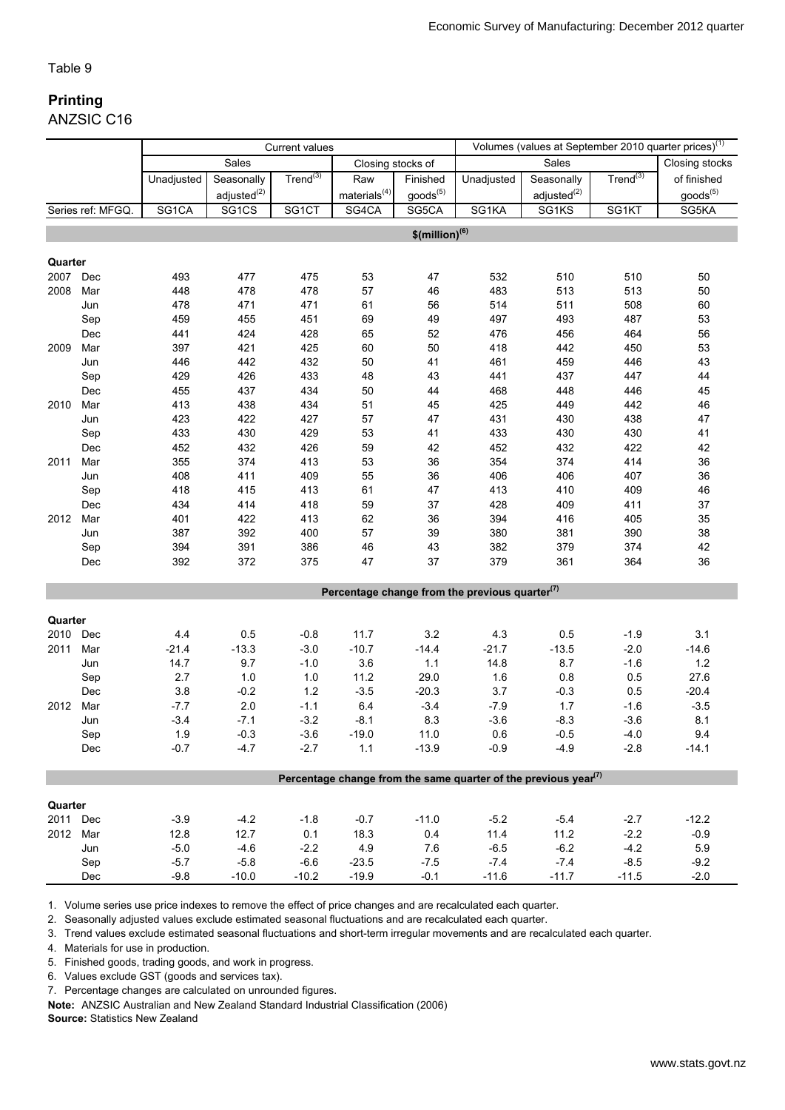### Printing ANZSIC C16

|          |                   | <b>Current values</b> |                         |                |                    |                              |                                                                                          |                         | Volumes (values at September 2010 quarter prices) <sup>(1)</sup> |                      |
|----------|-------------------|-----------------------|-------------------------|----------------|--------------------|------------------------------|------------------------------------------------------------------------------------------|-------------------------|------------------------------------------------------------------|----------------------|
|          |                   |                       | Sales                   |                | Closing stocks of  |                              |                                                                                          | Sales                   |                                                                  | Closing stocks       |
|          |                   | Unadjusted            | Seasonally              | Trend $^{(3)}$ | Raw                | Finished                     | Unadjusted                                                                               | Seasonally              | Trend $^{(3)}$                                                   | of finished          |
|          |                   |                       | adjusted <sup>(2)</sup> |                | materials $^{(4)}$ | goods <sup>(5)</sup>         |                                                                                          | adjusted <sup>(2)</sup> |                                                                  | goods <sup>(5)</sup> |
|          | Series ref: MFGQ. | SG1CA                 | SG1CS                   | SG1CT          | SG4CA              | SG5CA                        | SG1KA                                                                                    | SG1KS                   | SG1KT                                                            | SG5KA                |
|          |                   |                       |                         |                |                    | $$$ (million) <sup>(6)</sup> |                                                                                          |                         |                                                                  |                      |
|          |                   |                       |                         |                |                    |                              |                                                                                          |                         |                                                                  |                      |
| Quarter  |                   |                       |                         |                |                    |                              |                                                                                          |                         |                                                                  |                      |
| 2007     | Dec               | 493                   | 477                     | 475            | 53                 | 47                           | 532                                                                                      | 510                     | 510                                                              | 50                   |
| 2008     | Mar               | 448                   | 478                     | 478            | 57                 | 46                           | 483                                                                                      | 513                     | 513                                                              | 50                   |
|          | Jun               | 478                   | 471                     | 471            | 61                 | 56                           | 514                                                                                      | 511                     | 508                                                              | 60                   |
|          | Sep               | 459                   | 455                     | 451            | 69                 | 49                           | 497                                                                                      | 493                     | 487                                                              | 53                   |
|          | Dec               | 441                   | 424                     | 428            | 65                 | 52                           | 476                                                                                      | 456                     | 464                                                              | 56                   |
| 2009     | Mar               | 397                   | 421                     | 425            | 60                 | 50                           | 418                                                                                      | 442                     | 450                                                              | 53                   |
|          | Jun               | 446                   | 442                     | 432            | 50                 | 41                           | 461                                                                                      | 459                     | 446                                                              | 43                   |
|          | Sep               | 429                   | 426                     | 433            | 48                 | 43                           | 441                                                                                      | 437                     | 447                                                              | 44                   |
|          | Dec               | 455                   | 437                     | 434            | 50                 | 44                           | 468                                                                                      | 448                     | 446                                                              | 45                   |
| 2010     | Mar               | 413                   | 438                     | 434            | 51                 | 45                           | 425                                                                                      | 449                     | 442                                                              | 46                   |
|          | Jun               | 423                   | 422                     | 427            | 57                 | 47                           | 431                                                                                      | 430                     | 438                                                              | 47                   |
|          | Sep               | 433                   | 430                     | 429            | 53                 | 41                           | 433                                                                                      | 430                     | 430                                                              | 41                   |
|          | Dec               | 452                   | 432                     | 426            | 59                 | 42                           | 452                                                                                      | 432                     | 422                                                              | 42                   |
| 2011     | Mar               | 355                   | 374                     | 413            | 53                 | 36                           | 354                                                                                      | 374                     | 414                                                              | 36                   |
|          | Jun               | 408                   | 411                     | 409            | 55                 | 36                           | 406                                                                                      | 406                     | 407                                                              | 36                   |
|          | Sep               | 418                   | 415                     | 413            | 61                 | 47                           | 413                                                                                      | 410                     | 409                                                              | 46                   |
|          | Dec               | 434                   | 414                     | 418            | 59                 | 37                           | 428                                                                                      | 409                     | 411                                                              | 37                   |
| 2012     | Mar               | 401                   | 422                     | 413            | 62                 | 36                           | 394                                                                                      | 416                     | 405                                                              | 35                   |
|          | Jun               | 387                   | 392                     | 400            | 57                 | 39                           | 380                                                                                      | 381                     | 390                                                              | 38                   |
|          | Sep               | 394                   | 391                     | 386            | 46                 | 43                           | 382                                                                                      | 379                     | 374                                                              | 42                   |
|          | Dec               | 392                   | 372                     | 375            | 47                 | 37                           | 379                                                                                      | 361                     | 364                                                              | 36                   |
|          |                   |                       |                         |                |                    |                              | Percentage change from the previous quarter $(7)$                                        |                         |                                                                  |                      |
|          |                   |                       |                         |                |                    |                              |                                                                                          |                         |                                                                  |                      |
| Quarter  |                   |                       |                         |                |                    |                              |                                                                                          |                         |                                                                  |                      |
| 2010     | Dec               | 4.4                   | 0.5                     | $-0.8$         | 11.7               | 3.2                          | 4.3                                                                                      | 0.5                     | $-1.9$                                                           | 3.1                  |
| 2011     | Mar               | $-21.4$               | $-13.3$                 | $-3.0$         | $-10.7$            | $-14.4$                      | $-21.7$                                                                                  | $-13.5$                 | $-2.0$                                                           | $-14.6$              |
|          | Jun               | 14.7                  | 9.7                     | $-1.0$         | 3.6                | $1.1$                        | 14.8                                                                                     | 8.7                     | $-1.6$                                                           | 1.2                  |
|          | Sep               | 2.7                   | 1.0                     | 1.0            | 11.2               | 29.0                         | 1.6                                                                                      | 0.8                     | 0.5                                                              | 27.6                 |
|          | Dec               | 3.8                   | $-0.2$                  | 1.2            | $-3.5$             | $-20.3$                      | 3.7                                                                                      | $-0.3$                  | 0.5                                                              | $-20.4$              |
| 2012     | Mar               | $-7.7$                | 2.0                     | $-1.1$         | 6.4                | $-3.4$                       | $-7.9$                                                                                   | 1.7                     | $-1.6$                                                           | $-3.5$               |
|          | Jun               | $-3.4$                | $-7.1$                  | $-3.2$         | $-8.1$             | 8.3                          | $-3.6$                                                                                   | $-8.3$                  | $-3.6$                                                           | 8.1                  |
|          | Sep               | 1.9                   | $-0.3$                  | $-3.6$         | $-19.0$            | 11.0                         | 0.6                                                                                      | $-0.5$                  | $-4.0$                                                           | 9.4                  |
|          | Dec               | $-0.7$                | $-4.7$                  | $-2.7$         | 1.1                | $-13.9$                      | $-0.9$                                                                                   | $-4.9$                  | $-2.8$                                                           | $-14.1$              |
|          |                   |                       |                         |                |                    |                              | Percentage change from the same quarter of the previous year <sup><math>(7)</math></sup> |                         |                                                                  |                      |
|          |                   |                       |                         |                |                    |                              |                                                                                          |                         |                                                                  |                      |
| Quarter  |                   |                       |                         |                |                    |                              |                                                                                          |                         |                                                                  |                      |
| 2011 Dec |                   | $-3.9$                | $-4.2$                  | $-1.8$         | $-0.7$             | $-11.0$                      | $-5.2$                                                                                   | $-5.4$                  | $-2.7$                                                           | $-12.2$              |
| 2012 Mar |                   | 12.8                  | 12.7                    | 0.1            | 18.3               | 0.4                          | 11.4                                                                                     | 11.2                    | $-2.2$                                                           | $-0.9$               |
|          | Jun               | $-5.0$                | $-4.6$                  | $-2.2$         | 4.9                | 7.6                          | $-6.5$                                                                                   | $-6.2$                  | $-4.2$                                                           | 5.9                  |
|          | Sep               | $-5.7$                | $-5.8$                  | $-6.6$         | $-23.5$            | $-7.5$                       | $-7.4$                                                                                   | $-7.4$                  | $-8.5$                                                           | $-9.2$               |
|          | Dec               | $-9.8$                | $-10.0$                 | $-10.2$        | $-19.9$            | $-0.1$                       | $-11.6$                                                                                  | $-11.7$                 | $-11.5$                                                          | $-2.0$               |

1. Volume series use price indexes to remove the effect of price changes and are recalculated each quarter.

2. Seasonally adjusted values exclude estimated seasonal fluctuations and are recalculated each quarter.

3. Trend values exclude estimated seasonal fluctuations and short-term irregular movements and are recalculated each quarter.

4. Materials for use in production.

5. Finished goods, trading goods, and work in progress.

6. Values exclude GST (goods and services tax).

7. Percentage changes are calculated on unrounded figures.

Note: ANZSIC Australian and New Zealand Standard Industrial Classification (2006)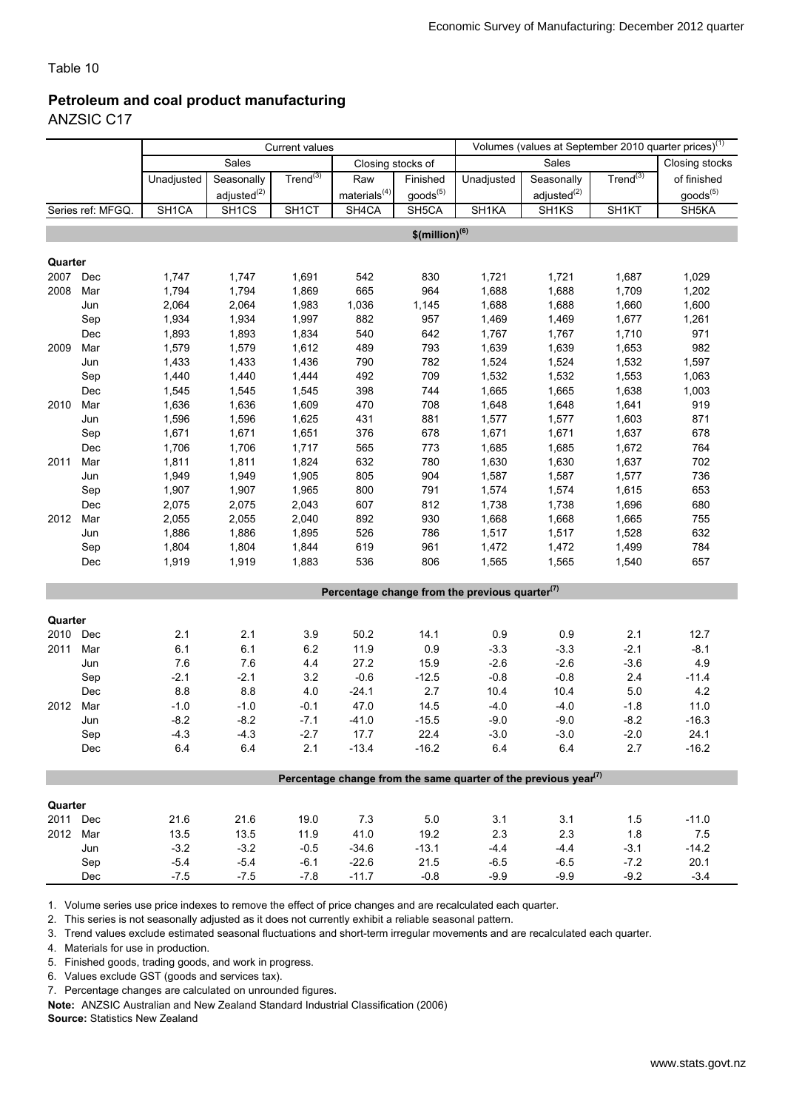### Petroleum and coal product manufacturing

ANZSIC C17

|          |                   | <b>Current values</b> |                         |                    |                    |                              |                                                   |                                                                                          | Volumes (values at September 2010 quarter prices) <sup>(1)</sup> |                      |
|----------|-------------------|-----------------------|-------------------------|--------------------|--------------------|------------------------------|---------------------------------------------------|------------------------------------------------------------------------------------------|------------------------------------------------------------------|----------------------|
|          |                   |                       | Sales                   |                    | Closing stocks of  |                              |                                                   | Sales                                                                                    |                                                                  | Closing stocks       |
|          |                   | Unadjusted            | Seasonally              | Trend $^{(3)}$     | Raw                | Finished                     | Unadjusted                                        | Seasonally                                                                               | $Trend^{(3)}$                                                    | of finished          |
|          |                   |                       | adjusted <sup>(2)</sup> |                    | materials $^{(4)}$ | goods <sup>(5)</sup>         |                                                   | adjusted <sup>(2)</sup>                                                                  |                                                                  | goods <sup>(5)</sup> |
|          | Series ref: MFGQ. | SH1CA                 | SH <sub>1CS</sub>       | SH <sub>1</sub> CT | SH4CA              | SH5CA                        | SH1KA                                             | SH <sub>1</sub> KS                                                                       | SH1KT                                                            | SH <sub>5</sub> KA   |
|          |                   |                       |                         |                    |                    | $$$ (million) <sup>(6)</sup> |                                                   |                                                                                          |                                                                  |                      |
|          |                   |                       |                         |                    |                    |                              |                                                   |                                                                                          |                                                                  |                      |
| Quarter  |                   |                       |                         |                    |                    |                              |                                                   |                                                                                          |                                                                  |                      |
| 2007     | Dec               | 1,747                 | 1,747                   | 1,691              | 542                | 830                          | 1,721                                             | 1,721                                                                                    | 1,687                                                            | 1,029                |
| 2008     | Mar               | 1,794                 | 1,794                   | 1,869              | 665                | 964                          | 1,688                                             | 1,688                                                                                    | 1,709                                                            | 1,202                |
|          | Jun               | 2,064                 | 2,064                   | 1,983              | 1,036              | 1,145                        | 1,688                                             | 1,688                                                                                    | 1,660                                                            | 1,600                |
|          | Sep               | 1,934                 | 1,934                   | 1,997              | 882                | 957                          | 1,469                                             | 1,469                                                                                    | 1,677                                                            | 1,261                |
|          | Dec               | 1,893                 | 1,893                   | 1,834              | 540                | 642                          | 1,767                                             | 1,767                                                                                    | 1,710                                                            | 971                  |
| 2009     | Mar               | 1,579                 | 1,579                   | 1,612              | 489                | 793                          | 1,639                                             | 1,639                                                                                    | 1,653                                                            | 982                  |
|          | Jun               | 1,433                 | 1,433                   | 1,436              | 790                | 782                          | 1,524                                             | 1,524                                                                                    | 1,532                                                            | 1,597                |
|          | Sep               | 1,440                 | 1,440                   | 1,444              | 492                | 709                          | 1,532                                             | 1,532                                                                                    | 1,553                                                            | 1,063                |
|          | Dec               | 1,545                 | 1,545                   | 1,545              | 398                | 744                          | 1,665                                             | 1,665                                                                                    | 1,638                                                            | 1,003                |
| 2010     | Mar               | 1,636                 | 1,636                   | 1,609              | 470                | 708                          | 1,648                                             | 1,648                                                                                    | 1,641                                                            | 919                  |
|          | Jun               | 1,596                 | 1,596                   | 1,625              | 431                | 881                          | 1,577                                             | 1,577                                                                                    | 1,603                                                            | 871                  |
|          | Sep               | 1,671                 | 1,671                   | 1,651              | 376                | 678                          | 1,671                                             | 1,671                                                                                    | 1,637                                                            | 678                  |
|          | Dec               | 1,706                 | 1,706                   | 1,717              | 565                | 773                          | 1,685                                             | 1,685                                                                                    | 1,672                                                            | 764                  |
| 2011     | Mar               | 1,811                 | 1,811                   | 1,824              | 632                | 780                          | 1,630                                             | 1,630                                                                                    | 1,637                                                            | 702                  |
|          | Jun               | 1,949                 | 1,949                   | 1,905              | 805                | 904                          | 1,587                                             | 1,587                                                                                    | 1,577                                                            | 736                  |
|          | Sep               | 1,907                 | 1,907                   | 1,965              | 800                | 791                          | 1,574                                             | 1,574                                                                                    | 1,615                                                            | 653                  |
|          | Dec               | 2,075                 | 2,075                   | 2,043              | 607                | 812                          | 1,738                                             | 1,738                                                                                    | 1,696                                                            | 680                  |
| 2012     | Mar               | 2,055                 | 2,055                   | 2,040              | 892                | 930                          | 1,668                                             | 1,668                                                                                    | 1,665                                                            | 755                  |
|          | Jun               | 1,886                 | 1,886                   | 1,895              | 526                | 786                          | 1,517                                             | 1,517                                                                                    | 1,528                                                            | 632                  |
|          | Sep               | 1,804                 | 1,804                   | 1,844              | 619                | 961                          | 1,472                                             | 1,472                                                                                    | 1,499                                                            | 784                  |
|          | Dec               | 1,919                 | 1,919                   | 1,883              | 536                | 806                          | 1,565                                             | 1,565                                                                                    | 1,540                                                            | 657                  |
|          |                   |                       |                         |                    |                    |                              | Percentage change from the previous quarter $(7)$ |                                                                                          |                                                                  |                      |
|          |                   |                       |                         |                    |                    |                              |                                                   |                                                                                          |                                                                  |                      |
| Quarter  |                   |                       |                         |                    |                    |                              |                                                   |                                                                                          |                                                                  |                      |
| 2010 Dec |                   | 2.1                   | 2.1                     | $3.9\,$            | 50.2               | 14.1                         | 0.9                                               | 0.9                                                                                      | 2.1                                                              | 12.7                 |
| 2011     | Mar               | 6.1                   | 6.1                     | 6.2                | 11.9               | 0.9                          | $-3.3$                                            | $-3.3$                                                                                   | $-2.1$                                                           | $-8.1$               |
|          | Jun               | 7.6                   | 7.6                     | 4.4                | 27.2               | 15.9                         | $-2.6$                                            | $-2.6$                                                                                   | $-3.6$                                                           | 4.9                  |
|          | Sep               | $-2.1$                | $-2.1$                  | 3.2                | $-0.6$             | $-12.5$                      | $-0.8$                                            | $-0.8$                                                                                   | 2.4                                                              | $-11.4$              |
|          | Dec               | $8.8\,$               | 8.8                     | 4.0                | $-24.1$            | $2.7\,$                      | 10.4                                              | 10.4                                                                                     | $5.0\,$                                                          | 4.2                  |
| 2012     | Mar               | $-1.0$                | $-1.0$                  | $-0.1$             | 47.0               | 14.5                         | $-4.0$                                            | $-4.0$                                                                                   | $-1.8$                                                           | 11.0                 |
|          | Jun               | $-8.2$                | $-8.2$                  | $-7.1$             | $-41.0$            | $-15.5$                      | $-9.0$                                            | $-9.0$                                                                                   | $-8.2$                                                           | $-16.3$              |
|          | Sep               | $-4.3$                | $-4.3$                  | $-2.7$             | 17.7               | 22.4                         | $-3.0$                                            | $-3.0$                                                                                   | $-2.0$                                                           | 24.1                 |
|          | <b>Dec</b>        | 6.4                   | 6.4                     | 2.1                | $-13.4$            | $-16.2$                      | 6.4                                               | 6.4                                                                                      | 2.7                                                              | $-16.2$              |
|          |                   |                       |                         |                    |                    |                              |                                                   |                                                                                          |                                                                  |                      |
|          |                   |                       |                         |                    |                    |                              |                                                   | Percentage change from the same quarter of the previous year <sup><math>(7)</math></sup> |                                                                  |                      |
| Quarter  |                   |                       |                         |                    |                    |                              |                                                   |                                                                                          |                                                                  |                      |
| 2011 Dec |                   | 21.6                  | 21.6                    | 19.0               | 7.3                | 5.0                          | 3.1                                               | 3.1                                                                                      | 1.5                                                              | $-11.0$              |
| 2012 Mar |                   | 13.5                  | 13.5                    | 11.9               | 41.0               | 19.2                         | $2.3\,$                                           | 2.3                                                                                      | 1.8                                                              | $7.5$                |
|          | Jun               | $-3.2$                | $-3.2$                  | $-0.5$             | $-34.6$            | $-13.1$                      | $-4.4$                                            | $-4.4$                                                                                   | $-3.1$                                                           | $-14.2$              |
|          | Sep               | $-5.4$                | $-5.4$                  | $-6.1$             | $-22.6$            | 21.5                         | $-6.5$                                            | $-6.5$                                                                                   | $-7.2$                                                           | 20.1                 |
|          | Dec               | $-7.5$                | $-7.5$                  | $-7.8$             | $-11.7$            | $-0.8$                       | $-9.9$                                            | $-9.9$                                                                                   | $-9.2$                                                           | $-3.4$               |

1. Volume series use price indexes to remove the effect of price changes and are recalculated each quarter.

2. This series is not seasonally adjusted as it does not currently exhibit a reliable seasonal pattern.

3. Trend values exclude estimated seasonal fluctuations and short-term irregular movements and are recalculated each quarter.

4. Materials for use in production.

5. Finished goods, trading goods, and work in progress.

6. Values exclude GST (goods and services tax).

7. Percentage changes are calculated on unrounded figures.

Note: ANZSIC Australian and New Zealand Standard Industrial Classification (2006)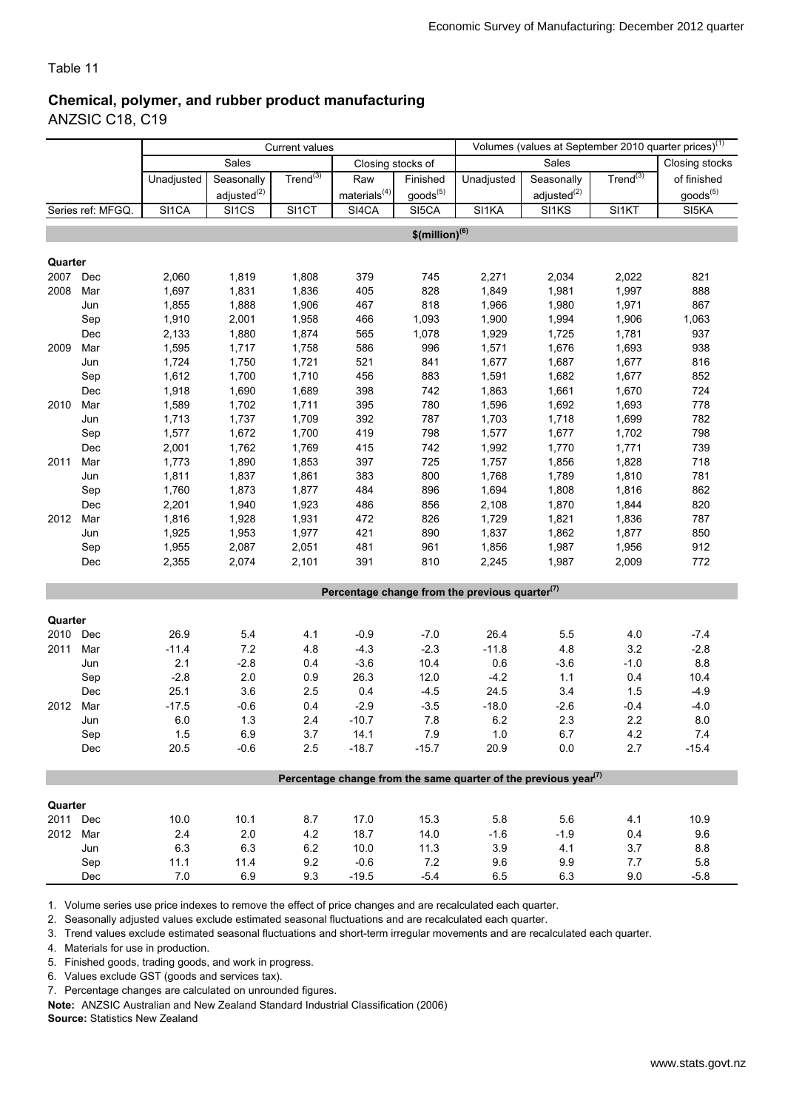#### Chemical, polymer, and rubber product manufacturing ANZSIC C18, C19

|                                                                            |                                                                                                              | <b>Current values</b>                                                                                                                                                            |                                                                                                                                                                                   |                                                                                                                                                             |                                                                                                                                                                                |                                                                                                                                                                  |                                                                                                                                                                                                                                                                 |                                                                                                                                                                                               | Volumes (values at September 2010 quarter prices) <sup>(1)</sup>                                                                                                                |                                                                                                                                             |
|----------------------------------------------------------------------------|--------------------------------------------------------------------------------------------------------------|----------------------------------------------------------------------------------------------------------------------------------------------------------------------------------|-----------------------------------------------------------------------------------------------------------------------------------------------------------------------------------|-------------------------------------------------------------------------------------------------------------------------------------------------------------|--------------------------------------------------------------------------------------------------------------------------------------------------------------------------------|------------------------------------------------------------------------------------------------------------------------------------------------------------------|-----------------------------------------------------------------------------------------------------------------------------------------------------------------------------------------------------------------------------------------------------------------|-----------------------------------------------------------------------------------------------------------------------------------------------------------------------------------------------|---------------------------------------------------------------------------------------------------------------------------------------------------------------------------------|---------------------------------------------------------------------------------------------------------------------------------------------|
|                                                                            |                                                                                                              |                                                                                                                                                                                  | Sales                                                                                                                                                                             |                                                                                                                                                             | Closing stocks of                                                                                                                                                              |                                                                                                                                                                  |                                                                                                                                                                                                                                                                 | Sales                                                                                                                                                                                         |                                                                                                                                                                                 | Closing stocks                                                                                                                              |
|                                                                            |                                                                                                              | Unadjusted                                                                                                                                                                       | Seasonally                                                                                                                                                                        | $Trend^{(3)}$                                                                                                                                               | Raw                                                                                                                                                                            | Finished                                                                                                                                                         | Unadjusted                                                                                                                                                                                                                                                      | Seasonally                                                                                                                                                                                    | Trend $^{(3)}$                                                                                                                                                                  | of finished                                                                                                                                 |
|                                                                            |                                                                                                              |                                                                                                                                                                                  | adjusted <sup>(2)</sup>                                                                                                                                                           |                                                                                                                                                             | materials $^{(4)}$                                                                                                                                                             | goods <sup>(5)</sup>                                                                                                                                             |                                                                                                                                                                                                                                                                 | adjusted <sup>(2)</sup>                                                                                                                                                                       |                                                                                                                                                                                 | goods <sup>(5)</sup>                                                                                                                        |
|                                                                            | Series ref: MFGQ.                                                                                            | SI1CA                                                                                                                                                                            | SI1CS                                                                                                                                                                             | SI1CT                                                                                                                                                       | SI4CA                                                                                                                                                                          | SI5CA                                                                                                                                                            | SI <sub>1</sub> KA                                                                                                                                                                                                                                              | SI <sub>1</sub> KS                                                                                                                                                                            | SI1KT                                                                                                                                                                           | SI5KA                                                                                                                                       |
|                                                                            |                                                                                                              |                                                                                                                                                                                  |                                                                                                                                                                                   |                                                                                                                                                             |                                                                                                                                                                                | $$$ (million) <sup>(6)</sup>                                                                                                                                     |                                                                                                                                                                                                                                                                 |                                                                                                                                                                                               |                                                                                                                                                                                 |                                                                                                                                             |
|                                                                            |                                                                                                              |                                                                                                                                                                                  |                                                                                                                                                                                   |                                                                                                                                                             |                                                                                                                                                                                |                                                                                                                                                                  |                                                                                                                                                                                                                                                                 |                                                                                                                                                                                               |                                                                                                                                                                                 |                                                                                                                                             |
| Quarter                                                                    |                                                                                                              |                                                                                                                                                                                  |                                                                                                                                                                                   |                                                                                                                                                             |                                                                                                                                                                                |                                                                                                                                                                  |                                                                                                                                                                                                                                                                 |                                                                                                                                                                                               |                                                                                                                                                                                 |                                                                                                                                             |
| 2007 Dec                                                                   |                                                                                                              | 2,060                                                                                                                                                                            | 1,819                                                                                                                                                                             | 1,808                                                                                                                                                       | 379                                                                                                                                                                            | 745                                                                                                                                                              | 2,271                                                                                                                                                                                                                                                           | 2,034                                                                                                                                                                                         | 2,022                                                                                                                                                                           | 821                                                                                                                                         |
| 2008                                                                       | Mar                                                                                                          | 1,697                                                                                                                                                                            | 1,831                                                                                                                                                                             | 1,836                                                                                                                                                       | 405                                                                                                                                                                            | 828                                                                                                                                                              | 1,849                                                                                                                                                                                                                                                           | 1,981                                                                                                                                                                                         | 1,997                                                                                                                                                                           | 888                                                                                                                                         |
|                                                                            | Jun                                                                                                          | 1,855                                                                                                                                                                            | 1,888                                                                                                                                                                             | 1,906                                                                                                                                                       | 467                                                                                                                                                                            | 818                                                                                                                                                              | 1,966                                                                                                                                                                                                                                                           | 1,980                                                                                                                                                                                         | 1,971                                                                                                                                                                           | 867                                                                                                                                         |
|                                                                            | Sep                                                                                                          | 1,910                                                                                                                                                                            | 2,001                                                                                                                                                                             | 1,958                                                                                                                                                       | 466                                                                                                                                                                            | 1,093                                                                                                                                                            | 1,900                                                                                                                                                                                                                                                           | 1,994                                                                                                                                                                                         | 1,906                                                                                                                                                                           | 1,063                                                                                                                                       |
|                                                                            | Dec                                                                                                          | 2,133                                                                                                                                                                            | 1,880                                                                                                                                                                             | 1,874                                                                                                                                                       | 565                                                                                                                                                                            | 1,078                                                                                                                                                            | 1,929                                                                                                                                                                                                                                                           | 1,725                                                                                                                                                                                         | 1,781                                                                                                                                                                           | 937                                                                                                                                         |
| 2009                                                                       | Mar                                                                                                          | 1,595                                                                                                                                                                            | 1,717                                                                                                                                                                             | 1,758                                                                                                                                                       | 586                                                                                                                                                                            | 996                                                                                                                                                              | 1,571                                                                                                                                                                                                                                                           | 1,676                                                                                                                                                                                         | 1,693                                                                                                                                                                           | 938                                                                                                                                         |
|                                                                            | Jun                                                                                                          | 1,724                                                                                                                                                                            | 1,750                                                                                                                                                                             | 1,721                                                                                                                                                       | 521                                                                                                                                                                            | 841                                                                                                                                                              | 1,677                                                                                                                                                                                                                                                           | 1,687                                                                                                                                                                                         | 1,677                                                                                                                                                                           | 816                                                                                                                                         |
|                                                                            | Sep                                                                                                          | 1,612                                                                                                                                                                            | 1,700                                                                                                                                                                             | 1,710                                                                                                                                                       | 456                                                                                                                                                                            | 883                                                                                                                                                              | 1,591                                                                                                                                                                                                                                                           | 1,682                                                                                                                                                                                         | 1,677                                                                                                                                                                           | 852                                                                                                                                         |
|                                                                            | Dec                                                                                                          | 1,918                                                                                                                                                                            | 1,690                                                                                                                                                                             | 1,689                                                                                                                                                       | 398                                                                                                                                                                            | 742                                                                                                                                                              | 1,863                                                                                                                                                                                                                                                           | 1,661                                                                                                                                                                                         | 1,670                                                                                                                                                                           | 724                                                                                                                                         |
| 2010                                                                       | Mar                                                                                                          | 1,589                                                                                                                                                                            | 1,702                                                                                                                                                                             | 1,711                                                                                                                                                       | 395                                                                                                                                                                            | 780                                                                                                                                                              | 1,596                                                                                                                                                                                                                                                           | 1,692                                                                                                                                                                                         | 1,693                                                                                                                                                                           | 778                                                                                                                                         |
|                                                                            |                                                                                                              |                                                                                                                                                                                  |                                                                                                                                                                                   |                                                                                                                                                             |                                                                                                                                                                                |                                                                                                                                                                  |                                                                                                                                                                                                                                                                 |                                                                                                                                                                                               |                                                                                                                                                                                 |                                                                                                                                             |
|                                                                            |                                                                                                              |                                                                                                                                                                                  |                                                                                                                                                                                   |                                                                                                                                                             |                                                                                                                                                                                |                                                                                                                                                                  |                                                                                                                                                                                                                                                                 |                                                                                                                                                                                               |                                                                                                                                                                                 |                                                                                                                                             |
|                                                                            |                                                                                                              |                                                                                                                                                                                  |                                                                                                                                                                                   |                                                                                                                                                             |                                                                                                                                                                                |                                                                                                                                                                  |                                                                                                                                                                                                                                                                 |                                                                                                                                                                                               |                                                                                                                                                                                 |                                                                                                                                             |
|                                                                            |                                                                                                              |                                                                                                                                                                                  |                                                                                                                                                                                   |                                                                                                                                                             |                                                                                                                                                                                |                                                                                                                                                                  |                                                                                                                                                                                                                                                                 |                                                                                                                                                                                               |                                                                                                                                                                                 |                                                                                                                                             |
|                                                                            |                                                                                                              |                                                                                                                                                                                  |                                                                                                                                                                                   |                                                                                                                                                             |                                                                                                                                                                                |                                                                                                                                                                  |                                                                                                                                                                                                                                                                 |                                                                                                                                                                                               |                                                                                                                                                                                 |                                                                                                                                             |
|                                                                            |                                                                                                              |                                                                                                                                                                                  |                                                                                                                                                                                   |                                                                                                                                                             |                                                                                                                                                                                |                                                                                                                                                                  |                                                                                                                                                                                                                                                                 |                                                                                                                                                                                               |                                                                                                                                                                                 |                                                                                                                                             |
|                                                                            |                                                                                                              |                                                                                                                                                                                  |                                                                                                                                                                                   |                                                                                                                                                             |                                                                                                                                                                                |                                                                                                                                                                  |                                                                                                                                                                                                                                                                 |                                                                                                                                                                                               |                                                                                                                                                                                 |                                                                                                                                             |
|                                                                            |                                                                                                              |                                                                                                                                                                                  |                                                                                                                                                                                   |                                                                                                                                                             |                                                                                                                                                                                |                                                                                                                                                                  |                                                                                                                                                                                                                                                                 |                                                                                                                                                                                               |                                                                                                                                                                                 |                                                                                                                                             |
|                                                                            |                                                                                                              |                                                                                                                                                                                  |                                                                                                                                                                                   |                                                                                                                                                             |                                                                                                                                                                                |                                                                                                                                                                  |                                                                                                                                                                                                                                                                 |                                                                                                                                                                                               |                                                                                                                                                                                 |                                                                                                                                             |
|                                                                            |                                                                                                              |                                                                                                                                                                                  |                                                                                                                                                                                   |                                                                                                                                                             |                                                                                                                                                                                |                                                                                                                                                                  |                                                                                                                                                                                                                                                                 |                                                                                                                                                                                               |                                                                                                                                                                                 |                                                                                                                                             |
|                                                                            |                                                                                                              |                                                                                                                                                                                  |                                                                                                                                                                                   |                                                                                                                                                             |                                                                                                                                                                                |                                                                                                                                                                  |                                                                                                                                                                                                                                                                 |                                                                                                                                                                                               |                                                                                                                                                                                 |                                                                                                                                             |
|                                                                            |                                                                                                              |                                                                                                                                                                                  |                                                                                                                                                                                   |                                                                                                                                                             |                                                                                                                                                                                |                                                                                                                                                                  |                                                                                                                                                                                                                                                                 |                                                                                                                                                                                               |                                                                                                                                                                                 |                                                                                                                                             |
|                                                                            |                                                                                                              |                                                                                                                                                                                  |                                                                                                                                                                                   |                                                                                                                                                             |                                                                                                                                                                                |                                                                                                                                                                  | Percentage change from the previous quarter <sup>(7)</sup>                                                                                                                                                                                                      |                                                                                                                                                                                               |                                                                                                                                                                                 |                                                                                                                                             |
|                                                                            |                                                                                                              |                                                                                                                                                                                  |                                                                                                                                                                                   |                                                                                                                                                             |                                                                                                                                                                                |                                                                                                                                                                  |                                                                                                                                                                                                                                                                 |                                                                                                                                                                                               |                                                                                                                                                                                 |                                                                                                                                             |
|                                                                            |                                                                                                              |                                                                                                                                                                                  |                                                                                                                                                                                   |                                                                                                                                                             |                                                                                                                                                                                |                                                                                                                                                                  |                                                                                                                                                                                                                                                                 |                                                                                                                                                                                               |                                                                                                                                                                                 |                                                                                                                                             |
|                                                                            |                                                                                                              |                                                                                                                                                                                  |                                                                                                                                                                                   |                                                                                                                                                             |                                                                                                                                                                                |                                                                                                                                                                  |                                                                                                                                                                                                                                                                 |                                                                                                                                                                                               |                                                                                                                                                                                 |                                                                                                                                             |
|                                                                            |                                                                                                              |                                                                                                                                                                                  |                                                                                                                                                                                   |                                                                                                                                                             |                                                                                                                                                                                |                                                                                                                                                                  |                                                                                                                                                                                                                                                                 |                                                                                                                                                                                               |                                                                                                                                                                                 |                                                                                                                                             |
|                                                                            | Jun                                                                                                          |                                                                                                                                                                                  |                                                                                                                                                                                   | 0.4                                                                                                                                                         |                                                                                                                                                                                |                                                                                                                                                                  |                                                                                                                                                                                                                                                                 |                                                                                                                                                                                               |                                                                                                                                                                                 |                                                                                                                                             |
|                                                                            | Sep                                                                                                          |                                                                                                                                                                                  |                                                                                                                                                                                   | 0.9                                                                                                                                                         |                                                                                                                                                                                |                                                                                                                                                                  |                                                                                                                                                                                                                                                                 |                                                                                                                                                                                               |                                                                                                                                                                                 | 10.4                                                                                                                                        |
|                                                                            | Dec                                                                                                          |                                                                                                                                                                                  |                                                                                                                                                                                   |                                                                                                                                                             |                                                                                                                                                                                |                                                                                                                                                                  | 24.5                                                                                                                                                                                                                                                            |                                                                                                                                                                                               |                                                                                                                                                                                 | $-4.9$                                                                                                                                      |
| 2012                                                                       | Mar                                                                                                          | $-17.5$                                                                                                                                                                          | $-0.6$                                                                                                                                                                            | 0.4                                                                                                                                                         | $-2.9$                                                                                                                                                                         | $-3.5$                                                                                                                                                           | $-18.0$                                                                                                                                                                                                                                                         | $-2.6$                                                                                                                                                                                        | $-0.4$                                                                                                                                                                          | $-4.0$                                                                                                                                      |
|                                                                            | Jun                                                                                                          | 6.0                                                                                                                                                                              |                                                                                                                                                                                   | 2.4                                                                                                                                                         | $-10.7$                                                                                                                                                                        | 7.8                                                                                                                                                              |                                                                                                                                                                                                                                                                 |                                                                                                                                                                                               |                                                                                                                                                                                 | 8.0                                                                                                                                         |
|                                                                            | Sep                                                                                                          | 1.5                                                                                                                                                                              | 6.9                                                                                                                                                                               | 3.7                                                                                                                                                         | 14.1                                                                                                                                                                           | $7.9$                                                                                                                                                            | 1.0                                                                                                                                                                                                                                                             | 6.7                                                                                                                                                                                           | 4.2                                                                                                                                                                             | 7.4                                                                                                                                         |
|                                                                            | Dec                                                                                                          | 20.5                                                                                                                                                                             | $-0.6$                                                                                                                                                                            | 2.5                                                                                                                                                         |                                                                                                                                                                                | $-15.7$                                                                                                                                                          | 20.9                                                                                                                                                                                                                                                            |                                                                                                                                                                                               | 2.7                                                                                                                                                                             | $-15.4$                                                                                                                                     |
|                                                                            |                                                                                                              |                                                                                                                                                                                  |                                                                                                                                                                                   |                                                                                                                                                             |                                                                                                                                                                                |                                                                                                                                                                  |                                                                                                                                                                                                                                                                 |                                                                                                                                                                                               |                                                                                                                                                                                 |                                                                                                                                             |
|                                                                            |                                                                                                              |                                                                                                                                                                                  |                                                                                                                                                                                   |                                                                                                                                                             |                                                                                                                                                                                |                                                                                                                                                                  |                                                                                                                                                                                                                                                                 |                                                                                                                                                                                               |                                                                                                                                                                                 |                                                                                                                                             |
|                                                                            |                                                                                                              |                                                                                                                                                                                  |                                                                                                                                                                                   |                                                                                                                                                             |                                                                                                                                                                                |                                                                                                                                                                  |                                                                                                                                                                                                                                                                 |                                                                                                                                                                                               |                                                                                                                                                                                 |                                                                                                                                             |
|                                                                            |                                                                                                              |                                                                                                                                                                                  |                                                                                                                                                                                   |                                                                                                                                                             |                                                                                                                                                                                |                                                                                                                                                                  |                                                                                                                                                                                                                                                                 |                                                                                                                                                                                               |                                                                                                                                                                                 |                                                                                                                                             |
|                                                                            |                                                                                                              |                                                                                                                                                                                  |                                                                                                                                                                                   |                                                                                                                                                             |                                                                                                                                                                                |                                                                                                                                                                  |                                                                                                                                                                                                                                                                 |                                                                                                                                                                                               |                                                                                                                                                                                 |                                                                                                                                             |
|                                                                            |                                                                                                              |                                                                                                                                                                                  |                                                                                                                                                                                   |                                                                                                                                                             |                                                                                                                                                                                |                                                                                                                                                                  |                                                                                                                                                                                                                                                                 |                                                                                                                                                                                               |                                                                                                                                                                                 |                                                                                                                                             |
|                                                                            |                                                                                                              |                                                                                                                                                                                  |                                                                                                                                                                                   |                                                                                                                                                             |                                                                                                                                                                                |                                                                                                                                                                  |                                                                                                                                                                                                                                                                 |                                                                                                                                                                                               |                                                                                                                                                                                 |                                                                                                                                             |
|                                                                            |                                                                                                              |                                                                                                                                                                                  |                                                                                                                                                                                   |                                                                                                                                                             |                                                                                                                                                                                |                                                                                                                                                                  |                                                                                                                                                                                                                                                                 |                                                                                                                                                                                               |                                                                                                                                                                                 |                                                                                                                                             |
| 2011<br>2012<br>Quarter<br>2010<br>2011<br>Quarter<br>2011 Dec<br>2012 Mar | Jun<br>Sep<br>Dec<br>Mar<br>Jun<br>Sep<br>Dec<br>Mar<br>Jun<br>Sep<br>Dec<br>Dec<br>Mar<br>Jun<br>Sep<br>Dec | 1,713<br>1,577<br>2,001<br>1,773<br>1,811<br>1,760<br>2,201<br>1,816<br>1,925<br>1,955<br>2,355<br>26.9<br>$-11.4$<br>2.1<br>$-2.8$<br>25.1<br>10.0<br>2.4<br>6.3<br>11.1<br>7.0 | 1,737<br>1,672<br>1,762<br>1,890<br>1,837<br>1,873<br>1,940<br>1,928<br>1,953<br>2,087<br>2,074<br>5.4<br>7.2<br>$-2.8$<br>2.0<br>3.6<br>1.3<br>10.1<br>2.0<br>6.3<br>11.4<br>6.9 | 1,709<br>1,700<br>1,769<br>1,853<br>1,861<br>1,877<br>1,923<br>1,931<br>1,977<br>2,051<br>2,101<br>4.1<br>4.8<br>2.5<br>8.7<br>4.2<br>$6.2\,$<br>9.2<br>9.3 | 392<br>419<br>415<br>397<br>383<br>484<br>486<br>472<br>421<br>481<br>391<br>$-0.9$<br>$-4.3$<br>$-3.6$<br>26.3<br>0.4<br>$-18.7$<br>17.0<br>18.7<br>10.0<br>$-0.6$<br>$-19.5$ | 787<br>798<br>742<br>725<br>800<br>896<br>856<br>826<br>890<br>961<br>810<br>$-7.0$<br>$-2.3$<br>10.4<br>12.0<br>$-4.5$<br>15.3<br>14.0<br>11.3<br>7.2<br>$-5.4$ | 1,703<br>1,577<br>1,992<br>1,757<br>1,768<br>1,694<br>2,108<br>1,729<br>1,837<br>1,856<br>2,245<br>26.4<br>$-11.8$<br>0.6<br>$-4.2$<br>6.2<br>Percentage change from the same quarter of the previous year <sup>(7)</sup><br>5.8<br>$-1.6$<br>3.9<br>9.6<br>6.5 | 1,718<br>1,677<br>1,770<br>1,856<br>1,789<br>1,808<br>1,870<br>1,821<br>1,862<br>1,987<br>1,987<br>5.5<br>4.8<br>$-3.6$<br>1.1<br>3.4<br>2.3<br>$0.0\,$<br>5.6<br>$-1.9$<br>4.1<br>9.9<br>6.3 | 1,699<br>1,702<br>1,771<br>1,828<br>1,810<br>1,816<br>1,844<br>1,836<br>1,877<br>1,956<br>2,009<br>4.0<br>3.2<br>$-1.0$<br>0.4<br>1.5<br>2.2<br>4.1<br>0.4<br>3.7<br>7.7<br>9.0 | 782<br>798<br>739<br>718<br>781<br>862<br>820<br>787<br>850<br>912<br>772<br>$-7.4$<br>$-2.8$<br>8.8<br>10.9<br>9.6<br>8.8<br>5.8<br>$-5.8$ |

1. Volume series use price indexes to remove the effect of price changes and are recalculated each quarter.

2. Seasonally adjusted values exclude estimated seasonal fluctuations and are recalculated each quarter.

3. Trend values exclude estimated seasonal fluctuations and short-term irregular movements and are recalculated each quarter.

4. Materials for use in production.

5. Finished goods, trading goods, and work in progress.

6. Values exclude GST (goods and services tax).

7. Percentage changes are calculated on unrounded figures.

Note: ANZSIC Australian and New Zealand Standard Industrial Classification (2006)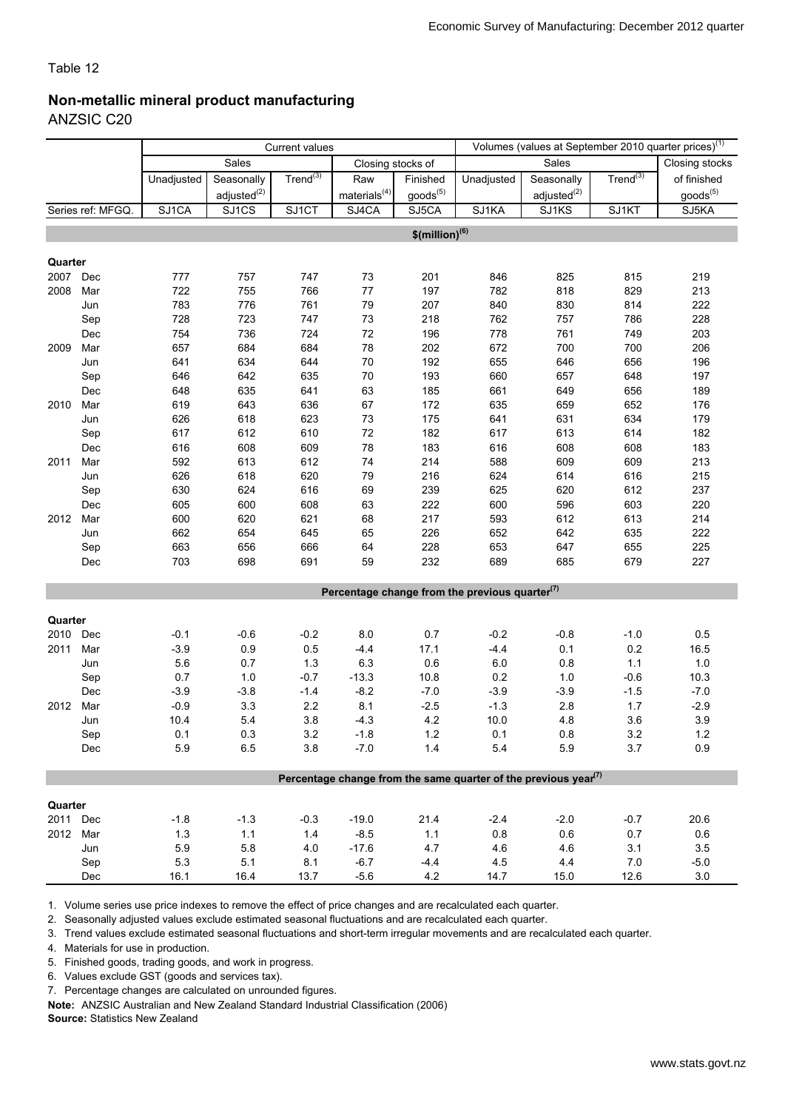### Non-metallic mineral product manufacturing

ANZSIC C20

|          |                   | <b>Current values</b> |                         |               |                    |                              |                                                   |                                                                                          | Volumes (values at September 2010 quarter prices) <sup>(1)</sup> |                |
|----------|-------------------|-----------------------|-------------------------|---------------|--------------------|------------------------------|---------------------------------------------------|------------------------------------------------------------------------------------------|------------------------------------------------------------------|----------------|
|          |                   |                       | Sales                   |               | Closing stocks of  |                              |                                                   | Sales                                                                                    |                                                                  | Closing stocks |
|          |                   | Unadjusted            | Seasonally              | $Trend^{(3)}$ | Raw                | Finished                     | Unadjusted                                        | Seasonally                                                                               | $Trend^{(3)}$                                                    | of finished    |
|          |                   |                       | adjusted <sup>(2)</sup> |               | materials $^{(4)}$ | goods <sup>(5)</sup>         |                                                   | adjusted <sup>(2)</sup>                                                                  |                                                                  | $goods^{(5)}$  |
|          | Series ref: MFGQ. | SJ1CA                 | SJ1CS                   | SJ1CT         | SJ4CA              | SJ5CA                        | SJ1KA                                             | SJ1KS                                                                                    | SJ1KT                                                            | SJ5KA          |
|          |                   |                       |                         |               |                    | $$$ (million) <sup>(6)</sup> |                                                   |                                                                                          |                                                                  |                |
|          |                   |                       |                         |               |                    |                              |                                                   |                                                                                          |                                                                  |                |
| Quarter  |                   |                       |                         |               |                    |                              |                                                   |                                                                                          |                                                                  |                |
| 2007     | Dec               | 777                   | 757                     | 747           | 73                 | 201                          | 846                                               | 825                                                                                      | 815                                                              | 219            |
| 2008     | Mar               | 722                   | 755                     | 766           | 77                 | 197                          | 782                                               | 818                                                                                      | 829                                                              | 213            |
|          | Jun               | 783                   | 776                     | 761           | 79                 | 207                          | 840                                               | 830                                                                                      | 814                                                              | 222            |
|          | Sep               | 728                   | 723                     | 747           | $73\,$             | 218                          | 762                                               | 757                                                                                      | 786                                                              | 228            |
|          | Dec               | 754                   | 736                     | 724           | $72\,$             | 196                          | 778                                               | 761                                                                                      | 749                                                              | 203            |
| 2009     | Mar               | 657                   | 684                     | 684           | 78                 | 202                          | 672                                               | 700                                                                                      | 700                                                              | 206            |
|          | Jun               | 641                   | 634                     | 644           | 70                 | 192                          | 655                                               | 646                                                                                      | 656                                                              | 196            |
|          | Sep               | 646                   | 642                     | 635           | 70                 | 193                          | 660                                               | 657                                                                                      | 648                                                              | 197            |
|          | Dec               | 648                   | 635                     | 641           | 63                 | 185                          | 661                                               | 649                                                                                      | 656                                                              | 189            |
| 2010     | Mar               | 619                   | 643                     | 636           | 67                 | 172                          | 635                                               | 659                                                                                      | 652                                                              | 176            |
|          | Jun               | 626                   | 618                     | 623           | 73                 | 175                          | 641                                               | 631                                                                                      | 634                                                              | 179            |
|          | Sep               | 617                   | 612                     | 610           | 72                 | 182                          | 617                                               | 613                                                                                      | 614                                                              | 182            |
|          | Dec               | 616                   | 608                     | 609           | 78                 | 183                          | 616                                               | 608                                                                                      | 608                                                              | 183            |
| 2011     | Mar               | 592                   | 613                     | 612           | 74                 | 214                          | 588                                               | 609                                                                                      | 609                                                              | 213            |
|          | Jun               | 626                   | 618                     | 620           | 79                 | 216                          | 624                                               | 614                                                                                      | 616                                                              | 215            |
|          | Sep               | 630                   | 624                     | 616           | 69                 | 239                          | 625                                               | 620                                                                                      | 612                                                              | 237            |
|          | Dec               | 605                   | 600                     | 608           | 63                 | 222                          | 600                                               | 596                                                                                      | 603                                                              | 220            |
| 2012     | Mar               | 600                   | 620                     | 621           | 68                 | 217                          | 593                                               | 612                                                                                      | 613                                                              | 214            |
|          | Jun               | 662                   | 654                     | 645           | 65                 | 226                          | 652                                               | 642                                                                                      | 635                                                              | 222            |
|          | Sep               | 663                   | 656                     | 666           | 64                 | 228                          | 653                                               | 647                                                                                      | 655                                                              | 225            |
|          | Dec               | 703                   | 698                     | 691           | 59                 | 232                          | 689                                               | 685                                                                                      | 679                                                              | 227            |
|          |                   |                       |                         |               |                    |                              |                                                   |                                                                                          |                                                                  |                |
|          |                   |                       |                         |               |                    |                              | Percentage change from the previous quarter $(7)$ |                                                                                          |                                                                  |                |
| Quarter  |                   |                       |                         |               |                    |                              |                                                   |                                                                                          |                                                                  |                |
| 2010 Dec |                   | $-0.1$                | $-0.6$                  | $-0.2$        | 8.0                | 0.7                          | $-0.2$                                            | $-0.8$                                                                                   | $-1.0$                                                           | 0.5            |
| 2011     | Mar               | $-3.9$                | $0.9\,$                 | 0.5           | $-4.4$             | 17.1                         | $-4.4$                                            | 0.1                                                                                      | 0.2                                                              | 16.5           |
|          | Jun               | 5.6                   | 0.7                     | 1.3           | 6.3                | 0.6                          | $6.0\,$                                           | 0.8                                                                                      | $1.1$                                                            | $1.0$          |
|          | Sep               | 0.7                   | 1.0                     | $-0.7$        | $-13.3$            | 10.8                         | $0.2\,$                                           | 1.0                                                                                      | $-0.6$                                                           | 10.3           |
|          | Dec               | $-3.9$                | $-3.8$                  | $-1.4$        | $-8.2$             | $-7.0$                       | $-3.9$                                            | $-3.9$                                                                                   | $-1.5$                                                           | $-7.0$         |
| 2012     | Mar               | $-0.9$                | 3.3                     | $2.2\,$       | 8.1                | $-2.5$                       | $-1.3$                                            | 2.8                                                                                      | $1.7$                                                            | $-2.9$         |
|          | Jun               | 10.4                  | 5.4                     | 3.8           | $-4.3$             | 4.2                          | 10.0                                              | 4.8                                                                                      | 3.6                                                              | 3.9            |
|          | Sep               | 0.1                   | 0.3                     | 3.2           | $-1.8$             | 1.2                          | 0.1                                               | 0.8                                                                                      | 3.2                                                              | $1.2$          |
|          | Dec               | 5.9                   | 6.5                     | 3.8           | $-7.0$             | 1.4                          | 5.4                                               | 5.9                                                                                      | 3.7                                                              | 0.9            |
|          |                   |                       |                         |               |                    |                              |                                                   |                                                                                          |                                                                  |                |
|          |                   |                       |                         |               |                    |                              |                                                   | Percentage change from the same quarter of the previous year <sup><math>(7)</math></sup> |                                                                  |                |
| Quarter  |                   |                       |                         |               |                    |                              |                                                   |                                                                                          |                                                                  |                |
| 2011 Dec |                   | $-1.8$                | $-1.3$                  | $-0.3$        | $-19.0$            | 21.4                         | $-2.4$                                            | $-2.0$                                                                                   | $-0.7$                                                           | 20.6           |
| 2012 Mar |                   | $1.3$                 | $1.1$                   | $1.4$         | $-8.5$             | 1.1                          | 0.8                                               | 0.6                                                                                      | 0.7                                                              | 0.6            |
|          | Jun               | 5.9                   | 5.8                     | $4.0$         | $-17.6$            | 4.7                          | 4.6                                               | 4.6                                                                                      | 3.1                                                              | 3.5            |
|          | Sep               | 5.3                   | 5.1                     | 8.1           | $-6.7$             | $-4.4$                       | 4.5                                               | 4.4                                                                                      | 7.0                                                              | $-5.0$         |
|          | Dec               | 16.1                  | 16.4                    | 13.7          | $-5.6$             | 4.2                          | 14.7                                              | 15.0                                                                                     | 12.6                                                             | 3.0            |

1. Volume series use price indexes to remove the effect of price changes and are recalculated each quarter.

2. Seasonally adjusted values exclude estimated seasonal fluctuations and are recalculated each quarter.

3. Trend values exclude estimated seasonal fluctuations and short-term irregular movements and are recalculated each quarter.

4. Materials for use in production.

5. Finished goods, trading goods, and work in progress.

6. Values exclude GST (goods and services tax).

7. Percentage changes are calculated on unrounded figures.

Note: ANZSIC Australian and New Zealand Standard Industrial Classification (2006)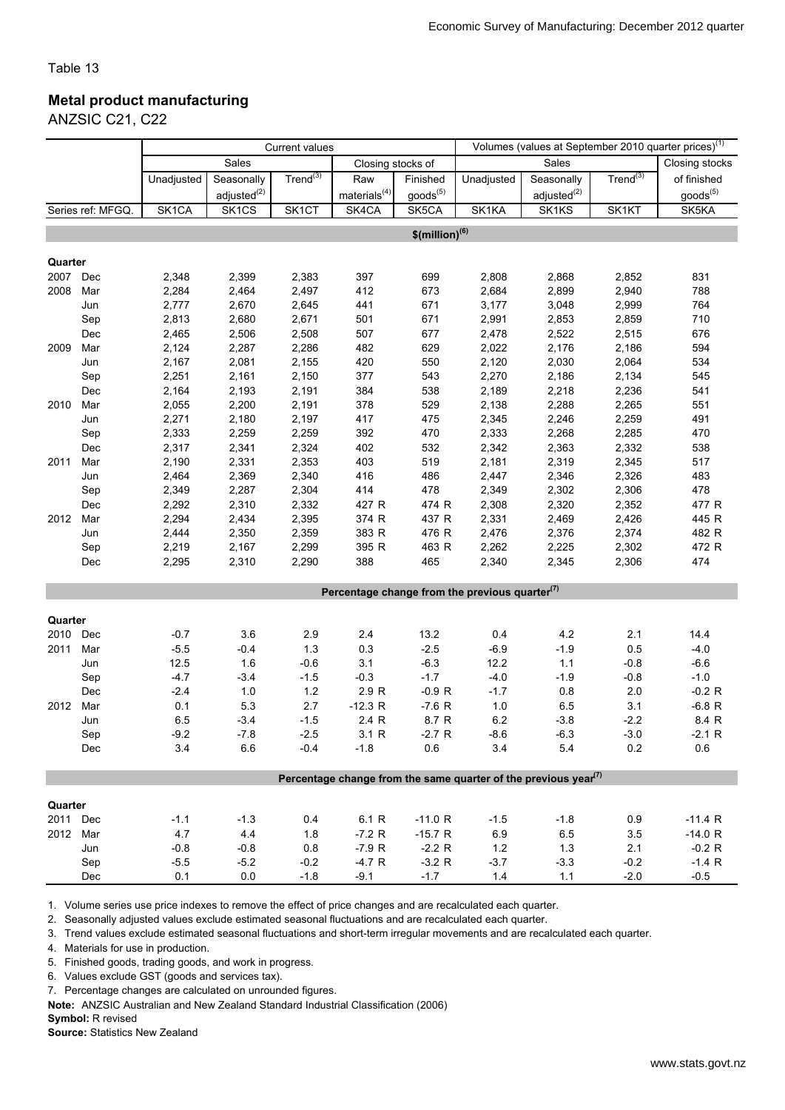#### Metal product manufacturing

ANZSIC C21, C22

|                                                                                          |                   | <b>Current values</b> |                         |                    |                    |                              |                                                   |                  | Volumes (values at September 2010 quarter prices) <sup>(1)</sup> |                |  |  |  |
|------------------------------------------------------------------------------------------|-------------------|-----------------------|-------------------------|--------------------|--------------------|------------------------------|---------------------------------------------------|------------------|------------------------------------------------------------------|----------------|--|--|--|
|                                                                                          |                   |                       | Sales                   |                    | Closing stocks of  |                              |                                                   | Sales            |                                                                  | Closing stocks |  |  |  |
|                                                                                          |                   | Unadjusted            | Seasonally              | Trend $^{(3)}$     | Raw                | Finished                     | Unadjusted                                        | Seasonally       | $Trend^{(3)}$                                                    | of finished    |  |  |  |
|                                                                                          |                   |                       | adjusted <sup>(2)</sup> |                    | materials $^{(4)}$ | $goods^{(5)}$                |                                                   | $adjusted^{(2)}$ |                                                                  | $goods^{(5)}$  |  |  |  |
|                                                                                          | Series ref: MFGQ. | SK <sub>1</sub> CA    | SK <sub>1</sub> CS      | SK <sub>1</sub> CT | SK4CA              | SK5CA                        | SK1KA                                             | SK1KS            | SK1KT                                                            | SK5KA          |  |  |  |
|                                                                                          |                   |                       |                         |                    |                    | $$$ (million) <sup>(6)</sup> |                                                   |                  |                                                                  |                |  |  |  |
|                                                                                          |                   |                       |                         |                    |                    |                              |                                                   |                  |                                                                  |                |  |  |  |
| Quarter                                                                                  |                   |                       |                         |                    |                    |                              |                                                   |                  |                                                                  |                |  |  |  |
| 2007                                                                                     | Dec               | 2,348                 | 2,399                   | 2,383              | 397                | 699                          | 2,808                                             | 2,868            | 2,852                                                            | 831            |  |  |  |
| 2008                                                                                     | Mar               | 2,284                 | 2,464                   | 2,497              | 412                | 673                          | 2,684                                             | 2,899            | 2,940                                                            | 788            |  |  |  |
|                                                                                          | Jun               | 2,777                 | 2,670                   | 2,645              | 441                | 671                          | 3,177                                             | 3,048            | 2,999                                                            | 764            |  |  |  |
|                                                                                          | Sep               | 2,813                 | 2,680                   | 2,671              | 501                | 671                          | 2,991                                             | 2,853            | 2,859                                                            | 710            |  |  |  |
|                                                                                          | Dec               | 2,465                 | 2,506                   | 2,508              | 507                | 677                          | 2,478                                             | 2,522            | 2,515                                                            | 676            |  |  |  |
| 2009                                                                                     | Mar               | 2,124                 | 2,287                   | 2,286              | 482                | 629                          | 2,022                                             | 2,176            | 2,186                                                            | 594            |  |  |  |
|                                                                                          | Jun               | 2,167                 | 2,081                   | 2,155              | 420                | 550                          | 2,120                                             | 2,030            | 2,064                                                            | 534            |  |  |  |
|                                                                                          | Sep               | 2,251                 | 2,161                   | 2,150              | 377                | 543                          | 2,270                                             | 2,186            | 2,134                                                            | 545            |  |  |  |
|                                                                                          | Dec               | 2,164                 | 2,193                   | 2,191              | 384                | 538                          | 2,189                                             | 2,218            | 2,236                                                            | 541            |  |  |  |
| 2010                                                                                     | Mar               | 2,055                 | 2,200                   | 2,191              | 378                | 529                          | 2,138                                             | 2,288            | 2,265                                                            | 551            |  |  |  |
|                                                                                          | Jun               | 2,271                 | 2,180                   | 2,197              | 417                | 475                          | 2,345                                             | 2,246            | 2,259                                                            | 491            |  |  |  |
|                                                                                          | Sep               | 2,333                 | 2,259                   | 2,259              | 392                | 470                          | 2,333                                             | 2,268            | 2,285                                                            | 470            |  |  |  |
|                                                                                          | Dec               | 2,317                 | 2,341                   | 2,324              | 402                | 532                          | 2,342                                             | 2,363            | 2,332                                                            | 538            |  |  |  |
| 2011                                                                                     | Mar               | 2,190                 | 2,331                   | 2,353              | 403                | 519                          | 2,181                                             | 2,319            | 2,345                                                            | 517            |  |  |  |
|                                                                                          | Jun               | 2,464                 | 2,369                   | 2,340              | 416                | 486                          | 2,447                                             | 2,346            | 2,326                                                            | 483            |  |  |  |
|                                                                                          | Sep               | 2,349                 | 2,287                   | 2,304              | 414                | 478                          | 2,349                                             | 2,302            | 2,306                                                            | 478            |  |  |  |
|                                                                                          | Dec               | 2,292                 | 2,310                   | 2,332              | 427 R              | 474 R                        | 2,308                                             | 2,320            | 2,352                                                            | 477 R          |  |  |  |
| 2012                                                                                     | Mar               | 2,294                 | 2,434                   | 2,395              | 374 R              | 437 R                        | 2,331                                             | 2,469            | 2,426                                                            | 445 R          |  |  |  |
|                                                                                          | Jun               | 2,444                 | 2,350                   | 2,359              | 383 R              | 476 R                        | 2,476                                             | 2,376            | 2,374                                                            | 482 R          |  |  |  |
|                                                                                          | Sep               | 2,219                 | 2,167                   | 2,299              | 395 R              | 463 R                        | 2,262                                             | 2,225            | 2,302                                                            | 472 R          |  |  |  |
|                                                                                          | Dec               | 2,295                 | 2,310                   | 2,290              | 388                | 465                          | 2,340                                             | 2,345            | 2,306                                                            | 474            |  |  |  |
|                                                                                          |                   |                       |                         |                    |                    |                              |                                                   |                  |                                                                  |                |  |  |  |
|                                                                                          |                   |                       |                         |                    |                    |                              | Percentage change from the previous quarter $(7)$ |                  |                                                                  |                |  |  |  |
|                                                                                          |                   |                       |                         |                    |                    |                              |                                                   |                  |                                                                  |                |  |  |  |
| Quarter                                                                                  |                   |                       |                         |                    |                    |                              |                                                   |                  |                                                                  |                |  |  |  |
| 2010                                                                                     | Dec               | $-0.7$                | 3.6                     | 2.9                | 2.4                | 13.2                         | 0.4                                               | 4.2              | 2.1                                                              | 14.4           |  |  |  |
| 2011                                                                                     | Mar               | $-5.5$                | $-0.4$                  | 1.3                | 0.3                | $-2.5$                       | $-6.9$                                            | $-1.9$           | 0.5                                                              | $-4.0$         |  |  |  |
|                                                                                          | Jun               | 12.5                  | 1.6                     | $-0.6$             | 3.1                | $-6.3$                       | 12.2                                              | $1.1$            | $-0.8$                                                           | $-6.6$         |  |  |  |
|                                                                                          | Sep               | $-4.7$                | $-3.4$                  | $-1.5$             | $-0.3$             | $-1.7$                       | $-4.0$                                            | $-1.9$           | $-0.8$                                                           | $-1.0$         |  |  |  |
|                                                                                          | Dec               | $-2.4$                | $1.0$                   | $1.2$              | 2.9 R              | $-0.9 R$                     | $-1.7$                                            | 0.8              | 2.0                                                              | $-0.2 R$       |  |  |  |
| 2012                                                                                     | Mar               | 0.1                   | 5.3                     | 2.7                | $-12.3 R$          | $-7.6 R$                     | 1.0                                               | 6.5              | 3.1                                                              | $-6.8 R$       |  |  |  |
|                                                                                          | Jun               | 6.5                   | $-3.4$                  | $-1.5$             | 2.4 R              | 8.7 R                        | 6.2                                               | $-3.8$           | $-2.2$                                                           | 8.4 R          |  |  |  |
|                                                                                          | Sep               | $-9.2$<br>3.4         | $-7.8$<br>6.6           | $-2.5$<br>$-0.4$   | 3.1 R              | $-2.7 R$                     | $-8.6$                                            | $-6.3$           | $-3.0$                                                           | $-2.1 R$       |  |  |  |
|                                                                                          | Dec               |                       |                         |                    | $-1.8$             | 0.6                          | 3.4                                               | 5.4              | 0.2                                                              | 0.6            |  |  |  |
| Percentage change from the same quarter of the previous year <sup><math>(7)</math></sup> |                   |                       |                         |                    |                    |                              |                                                   |                  |                                                                  |                |  |  |  |
|                                                                                          |                   |                       |                         |                    |                    |                              |                                                   |                  |                                                                  |                |  |  |  |
| Quarter                                                                                  |                   |                       |                         |                    |                    |                              |                                                   |                  |                                                                  |                |  |  |  |
| 2011 Dec                                                                                 |                   | $-1.1$                | $-1.3$                  | 0.4                | 6.1 R              | $-11.0 R$                    | $-1.5$                                            | $-1.8$           | 0.9                                                              | $-11.4 R$      |  |  |  |
| 2012 Mar                                                                                 |                   | 4.7                   | 4.4                     | 1.8                | $-7.2 R$           | $-15.7 R$                    | 6.9                                               | 6.5              | 3.5                                                              | $-14.0 R$      |  |  |  |
|                                                                                          | Jun               | $-0.8$                | $-0.8$                  | 0.8                | $-7.9 R$           | $-2.2 R$                     | $1.2$                                             | 1.3              | 2.1                                                              | $-0.2 R$       |  |  |  |
|                                                                                          | Sep               | $-5.5$                | $-5.2$                  | $-0.2$             | $-4.7 R$           | $-3.2 R$                     | $-3.7$                                            | $-3.3$           | $-0.2$                                                           | $-1.4 R$       |  |  |  |
|                                                                                          | Dec               | 0.1                   | $0.0\,$                 | $-1.8$             | $-9.1$             | $-1.7$                       | 1.4                                               | 1.1              | $-2.0$                                                           | $-0.5$         |  |  |  |

1. Volume series use price indexes to remove the effect of price changes and are recalculated each quarter.

2. Seasonally adjusted values exclude estimated seasonal fluctuations and are recalculated each quarter.

3. Trend values exclude estimated seasonal fluctuations and short-term irregular movements and are recalculated each quarter.

4. Materials for use in production.

5. Finished goods, trading goods, and work in progress.

6. Values exclude GST (goods and services tax).

7. Percentage changes are calculated on unrounded figures.

Note: ANZSIC Australian and New Zealand Standard Industrial Classification (2006)

Symbol: R revised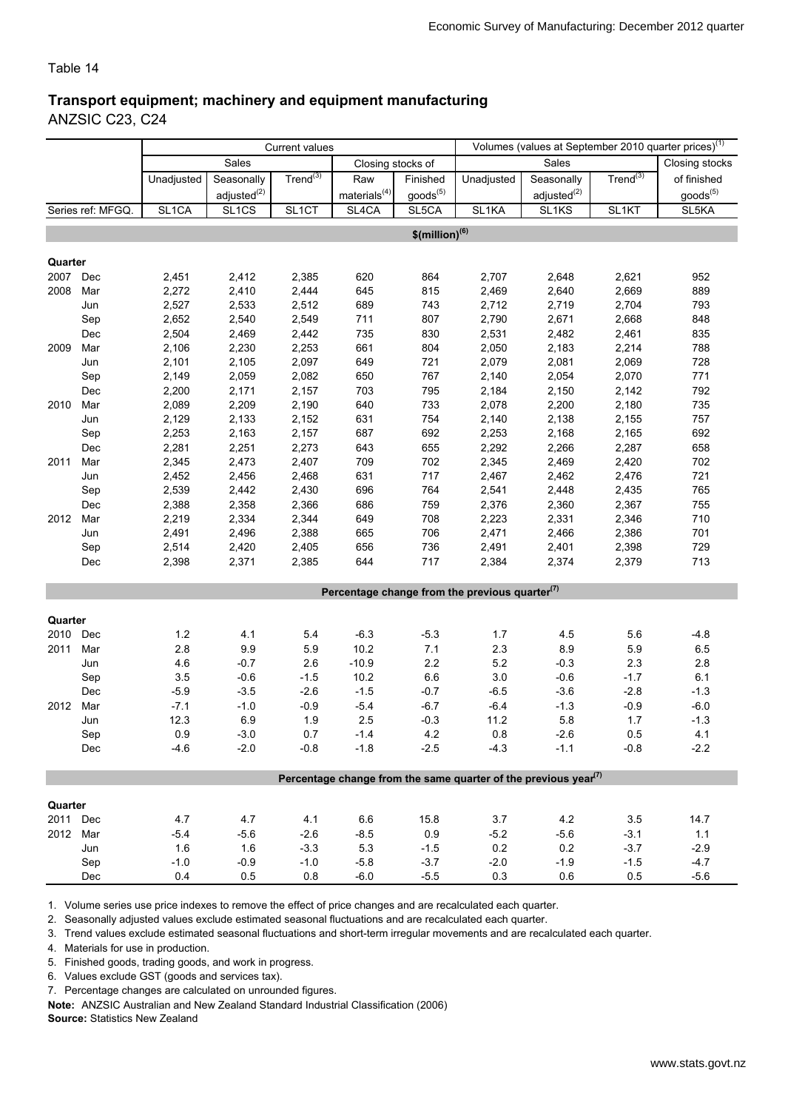#### Transport equipment; machinery and equipment manufacturing

ANZSIC C23, C24

|                                                                                          |                   | <b>Current values</b> |                         |                    |                    | Volumes (values at September 2010 quarter prices) <sup>(1)</sup> |                                                   |                         |                    |                    |
|------------------------------------------------------------------------------------------|-------------------|-----------------------|-------------------------|--------------------|--------------------|------------------------------------------------------------------|---------------------------------------------------|-------------------------|--------------------|--------------------|
|                                                                                          |                   |                       | Sales                   |                    | Closing stocks of  |                                                                  |                                                   | Sales                   |                    | Closing stocks     |
|                                                                                          |                   | Unadjusted            | Seasonally              | Trend $^{(3)}$     | Raw                | Finished                                                         | Unadjusted                                        | Seasonally              | $Trend^{(3)}$      | of finished        |
|                                                                                          |                   |                       | adjusted <sup>(2)</sup> |                    | materials $^{(4)}$ | $\text{goods}^{(5)}$                                             |                                                   | adjusted <sup>(2)</sup> |                    | $goods^{(5)}$      |
|                                                                                          | Series ref: MFGQ. | SL1CA                 | SL <sub>1CS</sub>       | SL <sub>1</sub> CT | SL4CA              | SL5CA                                                            | SL <sub>1</sub> KA                                | SL <sub>1</sub> KS      | SL <sub>1</sub> KT | SL <sub>5</sub> KA |
|                                                                                          |                   |                       |                         |                    |                    | $$$ (million) <sup>(6)</sup>                                     |                                                   |                         |                    |                    |
|                                                                                          |                   |                       |                         |                    |                    |                                                                  |                                                   |                         |                    |                    |
| Quarter                                                                                  |                   |                       |                         |                    |                    |                                                                  |                                                   |                         |                    |                    |
| 2007                                                                                     | Dec               | 2,451                 | 2,412                   | 2,385              | 620                | 864                                                              | 2,707                                             | 2,648                   | 2,621              | 952                |
| 2008                                                                                     | Mar               | 2,272                 | 2,410                   | 2,444              | 645                | 815                                                              | 2,469                                             | 2,640                   | 2,669              | 889                |
|                                                                                          | Jun               | 2,527                 | 2,533                   | 2,512              | 689                | 743                                                              | 2,712                                             | 2,719                   | 2,704              | 793                |
|                                                                                          | Sep               | 2,652                 | 2,540                   | 2,549              | 711                | 807                                                              | 2,790                                             | 2,671                   | 2,668              | 848                |
|                                                                                          | Dec               | 2,504                 | 2,469                   | 2,442              | 735                | 830                                                              | 2,531                                             | 2,482                   | 2,461              | 835                |
| 2009                                                                                     | Mar               | 2,106                 | 2,230                   | 2,253              | 661                | 804                                                              | 2,050                                             | 2,183                   | 2,214              | 788                |
|                                                                                          | Jun               | 2,101                 | 2,105                   | 2,097              | 649                | 721                                                              | 2,079                                             | 2,081                   | 2,069              | 728                |
|                                                                                          | Sep               | 2,149                 | 2,059                   | 2,082              | 650                | 767                                                              | 2,140                                             | 2,054                   | 2,070              | 771                |
|                                                                                          | Dec               | 2,200                 | 2,171                   | 2,157              | 703                | 795                                                              | 2,184                                             | 2,150                   | 2,142              | 792                |
| 2010                                                                                     | Mar               | 2,089                 | 2,209                   | 2,190              | 640                | 733                                                              | 2,078                                             | 2,200                   | 2,180              | 735                |
|                                                                                          | Jun               | 2,129                 | 2,133                   | 2,152              | 631                | 754                                                              | 2,140                                             | 2,138                   | 2,155              | 757                |
|                                                                                          | Sep               | 2,253                 | 2,163                   | 2,157              | 687                | 692                                                              | 2,253                                             | 2,168                   | 2,165              | 692                |
|                                                                                          | Dec               | 2,281                 | 2,251                   | 2,273              | 643                | 655                                                              | 2,292                                             | 2,266                   | 2,287              | 658                |
| 2011                                                                                     | Mar               | 2,345                 | 2,473                   | 2,407              | 709                | 702                                                              | 2,345                                             | 2,469                   | 2,420              | 702                |
|                                                                                          | Jun               | 2,452                 | 2,456                   | 2,468              | 631                | 717                                                              | 2,467                                             | 2,462                   | 2,476              | 721                |
|                                                                                          | Sep               | 2,539                 | 2,442                   | 2,430              | 696                | 764                                                              | 2,541                                             | 2,448                   | 2,435              | 765                |
|                                                                                          | Dec               | 2,388                 | 2,358                   | 2,366              | 686                | 759                                                              | 2,376                                             | 2,360                   | 2,367              | 755                |
| 2012                                                                                     | Mar               | 2,219                 | 2,334                   | 2,344              | 649                | 708                                                              | 2,223                                             | 2,331                   | 2,346              | 710                |
|                                                                                          | Jun               | 2,491                 | 2,496                   | 2,388              | 665                | 706                                                              | 2,471                                             | 2,466                   | 2,386              | 701                |
|                                                                                          | Sep               | 2,514                 | 2,420                   | 2,405              | 656                | 736                                                              | 2,491                                             | 2,401                   | 2,398              | 729                |
|                                                                                          | Dec               | 2,398                 | 2,371                   | 2,385              | 644                | 717                                                              | 2,384                                             | 2,374                   | 2,379              | 713                |
|                                                                                          |                   |                       |                         |                    |                    |                                                                  |                                                   |                         |                    |                    |
|                                                                                          |                   |                       |                         |                    |                    |                                                                  | Percentage change from the previous quarter $(7)$ |                         |                    |                    |
| Quarter                                                                                  |                   |                       |                         |                    |                    |                                                                  |                                                   |                         |                    |                    |
| 2010                                                                                     | Dec               | 1.2                   | 4.1                     | 5.4                | $-6.3$             | $-5.3$                                                           | 1.7                                               | 4.5                     | 5.6                | $-4.8$             |
| 2011                                                                                     | Mar               | 2.8                   | $9.9\,$                 | 5.9                | 10.2               | 7.1                                                              | 2.3                                               | 8.9                     | 5.9                | 6.5                |
|                                                                                          | Jun               | 4.6                   | $-0.7$                  | 2.6                | $-10.9$            | $2.2\,$                                                          | 5.2                                               | $-0.3$                  | 2.3                | 2.8                |
|                                                                                          | Sep               | 3.5                   | $-0.6$                  | $-1.5$             | 10.2               | $6.6\,$                                                          | 3.0                                               | $-0.6$                  | $-1.7$             | 6.1                |
|                                                                                          | Dec               | $-5.9$                | $-3.5$                  | $-2.6$             | $-1.5$             | $-0.7$                                                           | $-6.5$                                            | $-3.6$                  | $-2.8$             | $-1.3$             |
| 2012                                                                                     | Mar               | $-7.1$                | $-1.0$                  | $-0.9$             | $-5.4$             | $-6.7$                                                           | $-6.4$                                            | $-1.3$                  | $-0.9$             | $-6.0$             |
|                                                                                          | Jun               | 12.3                  | 6.9                     | 1.9                | 2.5                | $-0.3$                                                           | 11.2                                              | 5.8                     | 1.7                | $-1.3$             |
|                                                                                          | Sep               | 0.9                   | $-3.0$                  | 0.7                | $-1.4$             | 4.2                                                              | $0.8\,$                                           | $-2.6$                  | 0.5                | 4.1                |
|                                                                                          | Dec               | $-4.6$                | $-2.0$                  | $-0.8$             | $-1.8$             | $-2.5$                                                           | $-4.3$                                            | $-1.1$                  | $-0.8$             | $-2.2$             |
|                                                                                          |                   |                       |                         |                    |                    |                                                                  |                                                   |                         |                    |                    |
| Percentage change from the same quarter of the previous year <sup><math>(7)</math></sup> |                   |                       |                         |                    |                    |                                                                  |                                                   |                         |                    |                    |
|                                                                                          |                   |                       |                         |                    |                    |                                                                  |                                                   |                         |                    |                    |
| Quarter                                                                                  |                   |                       |                         |                    |                    |                                                                  |                                                   |                         |                    |                    |
| 2011 Dec                                                                                 |                   | 4.7                   | 4.7                     | 4.1                | 6.6                | 15.8                                                             | 3.7                                               | 4.2                     | 3.5                | 14.7               |
| 2012 Mar                                                                                 |                   | $-5.4$                | $-5.6$                  | $-2.6$             | $-8.5$             | 0.9                                                              | $-5.2$                                            | $-5.6$                  | $-3.1$             | 1.1                |
|                                                                                          | Jun               | 1.6                   | 1.6                     | $-3.3$             | 5.3                | $-1.5$                                                           | 0.2                                               | 0.2                     | $-3.7$             | $-2.9$             |
|                                                                                          | Sep<br>Dec        | $-1.0$<br>0.4         | $-0.9$                  | $-1.0$             | $-5.8$<br>$-6.0$   | $-3.7$                                                           | $-2.0$<br>0.3                                     | $-1.9$<br>0.6           | $-1.5$<br>0.5      | $-4.7$<br>$-5.6$   |
|                                                                                          |                   |                       | 0.5                     | 0.8                |                    | $-5.5$                                                           |                                                   |                         |                    |                    |

1. Volume series use price indexes to remove the effect of price changes and are recalculated each quarter.

2. Seasonally adjusted values exclude estimated seasonal fluctuations and are recalculated each quarter.

3. Trend values exclude estimated seasonal fluctuations and short-term irregular movements and are recalculated each quarter.

4. Materials for use in production.

5. Finished goods, trading goods, and work in progress.

6. Values exclude GST (goods and services tax).

7. Percentage changes are calculated on unrounded figures.

Note: ANZSIC Australian and New Zealand Standard Industrial Classification (2006)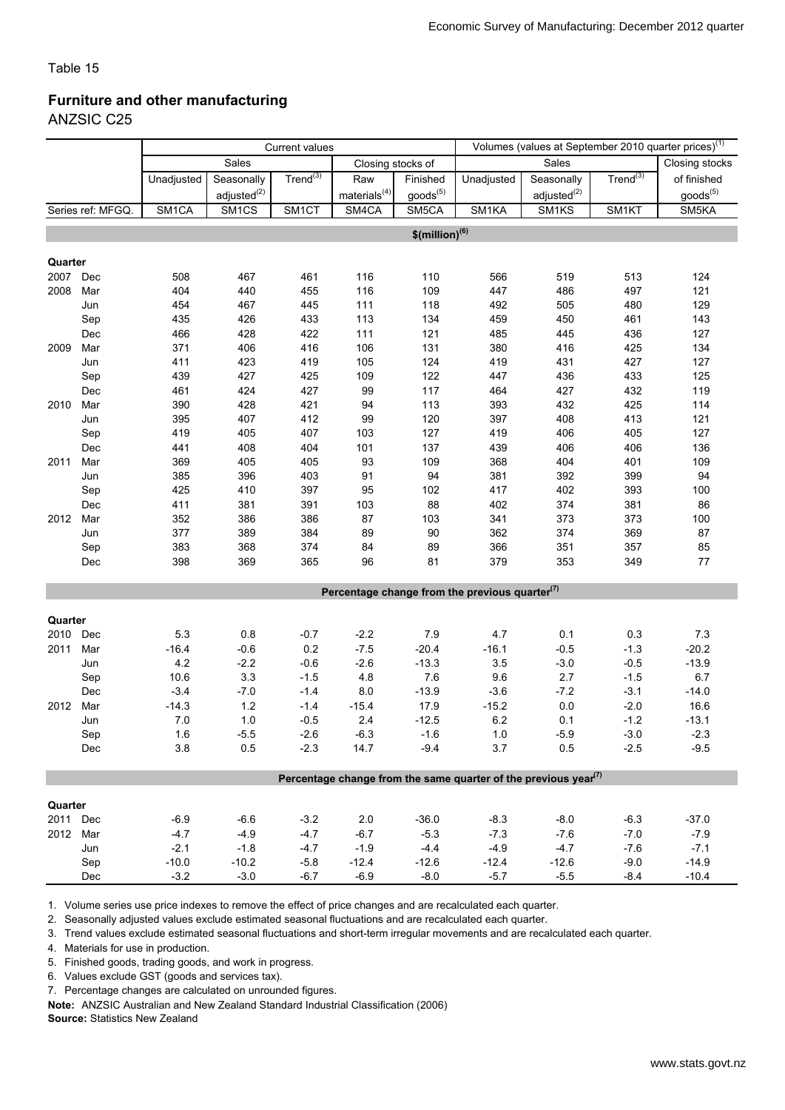### Furniture and other manufacturing

ANZSIC C25

|                                                                                          |                   | <b>Current values</b> |                         |                      |                            |                              |                                                   |                         |               | Volumes (values at September 2010 quarter prices) <sup>(1)</sup> |
|------------------------------------------------------------------------------------------|-------------------|-----------------------|-------------------------|----------------------|----------------------------|------------------------------|---------------------------------------------------|-------------------------|---------------|------------------------------------------------------------------|
|                                                                                          |                   |                       | Sales                   |                      | Closing stocks of          |                              |                                                   | Sales                   |               | Closing stocks                                                   |
|                                                                                          |                   | Unadjusted            | Seasonally              | Trend <sup>(3)</sup> | Raw                        | Finished                     | Unadjusted                                        | Seasonally              | $Trend^{(3)}$ | of finished                                                      |
|                                                                                          |                   |                       | adjusted <sup>(2)</sup> |                      | $\mathsf{materials}^{(4)}$ | $\text{goods}^{(5)}$         |                                                   | adjusted <sup>(2)</sup> |               | goods <sup>(5)</sup>                                             |
|                                                                                          | Series ref: MFGQ. | SM1CA                 | SM <sub>1CS</sub>       | SM <sub>1</sub> CT   | SM4CA                      | SM5CA                        | SM1KA                                             | SM1KS                   | SM1KT         | SM5KA                                                            |
|                                                                                          |                   |                       |                         |                      |                            | $$$ (million) <sup>(6)</sup> |                                                   |                         |               |                                                                  |
|                                                                                          |                   |                       |                         |                      |                            |                              |                                                   |                         |               |                                                                  |
| Quarter                                                                                  |                   |                       |                         |                      |                            |                              |                                                   |                         |               |                                                                  |
| 2007                                                                                     | Dec               | 508                   | 467                     | 461                  | 116                        | 110                          | 566                                               | 519                     | 513           | 124                                                              |
| 2008                                                                                     | Mar               | 404                   | 440                     | 455                  | 116                        | 109                          | 447                                               | 486                     | 497           | 121                                                              |
|                                                                                          | Jun               | 454                   | 467                     | 445                  | 111                        | 118                          | 492                                               | 505                     | 480           | 129                                                              |
|                                                                                          | Sep               | 435                   | 426                     | 433                  | 113                        | 134                          | 459                                               | 450                     | 461           | 143                                                              |
|                                                                                          | Dec               | 466                   | 428                     | 422                  | 111                        | 121                          | 485                                               | 445                     | 436           | 127                                                              |
| 2009                                                                                     | Mar               | 371                   | 406                     | 416                  | 106                        | 131                          | 380                                               | 416                     | 425           | 134                                                              |
|                                                                                          | Jun               | 411                   | 423                     | 419                  | 105                        | 124                          | 419                                               | 431                     | 427           | 127                                                              |
|                                                                                          | Sep               | 439                   | 427                     | 425                  | 109                        | 122                          | 447                                               | 436                     | 433           | 125                                                              |
|                                                                                          | Dec               | 461                   | 424                     | 427                  | 99                         | 117                          | 464                                               | 427                     | 432           | 119                                                              |
| 2010                                                                                     | Mar               | 390                   | 428                     | 421                  | 94                         | 113                          | 393                                               | 432                     | 425           | 114                                                              |
|                                                                                          | Jun               | 395                   | 407                     | 412                  | 99                         | 120                          | 397                                               | 408                     | 413           | 121                                                              |
|                                                                                          | Sep               | 419                   | 405                     | 407                  | 103                        | 127                          | 419                                               | 406                     | 405           | 127                                                              |
|                                                                                          | Dec               | 441                   | 408                     | 404                  | 101                        | 137                          | 439                                               | 406                     | 406           | 136                                                              |
| 2011                                                                                     | Mar               | 369                   | 405                     | 405                  | 93                         | 109                          | 368                                               | 404                     | 401           | 109                                                              |
|                                                                                          | Jun               | 385                   | 396                     | 403                  | 91                         | 94                           | 381                                               | 392                     | 399           | 94                                                               |
|                                                                                          | Sep               | 425                   | 410                     | 397                  | 95                         | 102                          | 417                                               | 402                     | 393           | 100                                                              |
|                                                                                          | Dec               | 411                   | 381                     | 391                  | 103                        | 88                           | 402                                               | 374                     | 381           | 86                                                               |
| 2012                                                                                     | Mar               | 352                   | 386                     | 386                  | 87                         | 103                          | 341                                               | 373                     | 373           | 100                                                              |
|                                                                                          | Jun               | 377                   | 389                     | 384                  | 89                         | 90                           | 362                                               | 374                     | 369           | 87                                                               |
|                                                                                          | Sep               | 383                   | 368                     | 374                  | 84                         | 89                           | 366                                               | 351                     | 357           | 85                                                               |
|                                                                                          | Dec               | 398                   | 369                     | 365                  | 96                         | 81                           | 379                                               | 353                     | 349           | 77                                                               |
|                                                                                          |                   |                       |                         |                      |                            |                              |                                                   |                         |               |                                                                  |
|                                                                                          |                   |                       |                         |                      |                            |                              | Percentage change from the previous quarter $(7)$ |                         |               |                                                                  |
| Quarter                                                                                  |                   |                       |                         |                      |                            |                              |                                                   |                         |               |                                                                  |
| 2010                                                                                     | Dec               | 5.3                   | 0.8                     | $-0.7$               | $-2.2$                     | 7.9                          | 4.7                                               | 0.1                     | 0.3           | $7.3$                                                            |
| 2011                                                                                     | Mar               | $-16.4$               | $-0.6$                  | 0.2                  | $-7.5$                     | $-20.4$                      | $-16.1$                                           | $-0.5$                  | $-1.3$        | $-20.2$                                                          |
|                                                                                          | Jun               | 4.2                   | $-2.2$                  | $-0.6$               | $-2.6$                     | $-13.3$                      | 3.5                                               | $-3.0$                  | $-0.5$        | $-13.9$                                                          |
|                                                                                          | Sep               | 10.6                  | 3.3                     | $-1.5$               | 4.8                        | 7.6                          | 9.6                                               | 2.7                     | $-1.5$        | 6.7                                                              |
|                                                                                          | Dec               | $-3.4$                | $-7.0$                  | $-1.4$               | 8.0                        | $-13.9$                      | $-3.6$                                            | $-7.2$                  | $-3.1$        | $-14.0$                                                          |
| 2012                                                                                     | Mar               | $-14.3$               | $1.2$                   | $-1.4$               | $-15.4$                    | 17.9                         | $-15.2$                                           | $0.0\,$                 | $-2.0$        | 16.6                                                             |
|                                                                                          | Jun               | 7.0                   | $1.0$                   | $-0.5$               | 2.4                        | $-12.5$                      | 6.2                                               | 0.1                     | $-1.2$        | $-13.1$                                                          |
|                                                                                          | Sep               | 1.6                   | $-5.5$                  | $-2.6$               | $-6.3$                     | $-1.6$                       | $1.0$                                             | $-5.9$                  | $-3.0$        | $-2.3$                                                           |
|                                                                                          | Dec               | 3.8                   | 0.5                     | $-2.3$               | 14.7                       | $-9.4$                       | 3.7                                               | 0.5                     | $-2.5$        | $-9.5$                                                           |
|                                                                                          |                   |                       |                         |                      |                            |                              |                                                   |                         |               |                                                                  |
| Percentage change from the same quarter of the previous year <sup><math>(7)</math></sup> |                   |                       |                         |                      |                            |                              |                                                   |                         |               |                                                                  |
| Quarter                                                                                  |                   |                       |                         |                      |                            |                              |                                                   |                         |               |                                                                  |
| 2011 Dec                                                                                 |                   | $-6.9$                | $-6.6$                  | $-3.2$               | $2.0\,$                    | $-36.0$                      | $-8.3$                                            | $-8.0$                  | $-6.3$        | $-37.0$                                                          |
| 2012 Mar                                                                                 |                   | $-4.7$                | $-4.9$                  | $-4.7$               | $-6.7$                     | $-5.3$                       | $-7.3$                                            | $-7.6$                  | $-7.0$        | $-7.9$                                                           |
|                                                                                          | Jun               | $-2.1$                | $-1.8$                  | $-4.7$               | $-1.9$                     | $-4.4$                       | $-4.9$                                            | $-4.7$                  | $-7.6$        | $-7.1$                                                           |
|                                                                                          | Sep               | $-10.0$               | $-10.2$                 | $-5.8$               | $-12.4$                    | $-12.6$                      | $-12.4$                                           | $-12.6$                 | $-9.0$        | $-14.9$                                                          |
|                                                                                          | Dec               | $-3.2$                | $-3.0$                  | $-6.7$               | $-6.9$                     | $-8.0$                       | $-5.7$                                            | $-5.5$                  | $-8.4$        | $-10.4$                                                          |
|                                                                                          |                   |                       |                         |                      |                            |                              |                                                   |                         |               |                                                                  |

1. Volume series use price indexes to remove the effect of price changes and are recalculated each quarter.

2. Seasonally adjusted values exclude estimated seasonal fluctuations and are recalculated each quarter.

3. Trend values exclude estimated seasonal fluctuations and short-term irregular movements and are recalculated each quarter.

4. Materials for use in production.

5. Finished goods, trading goods, and work in progress.

6. Values exclude GST (goods and services tax).

7. Percentage changes are calculated on unrounded figures.

Note: ANZSIC Australian and New Zealand Standard Industrial Classification (2006)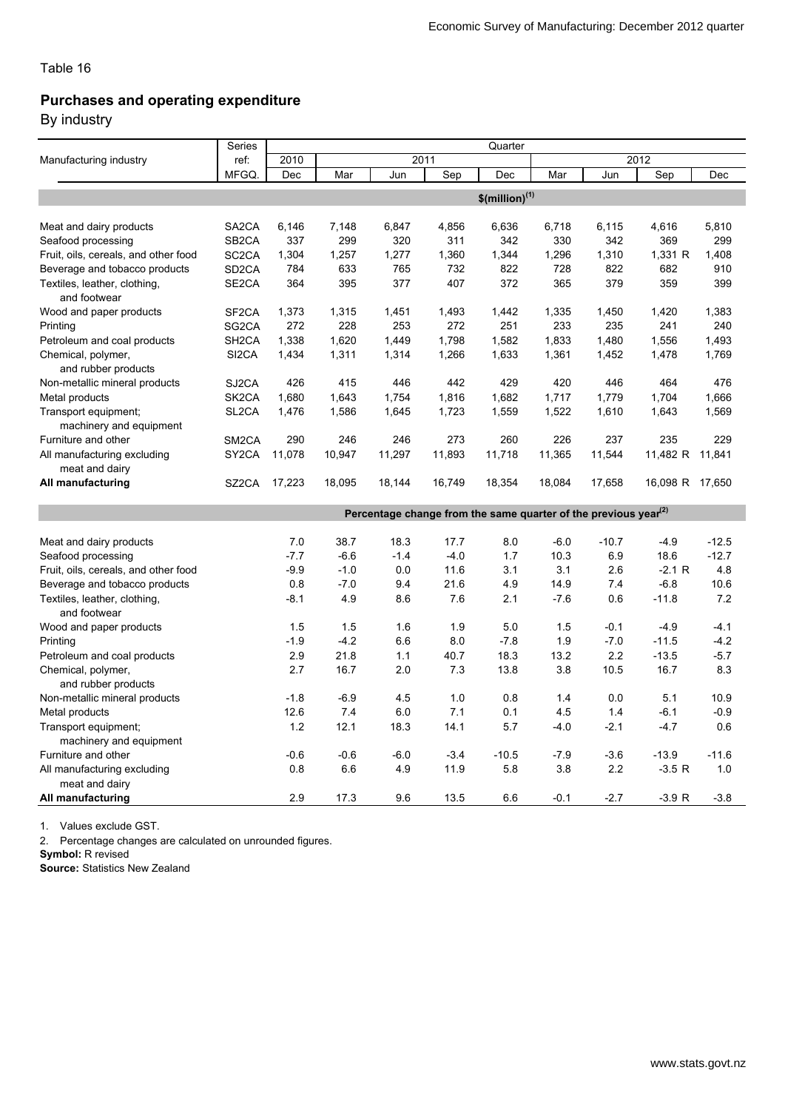### Purchases and operating expenditure

By industry

|                                                 | Series             | Quarter                      |        |        |        |                                                                             |        |         |                 |         |  |
|-------------------------------------------------|--------------------|------------------------------|--------|--------|--------|-----------------------------------------------------------------------------|--------|---------|-----------------|---------|--|
| Manufacturing industry                          | ref:               | 2010                         |        |        | 2011   |                                                                             |        |         | 2012            |         |  |
|                                                 | MFGQ.              | Dec                          | Mar    | Jun    | Sep    | Dec                                                                         | Mar    | Jun     | Sep             | Dec     |  |
|                                                 |                    | $$$ (million) <sup>(1)</sup> |        |        |        |                                                                             |        |         |                 |         |  |
| Meat and dairy products                         | SA <sub>2</sub> CA | 6,146                        | 7,148  | 6,847  | 4,856  | 6,636                                                                       | 6,718  | 6,115   | 4,616           | 5,810   |  |
| Seafood processing                              | SB <sub>2</sub> CA | 337                          | 299    | 320    | 311    | 342                                                                         | 330    | 342     | 369             | 299     |  |
| Fruit, oils, cereals, and other food            | SC <sub>2</sub> CA | 1,304                        | 1,257  | 1,277  | 1,360  | 1,344                                                                       | 1,296  | 1,310   | 1,331 R         | 1,408   |  |
| Beverage and tobacco products                   | SD <sub>2</sub> CA | 784                          | 633    | 765    | 732    | 822                                                                         | 728    | 822     | 682             | 910     |  |
| Textiles, leather, clothing,<br>and footwear    | SE <sub>2</sub> CA | 364                          | 395    | 377    | 407    | 372                                                                         | 365    | 379     | 359             | 399     |  |
| Wood and paper products                         | SF <sub>2</sub> CA | 1,373                        | 1,315  | 1,451  | 1,493  | 1,442                                                                       | 1,335  | 1,450   | 1,420           | 1,383   |  |
| Printing                                        | SG2CA              | 272                          | 228    | 253    | 272    | 251                                                                         | 233    | 235     | 241             | 240     |  |
| Petroleum and coal products                     | SH <sub>2</sub> CA | 1,338                        | 1,620  | 1,449  | 1,798  | 1,582                                                                       | 1,833  | 1,480   | 1,556           | 1,493   |  |
| Chemical, polymer,<br>and rubber products       | SI <sub>2</sub> CA | 1,434                        | 1,311  | 1,314  | 1,266  | 1,633                                                                       | 1,361  | 1,452   | 1,478           | 1,769   |  |
| Non-metallic mineral products                   | SJ2CA              | 426                          | 415    | 446    | 442    | 429                                                                         | 420    | 446     | 464             | 476     |  |
| Metal products                                  | SK <sub>2</sub> CA | 1,680                        | 1,643  | 1,754  | 1,816  | 1,682                                                                       | 1,717  | 1,779   | 1,704           | 1,666   |  |
| Transport equipment;<br>machinery and equipment | SL <sub>2</sub> CA | 1,476                        | 1,586  | 1,645  | 1,723  | 1,559                                                                       | 1,522  | 1,610   | 1,643           | 1,569   |  |
| Furniture and other                             | SM <sub>2</sub> CA | 290                          | 246    | 246    | 273    | 260                                                                         | 226    | 237     | 235             | 229     |  |
| All manufacturing excluding<br>meat and dairy   | SY <sub>2</sub> CA | 11,078                       | 10,947 | 11,297 | 11,893 | 11,718                                                                      | 11,365 | 11,544  | 11,482 R 11,841 |         |  |
| All manufacturing                               | SZ2CA              | 17,223                       | 18,095 | 18,144 | 16,749 | 18,354                                                                      | 18,084 | 17,658  | 16,098 R 17,650 |         |  |
|                                                 |                    |                              |        |        |        | Percentage change from the same quarter of the previous year <sup>(2)</sup> |        |         |                 |         |  |
| Meat and dairy products                         |                    | 7.0                          | 38.7   | 18.3   | 17.7   | 8.0                                                                         | $-6.0$ | $-10.7$ | $-4.9$          | $-12.5$ |  |
| Seafood processing                              |                    | $-7.7$                       | $-6.6$ | $-1.4$ | $-4.0$ | 1.7                                                                         | 10.3   | 6.9     | 18.6            | $-12.7$ |  |
| Fruit, oils, cereals, and other food            |                    | $-9.9$                       | $-1.0$ | 0.0    | 11.6   | 3.1                                                                         | 3.1    | 2.6     | $-2.1R$         | 4.8     |  |
| Beverage and tobacco products                   |                    | 0.8                          | $-7.0$ | 9.4    | 21.6   | 4.9                                                                         | 14.9   | 7.4     | $-6.8$          | 10.6    |  |
| Textiles, leather, clothing,<br>and footwear    |                    | $-8.1$                       | 4.9    | 8.6    | 7.6    | 2.1                                                                         | $-7.6$ | 0.6     | $-11.8$         | 7.2     |  |
| Wood and paper products                         |                    | 1.5                          | 1.5    | 1.6    | 1.9    | 5.0                                                                         | 1.5    | $-0.1$  | $-4.9$          | $-4.1$  |  |
| Printing                                        |                    | $-1.9$                       | $-4.2$ | 6.6    | 8.0    | $-7.8$                                                                      | 1.9    | $-7.0$  | $-11.5$         | $-4.2$  |  |
| Petroleum and coal products                     |                    | 2.9                          | 21.8   | 1.1    | 40.7   | 18.3                                                                        | 13.2   | 2.2     | $-13.5$         | $-5.7$  |  |
| Chemical, polymer,<br>and rubber products       |                    | 2.7                          | 16.7   | 2.0    | 7.3    | 13.8                                                                        | 3.8    | 10.5    | 16.7            | 8.3     |  |
| Non-metallic mineral products                   |                    | $-1.8$                       | $-6.9$ | 4.5    | 1.0    | 0.8                                                                         | 1.4    | 0.0     | 5.1             | 10.9    |  |
| Metal products                                  |                    | 12.6                         | 7.4    | 6.0    | 7.1    | 0.1                                                                         | 4.5    | 1.4     | $-6.1$          | $-0.9$  |  |
| Transport equipment;<br>machinery and equipment |                    | 1.2                          | 12.1   | 18.3   | 14.1   | 5.7                                                                         | $-4.0$ | $-2.1$  | $-4.7$          | 0.6     |  |
| Furniture and other                             |                    | $-0.6$                       | $-0.6$ | $-6.0$ | $-3.4$ | $-10.5$                                                                     | $-7.9$ | $-3.6$  | $-13.9$         | $-11.6$ |  |
| All manufacturing excluding<br>meat and dairy   |                    | 0.8                          | 6.6    | 4.9    | 11.9   | 5.8                                                                         | 3.8    | 2.2     | $-3.5 R$        | 1.0     |  |
| All manufacturing                               |                    | 2.9                          | 17.3   | 9.6    | 13.5   | 6.6                                                                         | $-0.1$ | $-2.7$  | $-3.9 R$        | $-3.8$  |  |

1. Values exclude GST.

2. Percentage changes are calculated on unrounded figures.

Symbol: R revised